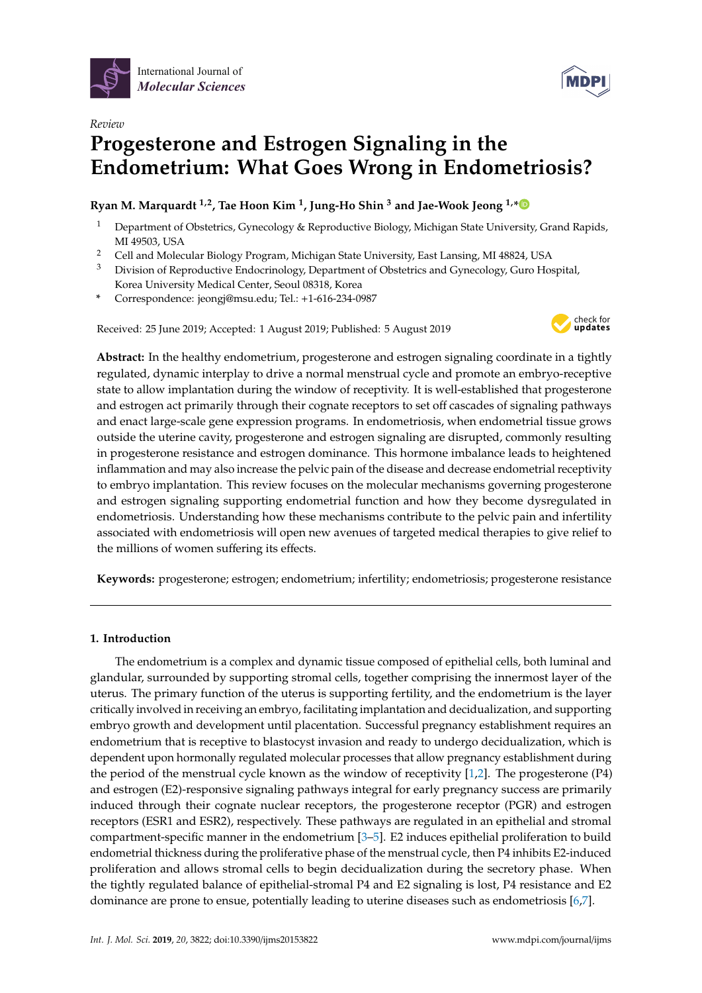

*Review*



# **Progesterone and Estrogen Signaling in the Endometrium: What Goes Wrong in Endometriosis?**

# **Ryan M. Marquardt 1,2, Tae Hoon Kim <sup>1</sup> , Jung-Ho Shin <sup>3</sup> and Jae-Wook Jeong 1,[\\*](https://orcid.org/0000-0002-5368-6478)**

- <sup>1</sup> Department of Obstetrics, Gynecology & Reproductive Biology, Michigan State University, Grand Rapids, MI 49503, USA
- <sup>2</sup> Cell and Molecular Biology Program, Michigan State University, East Lansing, MI 48824, USA
- <sup>3</sup> Division of Reproductive Endocrinology, Department of Obstetrics and Gynecology, Guro Hospital, Korea University Medical Center, Seoul 08318, Korea
- **\*** Correspondence: jeongj@msu.edu; Tel.: +1-616-234-0987

Received: 25 June 2019; Accepted: 1 August 2019; Published: 5 August 2019



**Abstract:** In the healthy endometrium, progesterone and estrogen signaling coordinate in a tightly regulated, dynamic interplay to drive a normal menstrual cycle and promote an embryo-receptive state to allow implantation during the window of receptivity. It is well-established that progesterone and estrogen act primarily through their cognate receptors to set off cascades of signaling pathways and enact large-scale gene expression programs. In endometriosis, when endometrial tissue grows outside the uterine cavity, progesterone and estrogen signaling are disrupted, commonly resulting in progesterone resistance and estrogen dominance. This hormone imbalance leads to heightened inflammation and may also increase the pelvic pain of the disease and decrease endometrial receptivity to embryo implantation. This review focuses on the molecular mechanisms governing progesterone and estrogen signaling supporting endometrial function and how they become dysregulated in endometriosis. Understanding how these mechanisms contribute to the pelvic pain and infertility associated with endometriosis will open new avenues of targeted medical therapies to give relief to the millions of women suffering its effects.

**Keywords:** progesterone; estrogen; endometrium; infertility; endometriosis; progesterone resistance

# **1. Introduction**

The endometrium is a complex and dynamic tissue composed of epithelial cells, both luminal and glandular, surrounded by supporting stromal cells, together comprising the innermost layer of the uterus. The primary function of the uterus is supporting fertility, and the endometrium is the layer critically involved in receiving an embryo, facilitating implantation and decidualization, and supporting embryo growth and development until placentation. Successful pregnancy establishment requires an endometrium that is receptive to blastocyst invasion and ready to undergo decidualization, which is dependent upon hormonally regulated molecular processes that allow pregnancy establishment during the period of the menstrual cycle known as the window of receptivity [\[1,](#page-15-0)[2\]](#page-15-1). The progesterone (P4) and estrogen (E2)-responsive signaling pathways integral for early pregnancy success are primarily induced through their cognate nuclear receptors, the progesterone receptor (PGR) and estrogen receptors (ESR1 and ESR2), respectively. These pathways are regulated in an epithelial and stromal compartment-specific manner in the endometrium [\[3–](#page-15-2)[5\]](#page-15-3). E2 induces epithelial proliferation to build endometrial thickness during the proliferative phase of the menstrual cycle, then P4 inhibits E2-induced proliferation and allows stromal cells to begin decidualization during the secretory phase. When the tightly regulated balance of epithelial-stromal P4 and E2 signaling is lost, P4 resistance and E2 dominance are prone to ensue, potentially leading to uterine diseases such as endometriosis [\[6](#page-15-4)[,7\]](#page-15-5).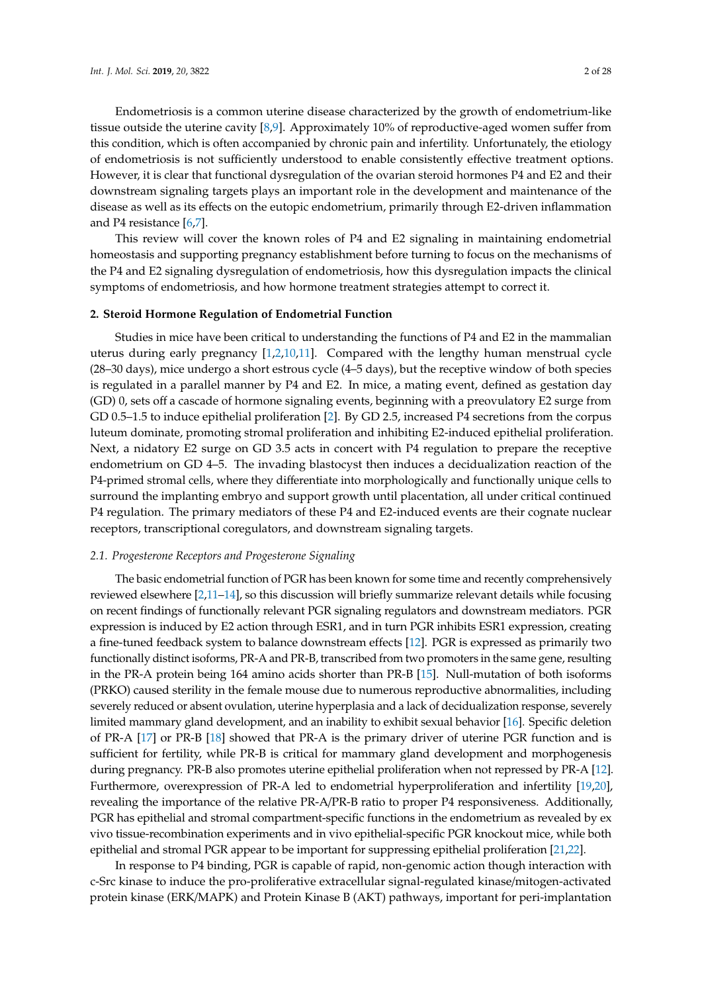Endometriosis is a common uterine disease characterized by the growth of endometrium-like tissue outside the uterine cavity [\[8](#page-15-6)[,9\]](#page-15-7). Approximately 10% of reproductive-aged women suffer from this condition, which is often accompanied by chronic pain and infertility. Unfortunately, the etiology of endometriosis is not sufficiently understood to enable consistently effective treatment options. However, it is clear that functional dysregulation of the ovarian steroid hormones P4 and E2 and their downstream signaling targets plays an important role in the development and maintenance of the disease as well as its effects on the eutopic endometrium, primarily through E2-driven inflammation and P4 resistance [\[6](#page-15-4)[,7\]](#page-15-5).

This review will cover the known roles of P4 and E2 signaling in maintaining endometrial homeostasis and supporting pregnancy establishment before turning to focus on the mechanisms of the P4 and E2 signaling dysregulation of endometriosis, how this dysregulation impacts the clinical symptoms of endometriosis, and how hormone treatment strategies attempt to correct it.

#### **2. Steroid Hormone Regulation of Endometrial Function**

Studies in mice have been critical to understanding the functions of P4 and E2 in the mammalian uterus during early pregnancy [\[1](#page-15-0)[,2](#page-15-1)[,10](#page-15-8)[,11\]](#page-15-9). Compared with the lengthy human menstrual cycle (28–30 days), mice undergo a short estrous cycle (4–5 days), but the receptive window of both species is regulated in a parallel manner by P4 and E2. In mice, a mating event, defined as gestation day (GD) 0, sets off a cascade of hormone signaling events, beginning with a preovulatory E2 surge from GD 0.5–1.5 to induce epithelial proliferation [\[2\]](#page-15-1). By GD 2.5, increased P4 secretions from the corpus luteum dominate, promoting stromal proliferation and inhibiting E2-induced epithelial proliferation. Next, a nidatory E2 surge on GD 3.5 acts in concert with P4 regulation to prepare the receptive endometrium on GD 4–5. The invading blastocyst then induces a decidualization reaction of the P4-primed stromal cells, where they differentiate into morphologically and functionally unique cells to surround the implanting embryo and support growth until placentation, all under critical continued P4 regulation. The primary mediators of these P4 and E2-induced events are their cognate nuclear receptors, transcriptional coregulators, and downstream signaling targets.

#### *2.1. Progesterone Receptors and Progesterone Signaling*

The basic endometrial function of PGR has been known for some time and recently comprehensively reviewed elsewhere [\[2](#page-15-1)[,11](#page-15-9)[–14\]](#page-15-10), so this discussion will briefly summarize relevant details while focusing on recent findings of functionally relevant PGR signaling regulators and downstream mediators. PGR expression is induced by E2 action through ESR1, and in turn PGR inhibits ESR1 expression, creating a fine-tuned feedback system to balance downstream effects [\[12\]](#page-15-11). PGR is expressed as primarily two functionally distinct isoforms, PR-A and PR-B, transcribed from two promoters in the same gene, resulting in the PR-A protein being 164 amino acids shorter than PR-B [\[15\]](#page-16-0). Null-mutation of both isoforms (PRKO) caused sterility in the female mouse due to numerous reproductive abnormalities, including severely reduced or absent ovulation, uterine hyperplasia and a lack of decidualization response, severely limited mammary gland development, and an inability to exhibit sexual behavior [\[16\]](#page-16-1). Specific deletion of PR-A [\[17\]](#page-16-2) or PR-B [\[18\]](#page-16-3) showed that PR-A is the primary driver of uterine PGR function and is sufficient for fertility, while PR-B is critical for mammary gland development and morphogenesis during pregnancy. PR-B also promotes uterine epithelial proliferation when not repressed by PR-A [\[12\]](#page-15-11). Furthermore, overexpression of PR-A led to endometrial hyperproliferation and infertility [\[19](#page-16-4)[,20\]](#page-16-5), revealing the importance of the relative PR-A/PR-B ratio to proper P4 responsiveness. Additionally, PGR has epithelial and stromal compartment-specific functions in the endometrium as revealed by ex vivo tissue-recombination experiments and in vivo epithelial-specific PGR knockout mice, while both epithelial and stromal PGR appear to be important for suppressing epithelial proliferation [\[21,](#page-16-6)[22\]](#page-16-7).

In response to P4 binding, PGR is capable of rapid, non-genomic action though interaction with c-Src kinase to induce the pro-proliferative extracellular signal-regulated kinase/mitogen-activated protein kinase (ERK/MAPK) and Protein Kinase B (AKT) pathways, important for peri-implantation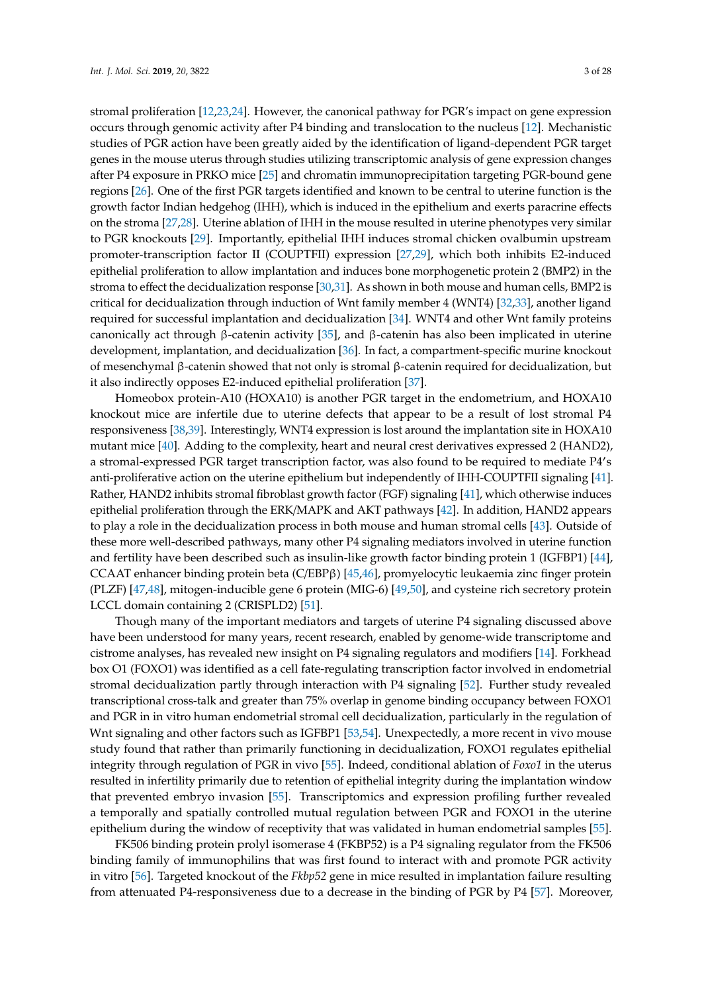stromal proliferation [\[12,](#page-15-11)[23](#page-16-8)[,24\]](#page-16-9). However, the canonical pathway for PGR's impact on gene expression occurs through genomic activity after P4 binding and translocation to the nucleus [\[12\]](#page-15-11). Mechanistic studies of PGR action have been greatly aided by the identification of ligand-dependent PGR target genes in the mouse uterus through studies utilizing transcriptomic analysis of gene expression changes after P4 exposure in PRKO mice [\[25\]](#page-16-10) and chromatin immunoprecipitation targeting PGR-bound gene regions [\[26\]](#page-16-11). One of the first PGR targets identified and known to be central to uterine function is the growth factor Indian hedgehog (IHH), which is induced in the epithelium and exerts paracrine effects on the stroma [\[27,](#page-16-12)[28\]](#page-16-13). Uterine ablation of IHH in the mouse resulted in uterine phenotypes very similar to PGR knockouts [\[29\]](#page-16-14). Importantly, epithelial IHH induces stromal chicken ovalbumin upstream promoter-transcription factor II (COUPTFII) expression [\[27](#page-16-12)[,29\]](#page-16-14), which both inhibits E2-induced epithelial proliferation to allow implantation and induces bone morphogenetic protein 2 (BMP2) in the stroma to effect the decidualization response [\[30,](#page-16-15)[31\]](#page-16-16). As shown in both mouse and human cells, BMP2 is critical for decidualization through induction of Wnt family member 4 (WNT4) [\[32](#page-16-17)[,33\]](#page-16-18), another ligand required for successful implantation and decidualization [\[34\]](#page-17-0). WNT4 and other Wnt family proteins canonically act through β-catenin activity [\[35\]](#page-17-1), and β-catenin has also been implicated in uterine development, implantation, and decidualization [\[36\]](#page-17-2). In fact, a compartment-specific murine knockout of mesenchymal β-catenin showed that not only is stromal β-catenin required for decidualization, but it also indirectly opposes E2-induced epithelial proliferation [\[37\]](#page-17-3).

Homeobox protein-A10 (HOXA10) is another PGR target in the endometrium, and HOXA10 knockout mice are infertile due to uterine defects that appear to be a result of lost stromal P4 responsiveness [\[38,](#page-17-4)[39\]](#page-17-5). Interestingly, WNT4 expression is lost around the implantation site in HOXA10 mutant mice [\[40\]](#page-17-6). Adding to the complexity, heart and neural crest derivatives expressed 2 (HAND2), a stromal-expressed PGR target transcription factor, was also found to be required to mediate P4's anti-proliferative action on the uterine epithelium but independently of IHH-COUPTFII signaling [\[41\]](#page-17-7). Rather, HAND2 inhibits stromal fibroblast growth factor (FGF) signaling [\[41\]](#page-17-7), which otherwise induces epithelial proliferation through the ERK/MAPK and AKT pathways [\[42\]](#page-17-8). In addition, HAND2 appears to play a role in the decidualization process in both mouse and human stromal cells [\[43\]](#page-17-9). Outside of these more well-described pathways, many other P4 signaling mediators involved in uterine function and fertility have been described such as insulin-like growth factor binding protein 1 (IGFBP1) [\[44\]](#page-17-10), CCAAT enhancer binding protein beta (C/EBPβ) [\[45,](#page-17-11)[46\]](#page-17-12), promyelocytic leukaemia zinc finger protein (PLZF) [\[47,](#page-17-13)[48\]](#page-17-14), mitogen-inducible gene 6 protein (MIG-6) [\[49](#page-17-15)[,50\]](#page-17-16), and cysteine rich secretory protein LCCL domain containing 2 (CRISPLD2) [\[51\]](#page-17-17).

Though many of the important mediators and targets of uterine P4 signaling discussed above have been understood for many years, recent research, enabled by genome-wide transcriptome and cistrome analyses, has revealed new insight on P4 signaling regulators and modifiers [\[14\]](#page-15-10). Forkhead box O1 (FOXO1) was identified as a cell fate-regulating transcription factor involved in endometrial stromal decidualization partly through interaction with P4 signaling [\[52\]](#page-18-0). Further study revealed transcriptional cross-talk and greater than 75% overlap in genome binding occupancy between FOXO1 and PGR in in vitro human endometrial stromal cell decidualization, particularly in the regulation of Wnt signaling and other factors such as IGFBP1 [\[53](#page-18-1)[,54\]](#page-18-2). Unexpectedly, a more recent in vivo mouse study found that rather than primarily functioning in decidualization, FOXO1 regulates epithelial integrity through regulation of PGR in vivo [\[55\]](#page-18-3). Indeed, conditional ablation of *Foxo1* in the uterus resulted in infertility primarily due to retention of epithelial integrity during the implantation window that prevented embryo invasion [\[55\]](#page-18-3). Transcriptomics and expression profiling further revealed a temporally and spatially controlled mutual regulation between PGR and FOXO1 in the uterine epithelium during the window of receptivity that was validated in human endometrial samples [\[55\]](#page-18-3).

FK506 binding protein prolyl isomerase 4 (FKBP52) is a P4 signaling regulator from the FK506 binding family of immunophilins that was first found to interact with and promote PGR activity in vitro [\[56\]](#page-18-4). Targeted knockout of the *Fkbp52* gene in mice resulted in implantation failure resulting from attenuated P4-responsiveness due to a decrease in the binding of PGR by P4 [\[57\]](#page-18-5). Moreover,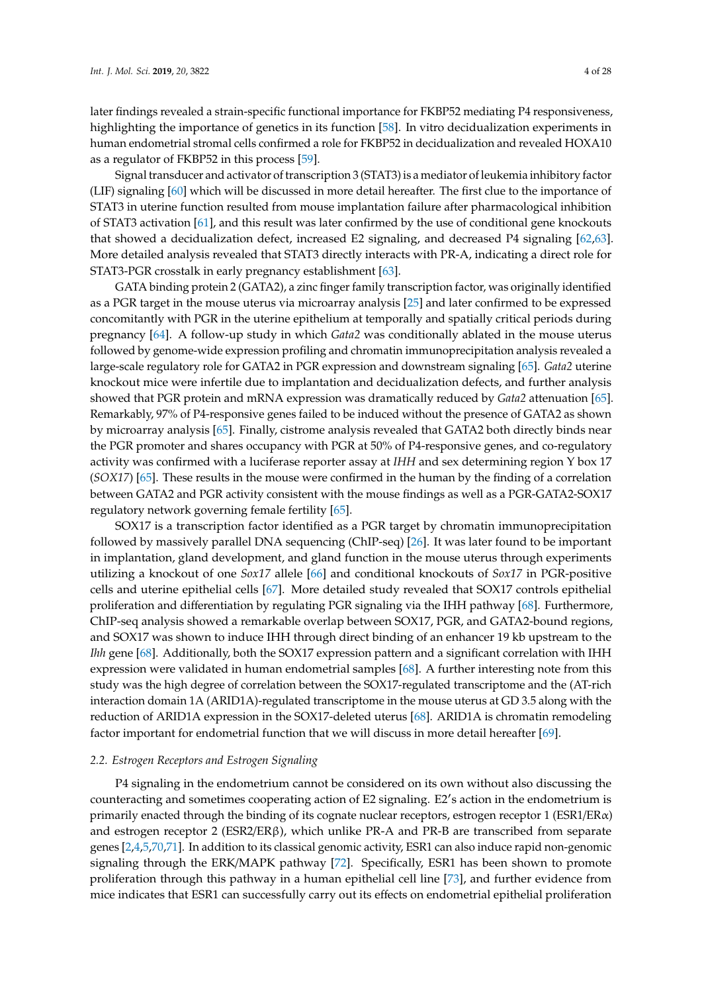later findings revealed a strain-specific functional importance for FKBP52 mediating P4 responsiveness, highlighting the importance of genetics in its function [\[58\]](#page-18-6). In vitro decidualization experiments in human endometrial stromal cells confirmed a role for FKBP52 in decidualization and revealed HOXA10 as a regulator of FKBP52 in this process [\[59\]](#page-18-7).

Signal transducer and activator of transcription 3 (STAT3) is a mediator of leukemia inhibitory factor (LIF) signaling [\[60\]](#page-18-8) which will be discussed in more detail hereafter. The first clue to the importance of STAT3 in uterine function resulted from mouse implantation failure after pharmacological inhibition of STAT3 activation [\[61\]](#page-18-9), and this result was later confirmed by the use of conditional gene knockouts that showed a decidualization defect, increased E2 signaling, and decreased P4 signaling [\[62,](#page-18-10)[63\]](#page-18-11). More detailed analysis revealed that STAT3 directly interacts with PR-A, indicating a direct role for STAT3-PGR crosstalk in early pregnancy establishment [\[63\]](#page-18-11).

GATA binding protein 2 (GATA2), a zinc finger family transcription factor, was originally identified as a PGR target in the mouse uterus via microarray analysis [\[25\]](#page-16-10) and later confirmed to be expressed concomitantly with PGR in the uterine epithelium at temporally and spatially critical periods during pregnancy [\[64\]](#page-18-12). A follow-up study in which *Gata2* was conditionally ablated in the mouse uterus followed by genome-wide expression profiling and chromatin immunoprecipitation analysis revealed a large-scale regulatory role for GATA2 in PGR expression and downstream signaling [\[65\]](#page-18-13). *Gata2* uterine knockout mice were infertile due to implantation and decidualization defects, and further analysis showed that PGR protein and mRNA expression was dramatically reduced by *Gata2* attenuation [\[65\]](#page-18-13). Remarkably, 97% of P4-responsive genes failed to be induced without the presence of GATA2 as shown by microarray analysis [\[65\]](#page-18-13). Finally, cistrome analysis revealed that GATA2 both directly binds near the PGR promoter and shares occupancy with PGR at 50% of P4-responsive genes, and co-regulatory activity was confirmed with a luciferase reporter assay at *IHH* and sex determining region Y box 17 (*SOX17*) [\[65\]](#page-18-13). These results in the mouse were confirmed in the human by the finding of a correlation between GATA2 and PGR activity consistent with the mouse findings as well as a PGR-GATA2-SOX17 regulatory network governing female fertility [\[65\]](#page-18-13).

SOX17 is a transcription factor identified as a PGR target by chromatin immunoprecipitation followed by massively parallel DNA sequencing (ChIP-seq) [\[26\]](#page-16-11). It was later found to be important in implantation, gland development, and gland function in the mouse uterus through experiments utilizing a knockout of one *Sox17* allele [\[66\]](#page-18-14) and conditional knockouts of *Sox17* in PGR-positive cells and uterine epithelial cells [\[67\]](#page-18-15). More detailed study revealed that SOX17 controls epithelial proliferation and differentiation by regulating PGR signaling via the IHH pathway [\[68\]](#page-18-16). Furthermore, ChIP-seq analysis showed a remarkable overlap between SOX17, PGR, and GATA2-bound regions, and SOX17 was shown to induce IHH through direct binding of an enhancer 19 kb upstream to the *Ihh* gene [\[68\]](#page-18-16). Additionally, both the SOX17 expression pattern and a significant correlation with IHH expression were validated in human endometrial samples [\[68\]](#page-18-16). A further interesting note from this study was the high degree of correlation between the SOX17-regulated transcriptome and the (AT-rich interaction domain 1A (ARID1A)-regulated transcriptome in the mouse uterus at GD 3.5 along with the reduction of ARID1A expression in the SOX17-deleted uterus [\[68\]](#page-18-16). ARID1A is chromatin remodeling factor important for endometrial function that we will discuss in more detail hereafter [\[69\]](#page-18-17).

#### *2.2. Estrogen Receptors and Estrogen Signaling*

P4 signaling in the endometrium cannot be considered on its own without also discussing the counteracting and sometimes cooperating action of E2 signaling. E2's action in the endometrium is primarily enacted through the binding of its cognate nuclear receptors, estrogen receptor 1 (ESR1/ER $\alpha$ ) and estrogen receptor 2 (ESR2/ERβ), which unlike PR-A and PR-B are transcribed from separate genes [\[2](#page-15-1)[,4](#page-15-12)[,5,](#page-15-3)[70,](#page-18-18)[71\]](#page-19-0). In addition to its classical genomic activity, ESR1 can also induce rapid non-genomic signaling through the ERK/MAPK pathway [\[72\]](#page-19-1). Specifically, ESR1 has been shown to promote proliferation through this pathway in a human epithelial cell line [\[73\]](#page-19-2), and further evidence from mice indicates that ESR1 can successfully carry out its effects on endometrial epithelial proliferation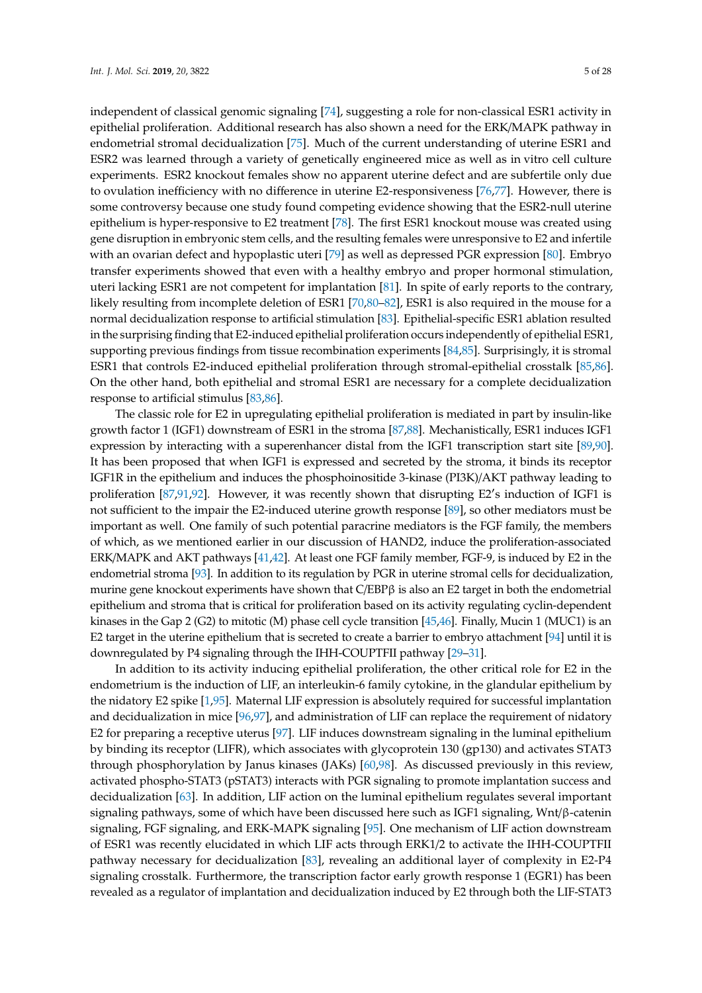independent of classical genomic signaling [\[74\]](#page-19-3), suggesting a role for non-classical ESR1 activity in epithelial proliferation. Additional research has also shown a need for the ERK/MAPK pathway in endometrial stromal decidualization [\[75\]](#page-19-4). Much of the current understanding of uterine ESR1 and ESR2 was learned through a variety of genetically engineered mice as well as in vitro cell culture experiments. ESR2 knockout females show no apparent uterine defect and are subfertile only due to ovulation inefficiency with no difference in uterine E2-responsiveness [\[76,](#page-19-5)[77\]](#page-19-6). However, there is some controversy because one study found competing evidence showing that the ESR2-null uterine epithelium is hyper-responsive to E2 treatment [\[78\]](#page-19-7). The first ESR1 knockout mouse was created using gene disruption in embryonic stem cells, and the resulting females were unresponsive to E2 and infertile with an ovarian defect and hypoplastic uteri [\[79\]](#page-19-8) as well as depressed PGR expression [\[80\]](#page-19-9). Embryo transfer experiments showed that even with a healthy embryo and proper hormonal stimulation, uteri lacking ESR1 are not competent for implantation [\[81\]](#page-19-10). In spite of early reports to the contrary, likely resulting from incomplete deletion of ESR1 [\[70,](#page-18-18)[80](#page-19-9)[–82\]](#page-19-11), ESR1 is also required in the mouse for a normal decidualization response to artificial stimulation [\[83\]](#page-19-12). Epithelial-specific ESR1 ablation resulted in the surprising finding that E2-induced epithelial proliferation occurs independently of epithelial ESR1, supporting previous findings from tissue recombination experiments [\[84](#page-19-13)[,85\]](#page-19-14). Surprisingly, it is stromal ESR1 that controls E2-induced epithelial proliferation through stromal-epithelial crosstalk [\[85,](#page-19-14)[86\]](#page-19-15). On the other hand, both epithelial and stromal ESR1 are necessary for a complete decidualization response to artificial stimulus [\[83,](#page-19-12)[86\]](#page-19-15).

The classic role for E2 in upregulating epithelial proliferation is mediated in part by insulin-like growth factor 1 (IGF1) downstream of ESR1 in the stroma [\[87,](#page-19-16)[88\]](#page-19-17). Mechanistically, ESR1 induces IGF1 expression by interacting with a superenhancer distal from the IGF1 transcription start site [\[89,](#page-19-18)[90\]](#page-20-0). It has been proposed that when IGF1 is expressed and secreted by the stroma, it binds its receptor IGF1R in the epithelium and induces the phosphoinositide 3-kinase (PI3K)/AKT pathway leading to proliferation [\[87,](#page-19-16)[91](#page-20-1)[,92\]](#page-20-2). However, it was recently shown that disrupting E2's induction of IGF1 is not sufficient to the impair the E2-induced uterine growth response [\[89\]](#page-19-18), so other mediators must be important as well. One family of such potential paracrine mediators is the FGF family, the members of which, as we mentioned earlier in our discussion of HAND2, induce the proliferation-associated ERK/MAPK and AKT pathways [\[41,](#page-17-7)[42\]](#page-17-8). At least one FGF family member, FGF-9, is induced by E2 in the endometrial stroma [\[93\]](#page-20-3). In addition to its regulation by PGR in uterine stromal cells for decidualization, murine gene knockout experiments have shown that C/EBPβ is also an E2 target in both the endometrial epithelium and stroma that is critical for proliferation based on its activity regulating cyclin-dependent kinases in the Gap 2 (G2) to mitotic (M) phase cell cycle transition [\[45](#page-17-11)[,46\]](#page-17-12). Finally, Mucin 1 (MUC1) is an E2 target in the uterine epithelium that is secreted to create a barrier to embryo attachment [\[94\]](#page-20-4) until it is downregulated by P4 signaling through the IHH-COUPTFII pathway [\[29–](#page-16-14)[31\]](#page-16-16).

In addition to its activity inducing epithelial proliferation, the other critical role for E2 in the endometrium is the induction of LIF, an interleukin-6 family cytokine, in the glandular epithelium by the nidatory E2 spike [\[1](#page-15-0)[,95\]](#page-20-5). Maternal LIF expression is absolutely required for successful implantation and decidualization in mice [\[96](#page-20-6)[,97\]](#page-20-7), and administration of LIF can replace the requirement of nidatory E2 for preparing a receptive uterus [\[97\]](#page-20-7). LIF induces downstream signaling in the luminal epithelium by binding its receptor (LIFR), which associates with glycoprotein 130 (gp130) and activates STAT3 through phosphorylation by Janus kinases (JAKs) [\[60,](#page-18-8)[98\]](#page-20-8). As discussed previously in this review, activated phospho-STAT3 (pSTAT3) interacts with PGR signaling to promote implantation success and decidualization [\[63\]](#page-18-11). In addition, LIF action on the luminal epithelium regulates several important signaling pathways, some of which have been discussed here such as IGF1 signaling, Wnt/β-catenin signaling, FGF signaling, and ERK-MAPK signaling [\[95\]](#page-20-5). One mechanism of LIF action downstream of ESR1 was recently elucidated in which LIF acts through ERK1/2 to activate the IHH-COUPTFII pathway necessary for decidualization [\[83\]](#page-19-12), revealing an additional layer of complexity in E2-P4 signaling crosstalk. Furthermore, the transcription factor early growth response 1 (EGR1) has been revealed as a regulator of implantation and decidualization induced by E2 through both the LIF-STAT3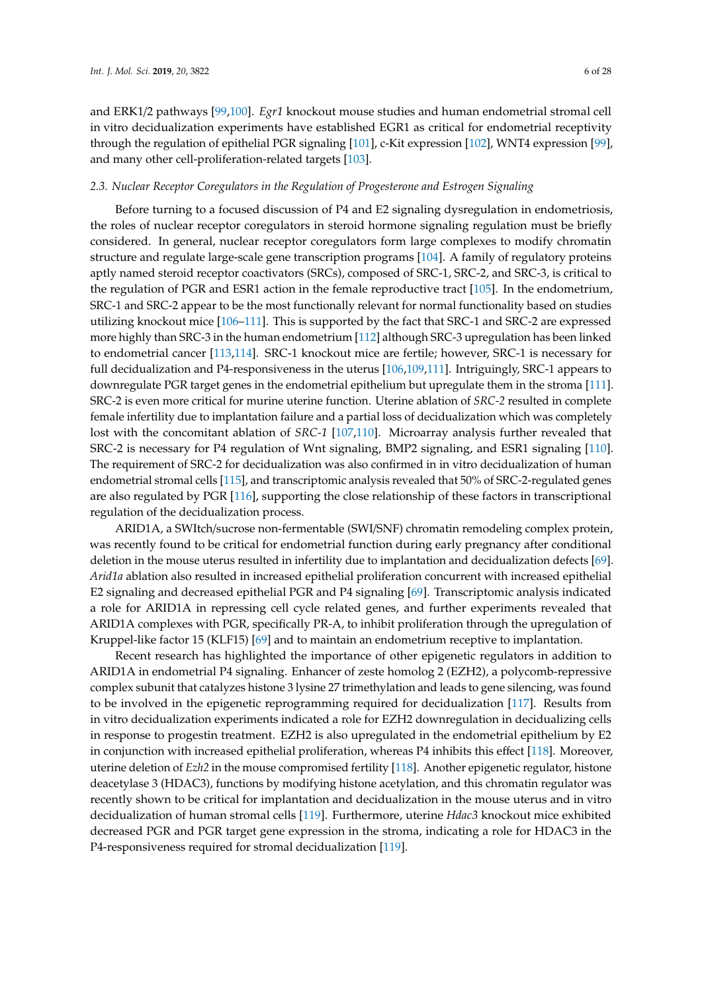and ERK1/2 pathways [\[99](#page-20-9)[,100\]](#page-20-10). *Egr1* knockout mouse studies and human endometrial stromal cell in vitro decidualization experiments have established EGR1 as critical for endometrial receptivity through the regulation of epithelial PGR signaling [\[101\]](#page-20-11), c-Kit expression [\[102\]](#page-20-12), WNT4 expression [\[99\]](#page-20-9), and many other cell-proliferation-related targets [\[103\]](#page-20-13).

## *2.3. Nuclear Receptor Coregulators in the Regulation of Progesterone and Estrogen Signaling*

Before turning to a focused discussion of P4 and E2 signaling dysregulation in endometriosis, the roles of nuclear receptor coregulators in steroid hormone signaling regulation must be briefly considered. In general, nuclear receptor coregulators form large complexes to modify chromatin structure and regulate large-scale gene transcription programs [\[104\]](#page-20-14). A family of regulatory proteins aptly named steroid receptor coactivators (SRCs), composed of SRC-1, SRC-2, and SRC-3, is critical to the regulation of PGR and ESR1 action in the female reproductive tract [\[105\]](#page-20-15). In the endometrium, SRC-1 and SRC-2 appear to be the most functionally relevant for normal functionality based on studies utilizing knockout mice [\[106](#page-20-16)[–111\]](#page-21-0). This is supported by the fact that SRC-1 and SRC-2 are expressed more highly than SRC-3 in the human endometrium [\[112\]](#page-21-1) although SRC-3 upregulation has been linked to endometrial cancer [\[113](#page-21-2)[,114\]](#page-21-3). SRC-1 knockout mice are fertile; however, SRC-1 is necessary for full decidualization and P4-responsiveness in the uterus [\[106](#page-20-16)[,109](#page-21-4)[,111\]](#page-21-0). Intriguingly, SRC-1 appears to downregulate PGR target genes in the endometrial epithelium but upregulate them in the stroma [\[111\]](#page-21-0). SRC-2 is even more critical for murine uterine function. Uterine ablation of *SRC-2* resulted in complete female infertility due to implantation failure and a partial loss of decidualization which was completely lost with the concomitant ablation of *SRC-1* [\[107](#page-20-17)[,110\]](#page-21-5). Microarray analysis further revealed that SRC-2 is necessary for P4 regulation of Wnt signaling, BMP2 signaling, and ESR1 signaling [\[110\]](#page-21-5). The requirement of SRC-2 for decidualization was also confirmed in in vitro decidualization of human endometrial stromal cells [\[115\]](#page-21-6), and transcriptomic analysis revealed that 50% of SRC-2-regulated genes are also regulated by PGR [\[116\]](#page-21-7), supporting the close relationship of these factors in transcriptional regulation of the decidualization process.

ARID1A, a SWItch/sucrose non-fermentable (SWI/SNF) chromatin remodeling complex protein, was recently found to be critical for endometrial function during early pregnancy after conditional deletion in the mouse uterus resulted in infertility due to implantation and decidualization defects [\[69\]](#page-18-17). *Arid1a* ablation also resulted in increased epithelial proliferation concurrent with increased epithelial E2 signaling and decreased epithelial PGR and P4 signaling [\[69\]](#page-18-17). Transcriptomic analysis indicated a role for ARID1A in repressing cell cycle related genes, and further experiments revealed that ARID1A complexes with PGR, specifically PR-A, to inhibit proliferation through the upregulation of Kruppel-like factor 15 (KLF15) [\[69\]](#page-18-17) and to maintain an endometrium receptive to implantation.

Recent research has highlighted the importance of other epigenetic regulators in addition to ARID1A in endometrial P4 signaling. Enhancer of zeste homolog 2 (EZH2), a polycomb-repressive complex subunit that catalyzes histone 3 lysine 27 trimethylation and leads to gene silencing, was found to be involved in the epigenetic reprogramming required for decidualization [\[117\]](#page-21-8). Results from in vitro decidualization experiments indicated a role for EZH2 downregulation in decidualizing cells in response to progestin treatment. EZH2 is also upregulated in the endometrial epithelium by E2 in conjunction with increased epithelial proliferation, whereas P4 inhibits this effect [\[118\]](#page-21-9). Moreover, uterine deletion of *Ezh2* in the mouse compromised fertility [\[118\]](#page-21-9). Another epigenetic regulator, histone deacetylase 3 (HDAC3), functions by modifying histone acetylation, and this chromatin regulator was recently shown to be critical for implantation and decidualization in the mouse uterus and in vitro decidualization of human stromal cells [\[119\]](#page-21-10). Furthermore, uterine *Hdac3* knockout mice exhibited decreased PGR and PGR target gene expression in the stroma, indicating a role for HDAC3 in the P4-responsiveness required for stromal decidualization [\[119\]](#page-21-10).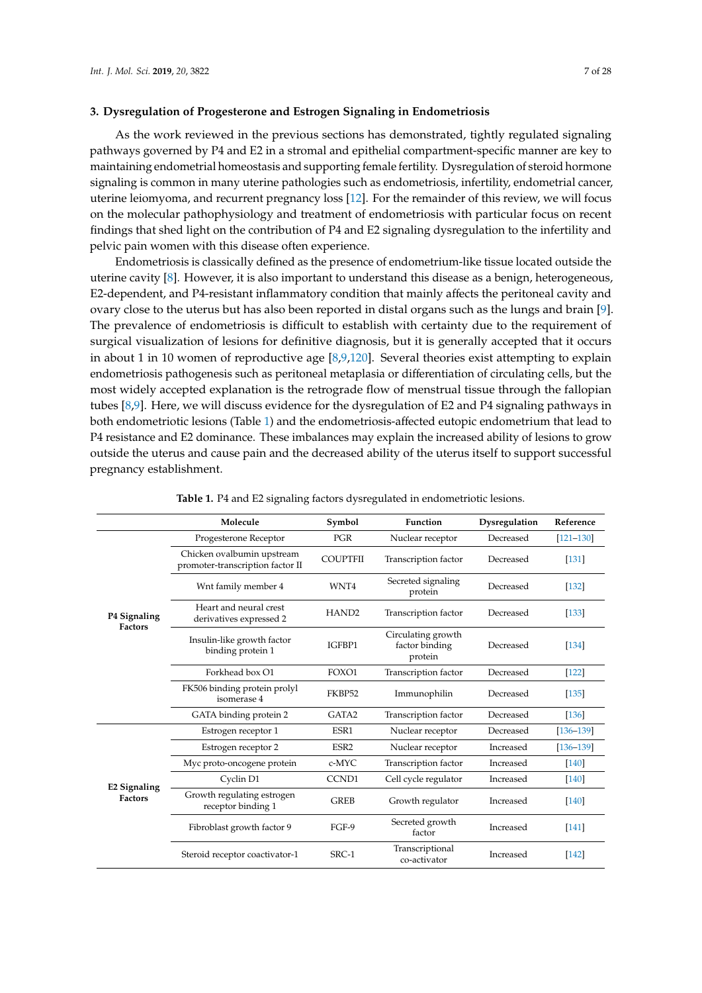#### **3. Dysregulation of Progesterone and Estrogen Signaling in Endometriosis**

As the work reviewed in the previous sections has demonstrated, tightly regulated signaling pathways governed by P4 and E2 in a stromal and epithelial compartment-specific manner are key to maintaining endometrial homeostasis and supporting female fertility. Dysregulation of steroid hormone signaling is common in many uterine pathologies such as endometriosis, infertility, endometrial cancer, uterine leiomyoma, and recurrent pregnancy loss [\[12\]](#page-15-11). For the remainder of this review, we will focus on the molecular pathophysiology and treatment of endometriosis with particular focus on recent findings that shed light on the contribution of P4 and E2 signaling dysregulation to the infertility and pelvic pain women with this disease often experience.

Endometriosis is classically defined as the presence of endometrium-like tissue located outside the uterine cavity [\[8\]](#page-15-6). However, it is also important to understand this disease as a benign, heterogeneous, E2-dependent, and P4-resistant inflammatory condition that mainly affects the peritoneal cavity and ovary close to the uterus but has also been reported in distal organs such as the lungs and brain [\[9\]](#page-15-7). The prevalence of endometriosis is difficult to establish with certainty due to the requirement of surgical visualization of lesions for definitive diagnosis, but it is generally accepted that it occurs in about 1 in 10 women of reproductive age [\[8](#page-15-6)[,9](#page-15-7)[,120\]](#page-21-11). Several theories exist attempting to explain endometriosis pathogenesis such as peritoneal metaplasia or differentiation of circulating cells, but the most widely accepted explanation is the retrograde flow of menstrual tissue through the fallopian tubes [\[8](#page-15-6)[,9\]](#page-15-7). Here, we will discuss evidence for the dysregulation of E2 and P4 signaling pathways in both endometriotic lesions (Table [1\)](#page-6-0) and the endometriosis-affected eutopic endometrium that lead to P4 resistance and E2 dominance. These imbalances may explain the increased ability of lesions to grow outside the uterus and cause pain and the decreased ability of the uterus itself to support successful pregnancy establishment.

<span id="page-6-0"></span>

|                                | Molecule                                                       | Symbol            | Function                                        | <b>Dysregulation</b> | Reference     |
|--------------------------------|----------------------------------------------------------------|-------------------|-------------------------------------------------|----------------------|---------------|
| P4 Signaling<br><b>Factors</b> | Progesterone Receptor                                          | PGR               | Nuclear receptor                                | Decreased            | $[121 - 130]$ |
|                                | Chicken ovalbumin upstream<br>promoter-transcription factor II | <b>COUPTEII</b>   | Transcription factor                            | Decreased            | $[131]$       |
|                                | Wnt family member 4                                            | WNT4              | Secreted signaling<br>protein                   | Decreased            | $[132]$       |
|                                | Heart and neural crest<br>derivatives expressed 2              | HAND <sub>2</sub> | Transcription factor                            | Decreased            | $[133]$       |
|                                | Insulin-like growth factor<br>binding protein 1                | IGFBP1            | Circulating growth<br>factor binding<br>protein | Decreased            | [134]         |
|                                | Forkhead box O1                                                | FOXO1             | Transcription factor                            | Decreased            | $[122]$       |
|                                | FK506 binding protein prolyl<br>isomerase 4                    | FKBP52            | Immunophilin                                    | Decreased            | $[135]$       |
|                                | GATA binding protein 2                                         | GATA2             | Transcription factor                            | Decreased            | $[136]$       |
| E2 Signaling<br><b>Factors</b> | Estrogen receptor 1                                            | ESR1              | Nuclear receptor                                | Decreased            | $[136 - 139]$ |
|                                | Estrogen receptor 2                                            | ESR <sub>2</sub>  | Nuclear receptor                                | Increased            | $[136 - 139]$ |
|                                | Myc proto-oncogene protein                                     | c-MYC             | Transcription factor                            | Increased            | $[140]$       |
|                                | Cyclin D1                                                      | CCND1             | Cell cycle regulator                            | Increased            | $[140]$       |
|                                | Growth regulating estrogen<br>receptor binding 1               | <b>GREB</b>       | Growth regulator                                | Increased            | $[140]$       |
|                                | Fibroblast growth factor 9                                     | FGF-9             | Secreted growth<br>factor                       | Increased            | [141]         |
|                                | Steroid receptor coactivator-1                                 | SRC-1             | Transcriptional<br>co-activator                 | Increased            | $[142]$       |

#### **Table 1.** P4 and E2 signaling factors dysregulated in endometriotic lesions.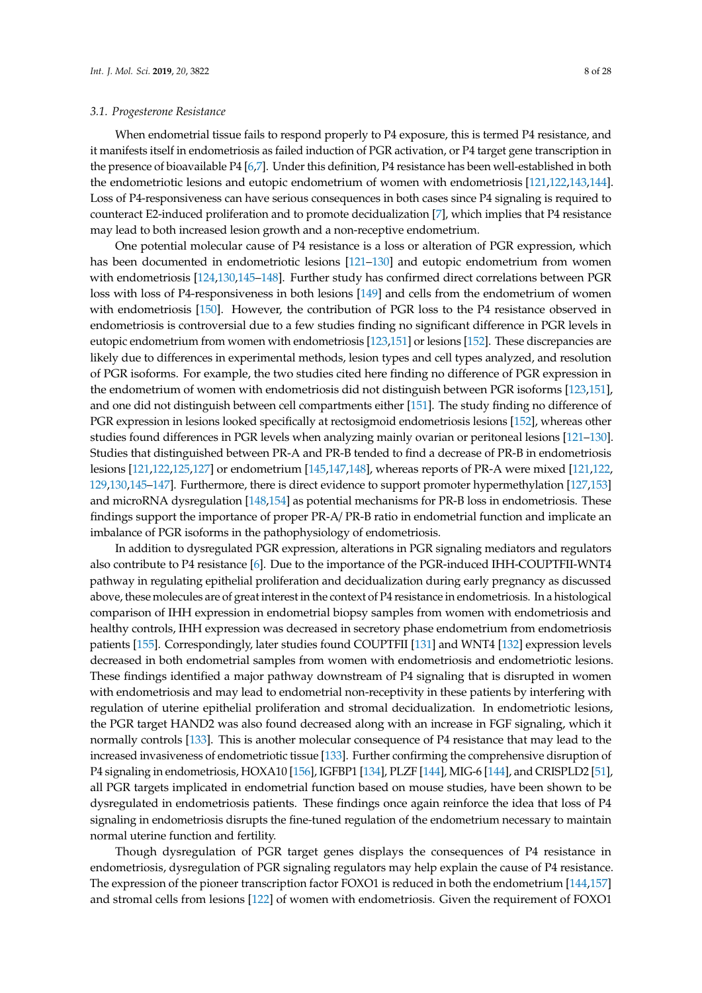#### *3.1. Progesterone Resistance*

When endometrial tissue fails to respond properly to P4 exposure, this is termed P4 resistance, and it manifests itself in endometriosis as failed induction of PGR activation, or P4 target gene transcription in the presence of bioavailable P4 [\[6,](#page-15-4)[7\]](#page-15-5). Under this definition, P4 resistance has been well-established in both the endometriotic lesions and eutopic endometrium of women with endometriosis [\[121,](#page-21-12)[122,](#page-21-13)[143,](#page-22-11)[144\]](#page-22-12). Loss of P4-responsiveness can have serious consequences in both cases since P4 signaling is required to counteract E2-induced proliferation and to promote decidualization [\[7\]](#page-15-5), which implies that P4 resistance may lead to both increased lesion growth and a non-receptive endometrium.

One potential molecular cause of P4 resistance is a loss or alteration of PGR expression, which has been documented in endometriotic lesions [\[121–](#page-21-12)[130\]](#page-22-0) and eutopic endometrium from women with endometriosis [\[124](#page-21-14)[,130](#page-22-0)[,145–](#page-22-13)[148\]](#page-23-0). Further study has confirmed direct correlations between PGR loss with loss of P4-responsiveness in both lesions [\[149\]](#page-23-1) and cells from the endometrium of women with endometriosis [\[150\]](#page-23-2). However, the contribution of PGR loss to the P4 resistance observed in endometriosis is controversial due to a few studies finding no significant difference in PGR levels in eutopic endometrium from women with endometriosis [\[123](#page-21-15)[,151\]](#page-23-3) or lesions [\[152\]](#page-23-4). These discrepancies are likely due to differences in experimental methods, lesion types and cell types analyzed, and resolution of PGR isoforms. For example, the two studies cited here finding no difference of PGR expression in the endometrium of women with endometriosis did not distinguish between PGR isoforms [\[123,](#page-21-15)[151\]](#page-23-3), and one did not distinguish between cell compartments either [\[151\]](#page-23-3). The study finding no difference of PGR expression in lesions looked specifically at rectosigmoid endometriosis lesions [\[152\]](#page-23-4), whereas other studies found differences in PGR levels when analyzing mainly ovarian or peritoneal lesions [\[121](#page-21-12)[–130\]](#page-22-0). Studies that distinguished between PR-A and PR-B tended to find a decrease of PR-B in endometriosis lesions [\[121](#page-21-12)[,122](#page-21-13)[,125,](#page-21-16)[127\]](#page-21-17) or endometrium [\[145](#page-22-13)[,147](#page-23-5)[,148\]](#page-23-0), whereas reports of PR-A were mixed [\[121](#page-21-12)[,122,](#page-21-13) [129,](#page-22-14)[130,](#page-22-0)[145–](#page-22-13)[147\]](#page-23-5). Furthermore, there is direct evidence to support promoter hypermethylation [\[127,](#page-21-17)[153\]](#page-23-6) and microRNA dysregulation [\[148,](#page-23-0)[154\]](#page-23-7) as potential mechanisms for PR-B loss in endometriosis. These findings support the importance of proper PR-A/ PR-B ratio in endometrial function and implicate an imbalance of PGR isoforms in the pathophysiology of endometriosis.

In addition to dysregulated PGR expression, alterations in PGR signaling mediators and regulators also contribute to P4 resistance [\[6\]](#page-15-4). Due to the importance of the PGR-induced IHH-COUPTFII-WNT4 pathway in regulating epithelial proliferation and decidualization during early pregnancy as discussed above, these molecules are of great interest in the context of P4 resistance in endometriosis. In a histological comparison of IHH expression in endometrial biopsy samples from women with endometriosis and healthy controls, IHH expression was decreased in secretory phase endometrium from endometriosis patients [\[155\]](#page-23-8). Correspondingly, later studies found COUPTFII [\[131\]](#page-22-1) and WNT4 [\[132\]](#page-22-2) expression levels decreased in both endometrial samples from women with endometriosis and endometriotic lesions. These findings identified a major pathway downstream of P4 signaling that is disrupted in women with endometriosis and may lead to endometrial non-receptivity in these patients by interfering with regulation of uterine epithelial proliferation and stromal decidualization. In endometriotic lesions, the PGR target HAND2 was also found decreased along with an increase in FGF signaling, which it normally controls [\[133\]](#page-22-3). This is another molecular consequence of P4 resistance that may lead to the increased invasiveness of endometriotic tissue [\[133\]](#page-22-3). Further confirming the comprehensive disruption of P4 signaling in endometriosis, HOXA10 [\[156\]](#page-23-9), IGFBP1 [\[134\]](#page-22-4), PLZF [\[144\]](#page-22-12), MIG-6 [\[144\]](#page-22-12), and CRISPLD2 [\[51\]](#page-17-17), all PGR targets implicated in endometrial function based on mouse studies, have been shown to be dysregulated in endometriosis patients. These findings once again reinforce the idea that loss of P4 signaling in endometriosis disrupts the fine-tuned regulation of the endometrium necessary to maintain normal uterine function and fertility.

Though dysregulation of PGR target genes displays the consequences of P4 resistance in endometriosis, dysregulation of PGR signaling regulators may help explain the cause of P4 resistance. The expression of the pioneer transcription factor FOXO1 is reduced in both the endometrium [\[144,](#page-22-12)[157\]](#page-23-10) and stromal cells from lesions [\[122\]](#page-21-13) of women with endometriosis. Given the requirement of FOXO1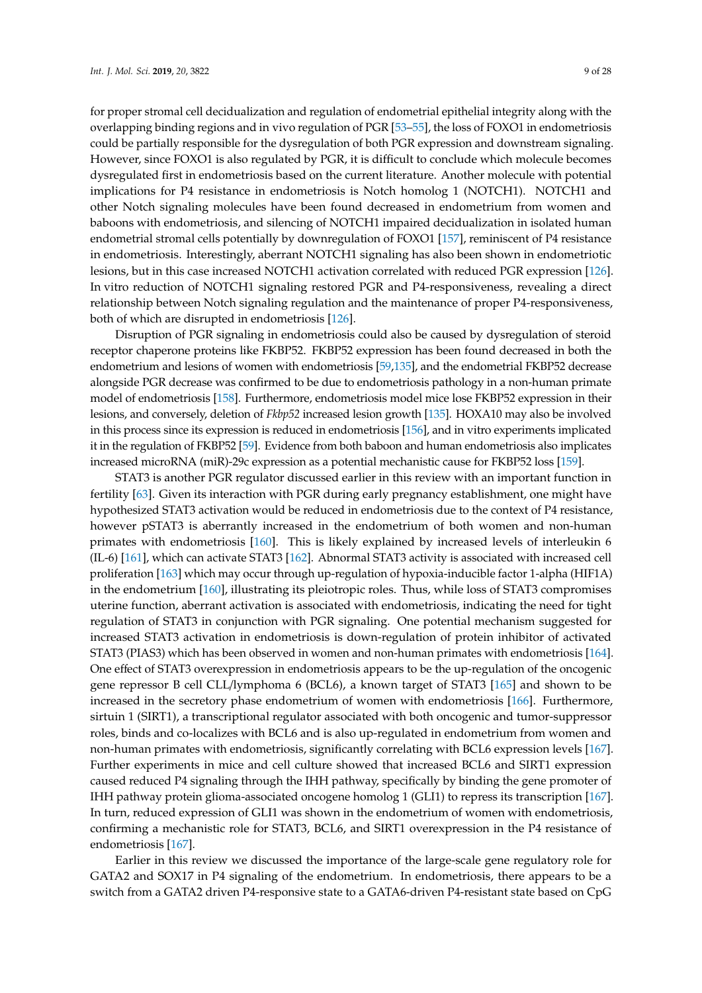for proper stromal cell decidualization and regulation of endometrial epithelial integrity along with the overlapping binding regions and in vivo regulation of PGR [\[53–](#page-18-1)[55\]](#page-18-3), the loss of FOXO1 in endometriosis could be partially responsible for the dysregulation of both PGR expression and downstream signaling. However, since FOXO1 is also regulated by PGR, it is difficult to conclude which molecule becomes dysregulated first in endometriosis based on the current literature. Another molecule with potential implications for P4 resistance in endometriosis is Notch homolog 1 (NOTCH1). NOTCH1 and other Notch signaling molecules have been found decreased in endometrium from women and baboons with endometriosis, and silencing of NOTCH1 impaired decidualization in isolated human endometrial stromal cells potentially by downregulation of FOXO1 [\[157\]](#page-23-10), reminiscent of P4 resistance in endometriosis. Interestingly, aberrant NOTCH1 signaling has also been shown in endometriotic lesions, but in this case increased NOTCH1 activation correlated with reduced PGR expression [\[126\]](#page-21-18). In vitro reduction of NOTCH1 signaling restored PGR and P4-responsiveness, revealing a direct relationship between Notch signaling regulation and the maintenance of proper P4-responsiveness, both of which are disrupted in endometriosis [\[126\]](#page-21-18).

Disruption of PGR signaling in endometriosis could also be caused by dysregulation of steroid receptor chaperone proteins like FKBP52. FKBP52 expression has been found decreased in both the endometrium and lesions of women with endometriosis [\[59](#page-18-7)[,135\]](#page-22-5), and the endometrial FKBP52 decrease alongside PGR decrease was confirmed to be due to endometriosis pathology in a non-human primate model of endometriosis [\[158\]](#page-23-11). Furthermore, endometriosis model mice lose FKBP52 expression in their lesions, and conversely, deletion of *Fkbp52* increased lesion growth [\[135\]](#page-22-5). HOXA10 may also be involved in this process since its expression is reduced in endometriosis [\[156\]](#page-23-9), and in vitro experiments implicated it in the regulation of FKBP52 [\[59\]](#page-18-7). Evidence from both baboon and human endometriosis also implicates increased microRNA (miR)-29c expression as a potential mechanistic cause for FKBP52 loss [\[159\]](#page-23-12).

STAT3 is another PGR regulator discussed earlier in this review with an important function in fertility [\[63\]](#page-18-11). Given its interaction with PGR during early pregnancy establishment, one might have hypothesized STAT3 activation would be reduced in endometriosis due to the context of P4 resistance, however pSTAT3 is aberrantly increased in the endometrium of both women and non-human primates with endometriosis [\[160\]](#page-23-13). This is likely explained by increased levels of interleukin 6 (IL-6) [\[161\]](#page-23-14), which can activate STAT3 [\[162\]](#page-23-15). Abnormal STAT3 activity is associated with increased cell proliferation [\[163\]](#page-23-16) which may occur through up-regulation of hypoxia-inducible factor 1-alpha (HIF1A) in the endometrium [\[160\]](#page-23-13), illustrating its pleiotropic roles. Thus, while loss of STAT3 compromises uterine function, aberrant activation is associated with endometriosis, indicating the need for tight regulation of STAT3 in conjunction with PGR signaling. One potential mechanism suggested for increased STAT3 activation in endometriosis is down-regulation of protein inhibitor of activated STAT3 (PIAS3) which has been observed in women and non-human primates with endometriosis [\[164\]](#page-23-17). One effect of STAT3 overexpression in endometriosis appears to be the up-regulation of the oncogenic gene repressor B cell CLL/lymphoma 6 (BCL6), a known target of STAT3 [\[165\]](#page-24-0) and shown to be increased in the secretory phase endometrium of women with endometriosis [\[166\]](#page-24-1). Furthermore, sirtuin 1 (SIRT1), a transcriptional regulator associated with both oncogenic and tumor-suppressor roles, binds and co-localizes with BCL6 and is also up-regulated in endometrium from women and non-human primates with endometriosis, significantly correlating with BCL6 expression levels [\[167\]](#page-24-2). Further experiments in mice and cell culture showed that increased BCL6 and SIRT1 expression caused reduced P4 signaling through the IHH pathway, specifically by binding the gene promoter of IHH pathway protein glioma-associated oncogene homolog 1 (GLI1) to repress its transcription [\[167\]](#page-24-2). In turn, reduced expression of GLI1 was shown in the endometrium of women with endometriosis, confirming a mechanistic role for STAT3, BCL6, and SIRT1 overexpression in the P4 resistance of endometriosis [\[167\]](#page-24-2).

Earlier in this review we discussed the importance of the large-scale gene regulatory role for GATA2 and SOX17 in P4 signaling of the endometrium. In endometriosis, there appears to be a switch from a GATA2 driven P4-responsive state to a GATA6-driven P4-resistant state based on CpG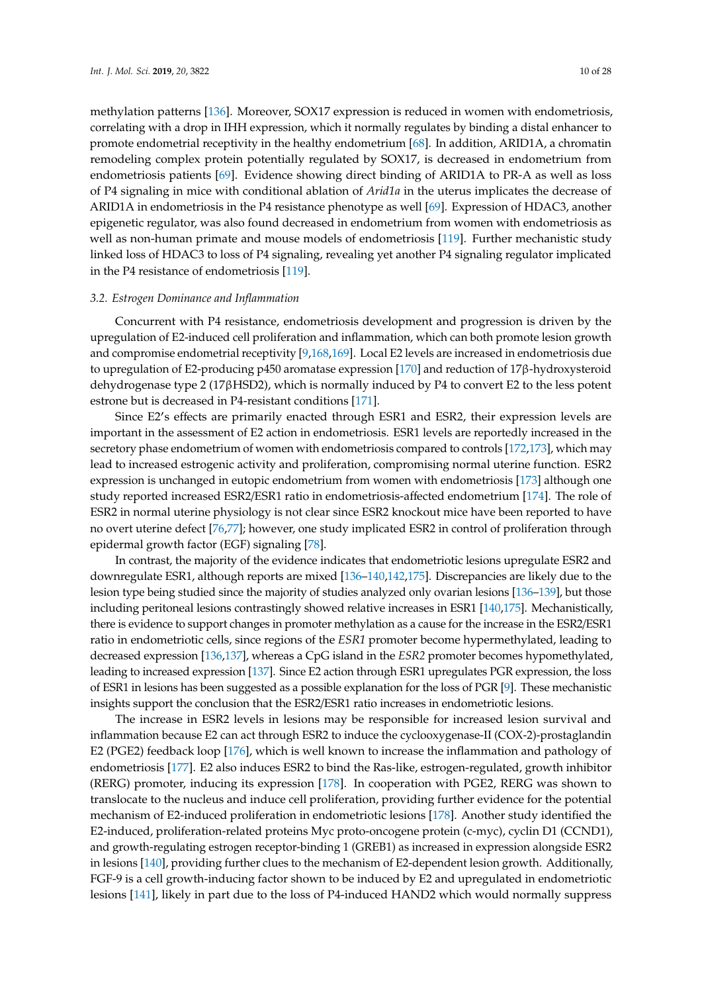methylation patterns [\[136\]](#page-22-6). Moreover, SOX17 expression is reduced in women with endometriosis, correlating with a drop in IHH expression, which it normally regulates by binding a distal enhancer to promote endometrial receptivity in the healthy endometrium [\[68\]](#page-18-16). In addition, ARID1A, a chromatin remodeling complex protein potentially regulated by SOX17, is decreased in endometrium from endometriosis patients [\[69\]](#page-18-17). Evidence showing direct binding of ARID1A to PR-A as well as loss of P4 signaling in mice with conditional ablation of *Arid1a* in the uterus implicates the decrease of ARID1A in endometriosis in the P4 resistance phenotype as well [\[69\]](#page-18-17). Expression of HDAC3, another epigenetic regulator, was also found decreased in endometrium from women with endometriosis as well as non-human primate and mouse models of endometriosis [\[119\]](#page-21-10). Further mechanistic study linked loss of HDAC3 to loss of P4 signaling, revealing yet another P4 signaling regulator implicated in the P4 resistance of endometriosis [\[119\]](#page-21-10).

#### *3.2. Estrogen Dominance and Inflammation*

Concurrent with P4 resistance, endometriosis development and progression is driven by the upregulation of E2-induced cell proliferation and inflammation, which can both promote lesion growth and compromise endometrial receptivity [\[9,](#page-15-7)[168](#page-24-3)[,169\]](#page-24-4). Local E2 levels are increased in endometriosis due to upregulation of E2-producing p450 aromatase expression [\[170\]](#page-24-5) and reduction of 17β-hydroxysteroid dehydrogenase type 2 (17βHSD2), which is normally induced by P4 to convert E2 to the less potent estrone but is decreased in P4-resistant conditions [\[171\]](#page-24-6).

Since E2's effects are primarily enacted through ESR1 and ESR2, their expression levels are important in the assessment of E2 action in endometriosis. ESR1 levels are reportedly increased in the secretory phase endometrium of women with endometriosis compared to controls [\[172](#page-24-7)[,173\]](#page-24-8), which may lead to increased estrogenic activity and proliferation, compromising normal uterine function. ESR2 expression is unchanged in eutopic endometrium from women with endometriosis [\[173\]](#page-24-8) although one study reported increased ESR2/ESR1 ratio in endometriosis-affected endometrium [\[174\]](#page-24-9). The role of ESR2 in normal uterine physiology is not clear since ESR2 knockout mice have been reported to have no overt uterine defect [\[76,](#page-19-5)[77\]](#page-19-6); however, one study implicated ESR2 in control of proliferation through epidermal growth factor (EGF) signaling [\[78\]](#page-19-7).

In contrast, the majority of the evidence indicates that endometriotic lesions upregulate ESR2 and downregulate ESR1, although reports are mixed [\[136–](#page-22-6)[140](#page-22-8)[,142](#page-22-10)[,175\]](#page-24-10). Discrepancies are likely due to the lesion type being studied since the majority of studies analyzed only ovarian lesions [\[136](#page-22-6)[–139\]](#page-22-7), but those including peritoneal lesions contrastingly showed relative increases in ESR1 [\[140,](#page-22-8)[175\]](#page-24-10). Mechanistically, there is evidence to support changes in promoter methylation as a cause for the increase in the ESR2/ESR1 ratio in endometriotic cells, since regions of the *ESR1* promoter become hypermethylated, leading to decreased expression [\[136](#page-22-6)[,137\]](#page-22-15), whereas a CpG island in the *ESR2* promoter becomes hypomethylated, leading to increased expression [\[137\]](#page-22-15). Since E2 action through ESR1 upregulates PGR expression, the loss of ESR1 in lesions has been suggested as a possible explanation for the loss of PGR [\[9\]](#page-15-7). These mechanistic insights support the conclusion that the ESR2/ESR1 ratio increases in endometriotic lesions.

The increase in ESR2 levels in lesions may be responsible for increased lesion survival and inflammation because E2 can act through ESR2 to induce the cyclooxygenase-II (COX-2)-prostaglandin E2 (PGE2) feedback loop [\[176\]](#page-24-11), which is well known to increase the inflammation and pathology of endometriosis [\[177\]](#page-24-12). E2 also induces ESR2 to bind the Ras-like, estrogen-regulated, growth inhibitor (RERG) promoter, inducing its expression [\[178\]](#page-24-13). In cooperation with PGE2, RERG was shown to translocate to the nucleus and induce cell proliferation, providing further evidence for the potential mechanism of E2-induced proliferation in endometriotic lesions [\[178\]](#page-24-13). Another study identified the E2-induced, proliferation-related proteins Myc proto-oncogene protein (c-myc), cyclin D1 (CCND1), and growth-regulating estrogen receptor-binding 1 (GREB1) as increased in expression alongside ESR2 in lesions [\[140\]](#page-22-8), providing further clues to the mechanism of E2-dependent lesion growth. Additionally, FGF-9 is a cell growth-inducing factor shown to be induced by E2 and upregulated in endometriotic lesions [\[141\]](#page-22-9), likely in part due to the loss of P4-induced HAND2 which would normally suppress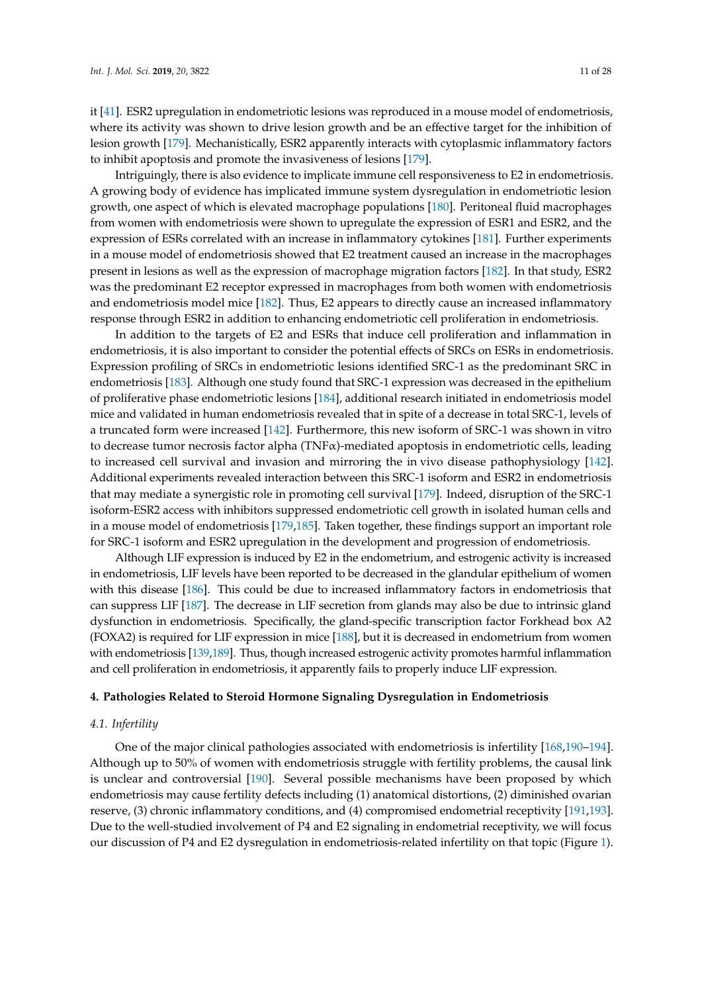it [\[41\]](#page-17-7). ESR2 upregulation in endometriotic lesions was reproduced in a mouse model of endometriosis, where its activity was shown to drive lesion growth and be an effective target for the inhibition of lesion growth [\[179\]](#page-24-14). Mechanistically, ESR2 apparently interacts with cytoplasmic inflammatory factors to inhibit apoptosis and promote the invasiveness of lesions [\[179\]](#page-24-14).

Intriguingly, there is also evidence to implicate immune cell responsiveness to E2 in endometriosis. A growing body of evidence has implicated immune system dysregulation in endometriotic lesion growth, one aspect of which is elevated macrophage populations [\[180\]](#page-24-15). Peritoneal fluid macrophages from women with endometriosis were shown to upregulate the expression of ESR1 and ESR2, and the expression of ESRs correlated with an increase in inflammatory cytokines [\[181\]](#page-24-16). Further experiments in a mouse model of endometriosis showed that E2 treatment caused an increase in the macrophages present in lesions as well as the expression of macrophage migration factors [\[182\]](#page-24-17). In that study, ESR2 was the predominant E2 receptor expressed in macrophages from both women with endometriosis and endometriosis model mice [\[182\]](#page-24-17). Thus, E2 appears to directly cause an increased inflammatory response through ESR2 in addition to enhancing endometriotic cell proliferation in endometriosis.

In addition to the targets of E2 and ESRs that induce cell proliferation and inflammation in endometriosis, it is also important to consider the potential effects of SRCs on ESRs in endometriosis. Expression profiling of SRCs in endometriotic lesions identified SRC-1 as the predominant SRC in endometriosis [\[183\]](#page-24-18). Although one study found that SRC-1 expression was decreased in the epithelium of proliferative phase endometriotic lesions [\[184\]](#page-24-19), additional research initiated in endometriosis model mice and validated in human endometriosis revealed that in spite of a decrease in total SRC-1, levels of a truncated form were increased [\[142\]](#page-22-10). Furthermore, this new isoform of SRC-1 was shown in vitro to decrease tumor necrosis factor alpha (TNFα)-mediated apoptosis in endometriotic cells, leading to increased cell survival and invasion and mirroring the in vivo disease pathophysiology [\[142\]](#page-22-10). Additional experiments revealed interaction between this SRC-1 isoform and ESR2 in endometriosis that may mediate a synergistic role in promoting cell survival [\[179\]](#page-24-14). Indeed, disruption of the SRC-1 isoform-ESR2 access with inhibitors suppressed endometriotic cell growth in isolated human cells and in a mouse model of endometriosis [\[179](#page-24-14)[,185\]](#page-25-0). Taken together, these findings support an important role for SRC-1 isoform and ESR2 upregulation in the development and progression of endometriosis.

Although LIF expression is induced by E2 in the endometrium, and estrogenic activity is increased in endometriosis, LIF levels have been reported to be decreased in the glandular epithelium of women with this disease [\[186\]](#page-25-1). This could be due to increased inflammatory factors in endometriosis that can suppress LIF [\[187\]](#page-25-2). The decrease in LIF secretion from glands may also be due to intrinsic gland dysfunction in endometriosis. Specifically, the gland-specific transcription factor Forkhead box A2 (FOXA2) is required for LIF expression in mice [\[188\]](#page-25-3), but it is decreased in endometrium from women with endometriosis [\[139,](#page-22-7)[189\]](#page-25-4). Thus, though increased estrogenic activity promotes harmful inflammation and cell proliferation in endometriosis, it apparently fails to properly induce LIF expression.

#### **4. Pathologies Related to Steroid Hormone Signaling Dysregulation in Endometriosis**

#### *4.1. Infertility*

One of the major clinical pathologies associated with endometriosis is infertility [\[168,](#page-24-3)[190–](#page-25-5)[194\]](#page-25-6). Although up to 50% of women with endometriosis struggle with fertility problems, the causal link is unclear and controversial [\[190\]](#page-25-5). Several possible mechanisms have been proposed by which endometriosis may cause fertility defects including (1) anatomical distortions, (2) diminished ovarian reserve, (3) chronic inflammatory conditions, and (4) compromised endometrial receptivity [\[191,](#page-25-7)[193\]](#page-25-8). Due to the well-studied involvement of P4 and E2 signaling in endometrial receptivity, we will focus our discussion of P4 and E2 dysregulation in endometriosis-related infertility on that topic (Figure [1\)](#page-11-0).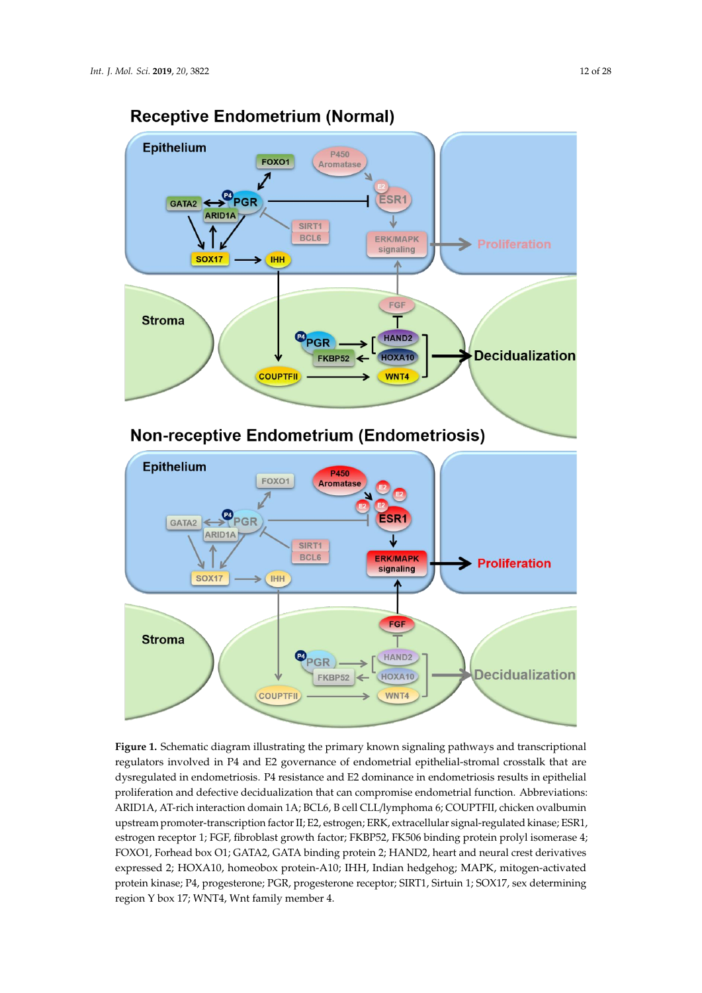

# <span id="page-11-0"></span>**Receptive Endometrium (Normal)**

**Figure 1.** Schematic diagram illustrating the primary known signaling pathways and transcriptional **Figure 1.** Schematic diagram illustrating the primary known signaling pathways and transcriptional regulators involved in P4 and E2 governance of endometrial epithelial-stromal crosstalk that are regulators involved in P4 and E2 governance of endometrial epithelial-stromal crosstalk that are dysregulated in endometriosis. P4 resistance and E2 dominance in endometriosis results in epithelial dysregulated in endometriosis. P4 resistance and E2 dominance in endometriosis results in epithelial proliferation and defective decidualization that can compromise endometrial function. proliferation and defective decidualization that can compromise endometrial function. Abbreviations: ARID1A, AT-rich interaction domain 1A; BCL6, B cell CLL/lymphoma 6; COUPTFII, chicken ovalbumin upstream promoter-transcription factor II; E2, estrogen; ERK, extracellular signal-regulated kinase; ESR1, estrogen receptor 1; FGF, fibroblast growth factor; FKBP52, FK506 binding protein prolyl isomerase 4; FOXO1, Forhead box O1; GATA2, GATA binding protein 2; HAND2, heart and neural crest derivatives expressed 2; HOXA10, homeobox protein-A10; IHH, Indian hedgehog; MAPK, mitogen-activated n<br>protein kinase; P4, progesterone; PGR, progesterone receptor; SIRT1, Sirtuin 1; SOX17, sex determining region Y box 17; WNT4, Wnt family member 4.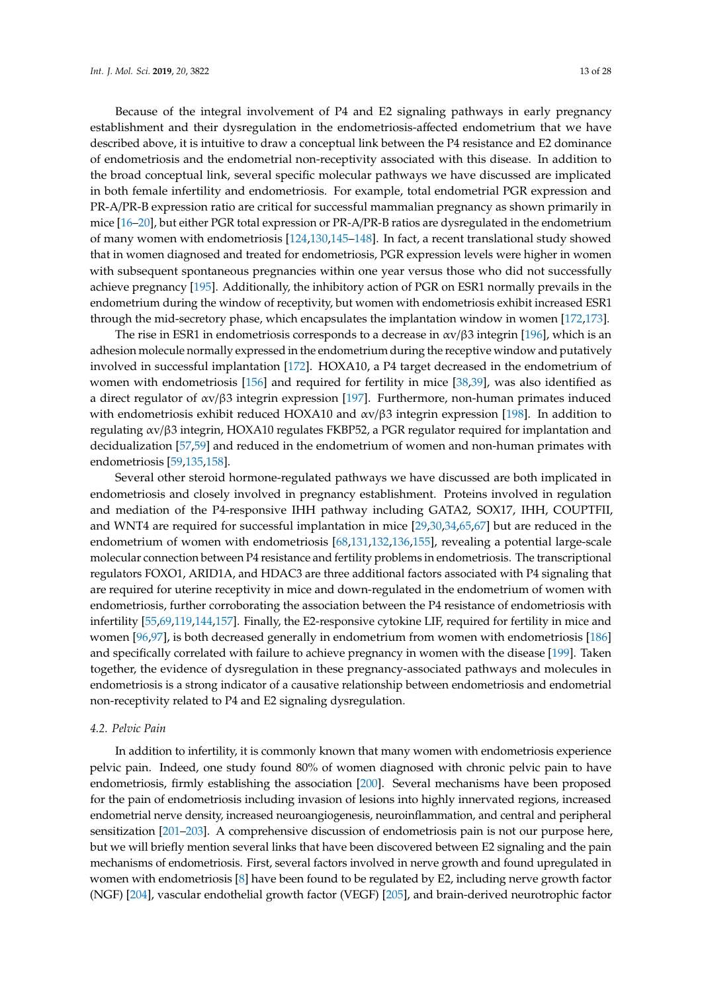Because of the integral involvement of P4 and E2 signaling pathways in early pregnancy establishment and their dysregulation in the endometriosis-affected endometrium that we have described above, it is intuitive to draw a conceptual link between the P4 resistance and E2 dominance of endometriosis and the endometrial non-receptivity associated with this disease. In addition to the broad conceptual link, several specific molecular pathways we have discussed are implicated in both female infertility and endometriosis. For example, total endometrial PGR expression and PR-A/PR-B expression ratio are critical for successful mammalian pregnancy as shown primarily in mice [\[16](#page-16-1)[–20\]](#page-16-5), but either PGR total expression or PR-A/PR-B ratios are dysregulated in the endometrium of many women with endometriosis [\[124,](#page-21-14)[130,](#page-22-0)[145–](#page-22-13)[148\]](#page-23-0). In fact, a recent translational study showed that in women diagnosed and treated for endometriosis, PGR expression levels were higher in women with subsequent spontaneous pregnancies within one year versus those who did not successfully achieve pregnancy [\[195\]](#page-25-9). Additionally, the inhibitory action of PGR on ESR1 normally prevails in the endometrium during the window of receptivity, but women with endometriosis exhibit increased ESR1 through the mid-secretory phase, which encapsulates the implantation window in women [\[172,](#page-24-7)[173\]](#page-24-8).

The rise in ESR1 in endometriosis corresponds to a decrease in  $\alpha v/\beta$ 3 integrin [\[196\]](#page-25-10), which is an adhesion molecule normally expressed in the endometrium during the receptive window and putatively involved in successful implantation [\[172\]](#page-24-7). HOXA10, a P4 target decreased in the endometrium of women with endometriosis [\[156\]](#page-23-9) and required for fertility in mice [\[38,](#page-17-4)[39\]](#page-17-5), was also identified as a direct regulator of  $αv/β3$  integrin expression [\[197\]](#page-25-11). Furthermore, non-human primates induced with endometriosis exhibit reduced HOXA10 and  $\alpha$ v/β3 integrin expression [\[198\]](#page-25-12). In addition to regulating αv/β3 integrin, HOXA10 regulates FKBP52, a PGR regulator required for implantation and decidualization [\[57](#page-18-5)[,59\]](#page-18-7) and reduced in the endometrium of women and non-human primates with endometriosis [\[59](#page-18-7)[,135](#page-22-5)[,158\]](#page-23-11).

Several other steroid hormone-regulated pathways we have discussed are both implicated in endometriosis and closely involved in pregnancy establishment. Proteins involved in regulation and mediation of the P4-responsive IHH pathway including GATA2, SOX17, IHH, COUPTFII, and WNT4 are required for successful implantation in mice [\[29](#page-16-14)[,30](#page-16-15)[,34](#page-17-0)[,65](#page-18-13)[,67\]](#page-18-15) but are reduced in the endometrium of women with endometriosis [\[68,](#page-18-16)[131,](#page-22-1)[132,](#page-22-2)[136,](#page-22-6)[155\]](#page-23-8), revealing a potential large-scale molecular connection between P4 resistance and fertility problems in endometriosis. The transcriptional regulators FOXO1, ARID1A, and HDAC3 are three additional factors associated with P4 signaling that are required for uterine receptivity in mice and down-regulated in the endometrium of women with endometriosis, further corroborating the association between the P4 resistance of endometriosis with infertility [\[55,](#page-18-3)[69](#page-18-17)[,119](#page-21-10)[,144](#page-22-12)[,157\]](#page-23-10). Finally, the E2-responsive cytokine LIF, required for fertility in mice and women [\[96](#page-20-6)[,97\]](#page-20-7), is both decreased generally in endometrium from women with endometriosis [\[186\]](#page-25-1) and specifically correlated with failure to achieve pregnancy in women with the disease [\[199\]](#page-25-13). Taken together, the evidence of dysregulation in these pregnancy-associated pathways and molecules in endometriosis is a strong indicator of a causative relationship between endometriosis and endometrial non-receptivity related to P4 and E2 signaling dysregulation.

### *4.2. Pelvic Pain*

In addition to infertility, it is commonly known that many women with endometriosis experience pelvic pain. Indeed, one study found 80% of women diagnosed with chronic pelvic pain to have endometriosis, firmly establishing the association [\[200\]](#page-25-14). Several mechanisms have been proposed for the pain of endometriosis including invasion of lesions into highly innervated regions, increased endometrial nerve density, increased neuroangiogenesis, neuroinflammation, and central and peripheral sensitization [\[201–](#page-25-15)[203\]](#page-25-16). A comprehensive discussion of endometriosis pain is not our purpose here, but we will briefly mention several links that have been discovered between E2 signaling and the pain mechanisms of endometriosis. First, several factors involved in nerve growth and found upregulated in women with endometriosis [\[8\]](#page-15-6) have been found to be regulated by E2, including nerve growth factor (NGF) [\[204\]](#page-25-17), vascular endothelial growth factor (VEGF) [\[205\]](#page-25-18), and brain-derived neurotrophic factor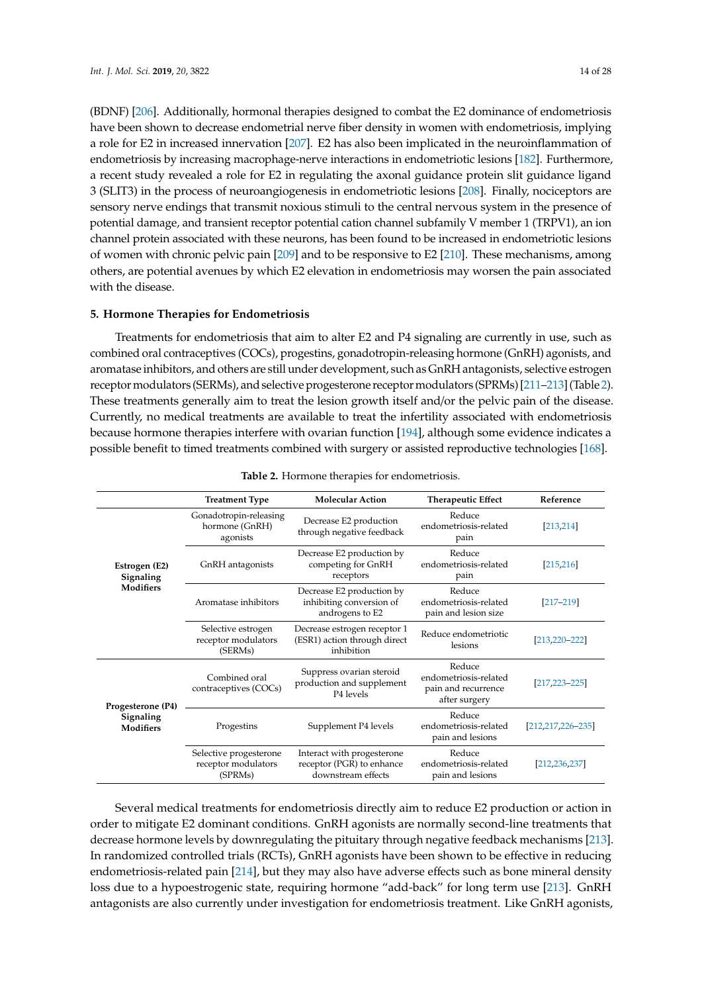(BDNF) [\[206\]](#page-25-19). Additionally, hormonal therapies designed to combat the E2 dominance of endometriosis have been shown to decrease endometrial nerve fiber density in women with endometriosis, implying a role for E2 in increased innervation [\[207\]](#page-25-20). E2 has also been implicated in the neuroinflammation of endometriosis by increasing macrophage-nerve interactions in endometriotic lesions [\[182\]](#page-24-17). Furthermore, a recent study revealed a role for E2 in regulating the axonal guidance protein slit guidance ligand 3 (SLIT3) in the process of neuroangiogenesis in endometriotic lesions [\[208\]](#page-26-0). Finally, nociceptors are sensory nerve endings that transmit noxious stimuli to the central nervous system in the presence of potential damage, and transient receptor potential cation channel subfamily V member 1 (TRPV1), an ion channel protein associated with these neurons, has been found to be increased in endometriotic lesions of women with chronic pelvic pain [\[209\]](#page-26-1) and to be responsive to E2 [\[210\]](#page-26-2). These mechanisms, among others, are potential avenues by which E2 elevation in endometriosis may worsen the pain associated with the disease.

## **5. Hormone Therapies for Endometriosis**

Treatments for endometriosis that aim to alter E2 and P4 signaling are currently in use, such as combined oral contraceptives (COCs), progestins, gonadotropin-releasing hormone (GnRH) agonists, and aromatase inhibitors, and others are still under development, such as GnRH antagonists, selective estrogen receptormodulators (SERMs), and selective progesterone receptormodulators (SPRMs) [\[211–](#page-26-3)[213\]](#page-26-4) (Table [2\)](#page-13-0). These treatments generally aim to treat the lesion growth itself and/or the pelvic pain of the disease. Currently, no medical treatments are available to treat the infertility associated with endometriosis because hormone therapies interfere with ovarian function [\[194\]](#page-25-6), although some evidence indicates a possible benefit to timed treatments combined with surgery or assisted reproductive technologies [\[168\]](#page-24-3).

<span id="page-13-0"></span>

|                               | <b>Treatment Type</b>                                    | <b>Molecular Action</b>                                                        | <b>Therapeutic Effect</b>                                               | Reference               |
|-------------------------------|----------------------------------------------------------|--------------------------------------------------------------------------------|-------------------------------------------------------------------------|-------------------------|
|                               | Gonadotropin-releasing<br>hormone (GnRH)<br>agonists     | Decrease E2 production<br>through negative feedback                            | Reduce<br>endometriosis-related<br>pain                                 | [213, 214]              |
| Estrogen (E2)<br>Signaling    | GnRH antagonists                                         | Decrease E2 production by<br>competing for GnRH<br>receptors                   | Reduce<br>endometriosis-related<br>pain                                 | [215, 216]              |
| <b>Modifiers</b>              | Aromatase inhibitors                                     | Decrease E2 production by<br>inhibiting conversion of<br>androgens to E2       | Reduce<br>endometriosis-related<br>pain and lesion size                 | $[217 - 219]$           |
|                               | Selective estrogen<br>receptor modulators<br>(SERMs)     | Decrease estrogen receptor 1<br>(ESR1) action through direct<br>inhibition     | Reduce endometriotic<br>lesions                                         | $[213, 220 - 222]$      |
| Progesterone (P4)             | Combined oral<br>contraceptives (COCs)                   | Suppress ovarian steroid<br>production and supplement<br>P <sub>4</sub> levels | Reduce<br>endometriosis-related<br>pain and recurrence<br>after surgery | $[217, 223 - 225]$      |
| Signaling<br><b>Modifiers</b> | Progestins                                               | Supplement P4 levels                                                           | Reduce<br>endometriosis-related<br>pain and lesions                     | $[212, 217, 226 - 235]$ |
|                               | Selective progesterone<br>receptor modulators<br>(SPRMs) | Interact with progesterone<br>receptor (PGR) to enhance<br>downstream effects  | Reduce<br>endometriosis-related<br>pain and lesions                     | [212, 236, 237]         |

**Table 2.** Hormone therapies for endometriosis.

Several medical treatments for endometriosis directly aim to reduce E2 production or action in order to mitigate E2 dominant conditions. GnRH agonists are normally second-line treatments that decrease hormone levels by downregulating the pituitary through negative feedback mechanisms [\[213\]](#page-26-4). In randomized controlled trials (RCTs), GnRH agonists have been shown to be effective in reducing endometriosis-related pain [\[214\]](#page-26-5), but they may also have adverse effects such as bone mineral density loss due to a hypoestrogenic state, requiring hormone "add-back" for long term use [\[213\]](#page-26-4). GnRH antagonists are also currently under investigation for endometriosis treatment. Like GnRH agonists,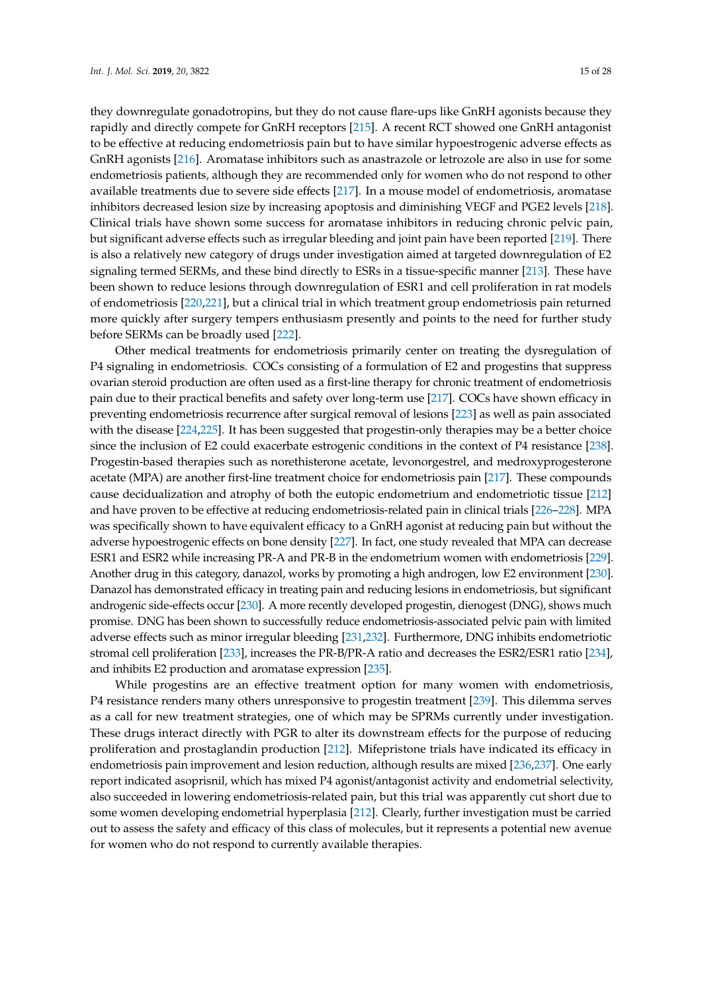they downregulate gonadotropins, but they do not cause flare-ups like GnRH agonists because they rapidly and directly compete for GnRH receptors [\[215\]](#page-26-6). A recent RCT showed one GnRH antagonist to be effective at reducing endometriosis pain but to have similar hypoestrogenic adverse effects as GnRH agonists [\[216\]](#page-26-7). Aromatase inhibitors such as anastrazole or letrozole are also in use for some endometriosis patients, although they are recommended only for women who do not respond to other available treatments due to severe side effects [\[217\]](#page-26-8). In a mouse model of endometriosis, aromatase inhibitors decreased lesion size by increasing apoptosis and diminishing VEGF and PGE2 levels [\[218\]](#page-26-16). Clinical trials have shown some success for aromatase inhibitors in reducing chronic pelvic pain, but significant adverse effects such as irregular bleeding and joint pain have been reported [\[219\]](#page-26-9). There is also a relatively new category of drugs under investigation aimed at targeted downregulation of E2 signaling termed SERMs, and these bind directly to ESRs in a tissue-specific manner [\[213\]](#page-26-4). These have been shown to reduce lesions through downregulation of ESR1 and cell proliferation in rat models of endometriosis [\[220,](#page-26-10)[221\]](#page-26-17), but a clinical trial in which treatment group endometriosis pain returned more quickly after surgery tempers enthusiasm presently and points to the need for further study before SERMs can be broadly used [\[222\]](#page-26-11).

Other medical treatments for endometriosis primarily center on treating the dysregulation of P4 signaling in endometriosis. COCs consisting of a formulation of E2 and progestins that suppress ovarian steroid production are often used as a first-line therapy for chronic treatment of endometriosis pain due to their practical benefits and safety over long-term use [\[217\]](#page-26-8). COCs have shown efficacy in preventing endometriosis recurrence after surgical removal of lesions [\[223\]](#page-26-12) as well as pain associated with the disease [\[224,](#page-26-18)[225\]](#page-26-13). It has been suggested that progestin-only therapies may be a better choice since the inclusion of E2 could exacerbate estrogenic conditions in the context of P4 resistance [\[238\]](#page-27-3). Progestin-based therapies such as norethisterone acetate, levonorgestrel, and medroxyprogesterone acetate (MPA) are another first-line treatment choice for endometriosis pain [\[217\]](#page-26-8). These compounds cause decidualization and atrophy of both the eutopic endometrium and endometriotic tissue [\[212\]](#page-26-14) and have proven to be effective at reducing endometriosis-related pain in clinical trials [\[226–](#page-26-15)[228\]](#page-27-4). MPA was specifically shown to have equivalent efficacy to a GnRH agonist at reducing pain but without the adverse hypoestrogenic effects on bone density [\[227\]](#page-27-5). In fact, one study revealed that MPA can decrease ESR1 and ESR2 while increasing PR-A and PR-B in the endometrium women with endometriosis [\[229\]](#page-27-6). Another drug in this category, danazol, works by promoting a high androgen, low E2 environment [\[230\]](#page-27-7). Danazol has demonstrated efficacy in treating pain and reducing lesions in endometriosis, but significant androgenic side-effects occur [\[230\]](#page-27-7). A more recently developed progestin, dienogest (DNG), shows much promise. DNG has been shown to successfully reduce endometriosis-associated pelvic pain with limited adverse effects such as minor irregular bleeding [\[231,](#page-27-8)[232\]](#page-27-9). Furthermore, DNG inhibits endometriotic stromal cell proliferation [\[233\]](#page-27-10), increases the PR-B/PR-A ratio and decreases the ESR2/ESR1 ratio [\[234\]](#page-27-11), and inhibits E2 production and aromatase expression [\[235\]](#page-27-0).

While progestins are an effective treatment option for many women with endometriosis, P4 resistance renders many others unresponsive to progestin treatment [\[239\]](#page-27-12). This dilemma serves as a call for new treatment strategies, one of which may be SPRMs currently under investigation. These drugs interact directly with PGR to alter its downstream effects for the purpose of reducing proliferation and prostaglandin production [\[212\]](#page-26-14). Mifepristone trials have indicated its efficacy in endometriosis pain improvement and lesion reduction, although results are mixed [\[236,](#page-27-1)[237\]](#page-27-2). One early report indicated asoprisnil, which has mixed P4 agonist/antagonist activity and endometrial selectivity, also succeeded in lowering endometriosis-related pain, but this trial was apparently cut short due to some women developing endometrial hyperplasia [\[212\]](#page-26-14). Clearly, further investigation must be carried out to assess the safety and efficacy of this class of molecules, but it represents a potential new avenue for women who do not respond to currently available therapies.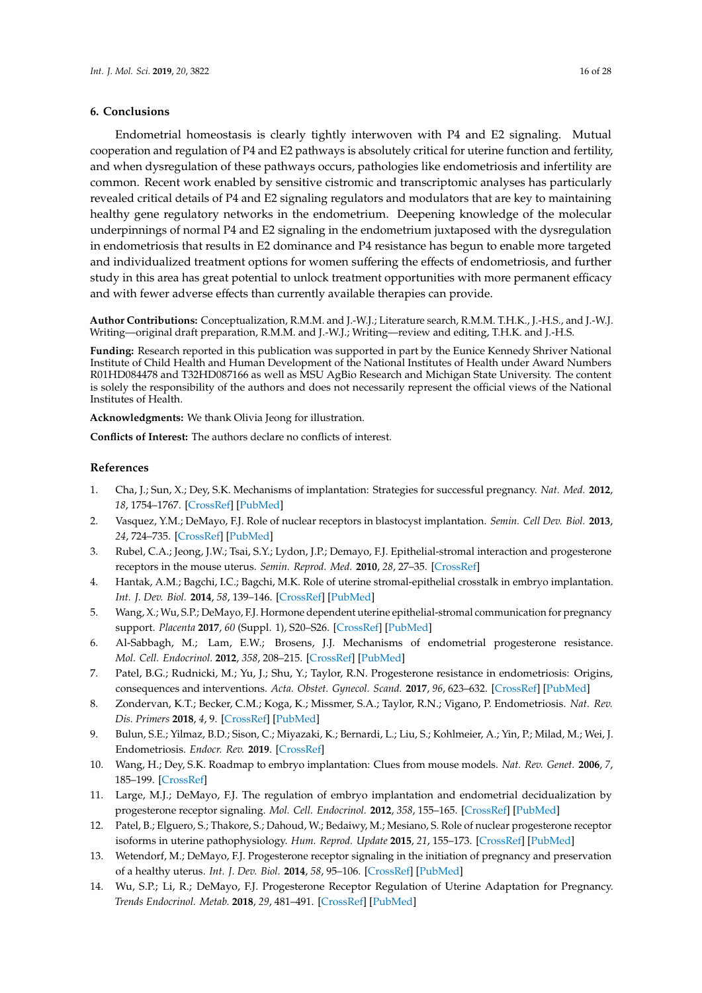#### **6. Conclusions**

Endometrial homeostasis is clearly tightly interwoven with P4 and E2 signaling. Mutual cooperation and regulation of P4 and E2 pathways is absolutely critical for uterine function and fertility, and when dysregulation of these pathways occurs, pathologies like endometriosis and infertility are common. Recent work enabled by sensitive cistromic and transcriptomic analyses has particularly revealed critical details of P4 and E2 signaling regulators and modulators that are key to maintaining healthy gene regulatory networks in the endometrium. Deepening knowledge of the molecular underpinnings of normal P4 and E2 signaling in the endometrium juxtaposed with the dysregulation in endometriosis that results in E2 dominance and P4 resistance has begun to enable more targeted and individualized treatment options for women suffering the effects of endometriosis, and further study in this area has great potential to unlock treatment opportunities with more permanent efficacy and with fewer adverse effects than currently available therapies can provide.

**Author Contributions:** Conceptualization, R.M.M. and J.-W.J.; Literature search, R.M.M. T.H.K., J.-H.S., and J.-W.J. Writing—original draft preparation, R.M.M. and J.-W.J.; Writing—review and editing, T.H.K. and J.-H.S.

**Funding:** Research reported in this publication was supported in part by the Eunice Kennedy Shriver National Institute of Child Health and Human Development of the National Institutes of Health under Award Numbers R01HD084478 and T32HD087166 as well as MSU AgBio Research and Michigan State University. The content is solely the responsibility of the authors and does not necessarily represent the official views of the National Institutes of Health.

**Acknowledgments:** We thank Olivia Jeong for illustration.

**Conflicts of Interest:** The authors declare no conflicts of interest.

#### **References**

- <span id="page-15-0"></span>1. Cha, J.; Sun, X.; Dey, S.K. Mechanisms of implantation: Strategies for successful pregnancy. *Nat. Med.* **2012**, *18*, 1754–1767. [\[CrossRef\]](http://dx.doi.org/10.1038/nm.3012) [\[PubMed\]](http://www.ncbi.nlm.nih.gov/pubmed/23223073)
- <span id="page-15-1"></span>2. Vasquez, Y.M.; DeMayo, F.J. Role of nuclear receptors in blastocyst implantation. *Semin. Cell Dev. Biol.* **2013**, *24*, 724–735. [\[CrossRef\]](http://dx.doi.org/10.1016/j.semcdb.2013.08.004) [\[PubMed\]](http://www.ncbi.nlm.nih.gov/pubmed/23994285)
- <span id="page-15-2"></span>3. Rubel, C.A.; Jeong, J.W.; Tsai, S.Y.; Lydon, J.P.; Demayo, F.J. Epithelial-stromal interaction and progesterone receptors in the mouse uterus. *Semin. Reprod. Med.* **2010**, *28*, 27–35. [\[CrossRef\]](http://dx.doi.org/10.1055/s-0029-1242990)
- <span id="page-15-12"></span>4. Hantak, A.M.; Bagchi, I.C.; Bagchi, M.K. Role of uterine stromal-epithelial crosstalk in embryo implantation. *Int. J. Dev. Biol.* **2014**, *58*, 139–146. [\[CrossRef\]](http://dx.doi.org/10.1387/ijdb.130348mb) [\[PubMed\]](http://www.ncbi.nlm.nih.gov/pubmed/25023679)
- <span id="page-15-3"></span>5. Wang, X.; Wu, S.P.; DeMayo, F.J. Hormone dependent uterine epithelial-stromal communication for pregnancy support. *Placenta* **2017**, *60* (Suppl. 1), S20–S26. [\[CrossRef\]](http://dx.doi.org/10.1016/j.placenta.2017.07.003) [\[PubMed\]](http://www.ncbi.nlm.nih.gov/pubmed/28716426)
- <span id="page-15-4"></span>6. Al-Sabbagh, M.; Lam, E.W.; Brosens, J.J. Mechanisms of endometrial progesterone resistance. *Mol. Cell. Endocrinol.* **2012**, *358*, 208–215. [\[CrossRef\]](http://dx.doi.org/10.1016/j.mce.2011.10.035) [\[PubMed\]](http://www.ncbi.nlm.nih.gov/pubmed/22085558)
- <span id="page-15-5"></span>7. Patel, B.G.; Rudnicki, M.; Yu, J.; Shu, Y.; Taylor, R.N. Progesterone resistance in endometriosis: Origins, consequences and interventions. *Acta. Obstet. Gynecol. Scand.* **2017**, *96*, 623–632. [\[CrossRef\]](http://dx.doi.org/10.1111/aogs.13156) [\[PubMed\]](http://www.ncbi.nlm.nih.gov/pubmed/28423456)
- <span id="page-15-6"></span>8. Zondervan, K.T.; Becker, C.M.; Koga, K.; Missmer, S.A.; Taylor, R.N.; Vigano, P. Endometriosis. *Nat. Rev. Dis. Primers* **2018**, *4*, 9. [\[CrossRef\]](http://dx.doi.org/10.1038/s41572-018-0008-5) [\[PubMed\]](http://www.ncbi.nlm.nih.gov/pubmed/30026507)
- <span id="page-15-7"></span>9. Bulun, S.E.; Yilmaz, B.D.; Sison, C.; Miyazaki, K.; Bernardi, L.; Liu, S.; Kohlmeier, A.; Yin, P.; Milad, M.; Wei, J. Endometriosis. *Endocr. Rev.* **2019**. [\[CrossRef\]](http://dx.doi.org/10.1210/er.2018-00242)
- <span id="page-15-8"></span>10. Wang, H.; Dey, S.K. Roadmap to embryo implantation: Clues from mouse models. *Nat. Rev. Genet.* **2006**, *7*, 185–199. [\[CrossRef\]](http://dx.doi.org/10.1038/nrg1808)
- <span id="page-15-9"></span>11. Large, M.J.; DeMayo, F.J. The regulation of embryo implantation and endometrial decidualization by progesterone receptor signaling. *Mol. Cell. Endocrinol.* **2012**, *358*, 155–165. [\[CrossRef\]](http://dx.doi.org/10.1016/j.mce.2011.07.027) [\[PubMed\]](http://www.ncbi.nlm.nih.gov/pubmed/21821095)
- <span id="page-15-11"></span>12. Patel, B.; Elguero, S.; Thakore, S.; Dahoud, W.; Bedaiwy, M.; Mesiano, S. Role of nuclear progesterone receptor isoforms in uterine pathophysiology. *Hum. Reprod. Update* **2015**, *21*, 155–173. [\[CrossRef\]](http://dx.doi.org/10.1093/humupd/dmu056) [\[PubMed\]](http://www.ncbi.nlm.nih.gov/pubmed/25406186)
- 13. Wetendorf, M.; DeMayo, F.J. Progesterone receptor signaling in the initiation of pregnancy and preservation of a healthy uterus. *Int. J. Dev. Biol.* **2014**, *58*, 95–106. [\[CrossRef\]](http://dx.doi.org/10.1387/ijdb.140069mw) [\[PubMed\]](http://www.ncbi.nlm.nih.gov/pubmed/25023675)
- <span id="page-15-10"></span>14. Wu, S.P.; Li, R.; DeMayo, F.J. Progesterone Receptor Regulation of Uterine Adaptation for Pregnancy. *Trends Endocrinol. Metab.* **2018**, *29*, 481–491. [\[CrossRef\]](http://dx.doi.org/10.1016/j.tem.2018.04.001) [\[PubMed\]](http://www.ncbi.nlm.nih.gov/pubmed/29705365)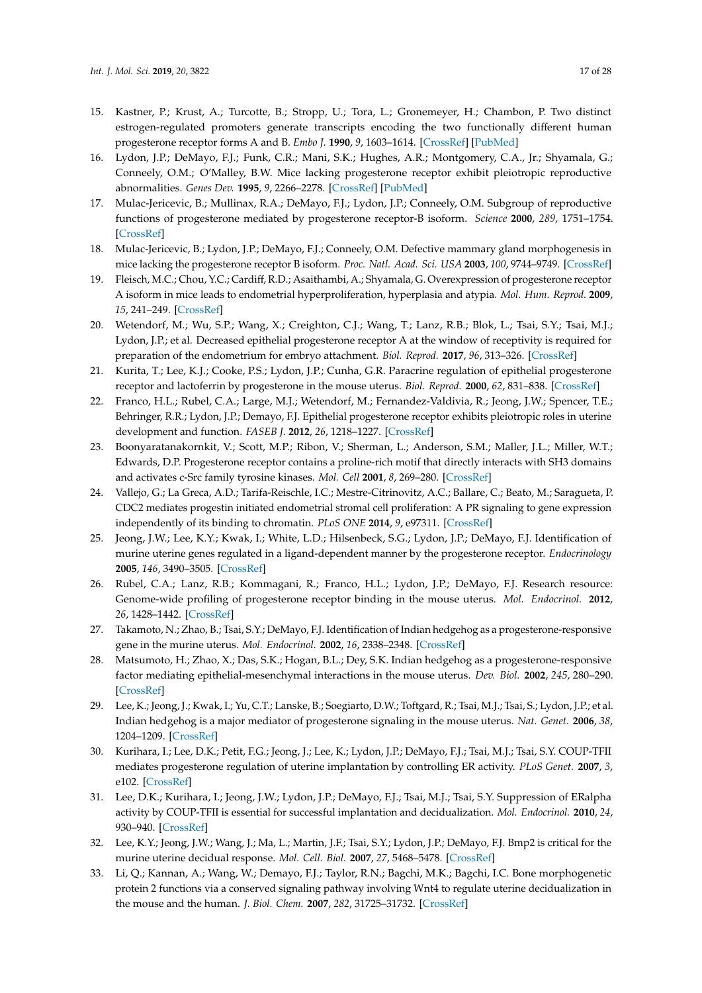- <span id="page-16-0"></span>15. Kastner, P.; Krust, A.; Turcotte, B.; Stropp, U.; Tora, L.; Gronemeyer, H.; Chambon, P. Two distinct estrogen-regulated promoters generate transcripts encoding the two functionally different human progesterone receptor forms A and B. *Embo J.* **1990**, *9*, 1603–1614. [\[CrossRef\]](http://dx.doi.org/10.1002/j.1460-2075.1990.tb08280.x) [\[PubMed\]](http://www.ncbi.nlm.nih.gov/pubmed/2328727)
- <span id="page-16-1"></span>16. Lydon, J.P.; DeMayo, F.J.; Funk, C.R.; Mani, S.K.; Hughes, A.R.; Montgomery, C.A., Jr.; Shyamala, G.; Conneely, O.M.; O'Malley, B.W. Mice lacking progesterone receptor exhibit pleiotropic reproductive abnormalities. *Genes Dev.* **1995**, *9*, 2266–2278. [\[CrossRef\]](http://dx.doi.org/10.1101/gad.9.18.2266) [\[PubMed\]](http://www.ncbi.nlm.nih.gov/pubmed/7557380)
- <span id="page-16-2"></span>17. Mulac-Jericevic, B.; Mullinax, R.A.; DeMayo, F.J.; Lydon, J.P.; Conneely, O.M. Subgroup of reproductive functions of progesterone mediated by progesterone receptor-B isoform. *Science* **2000**, *289*, 1751–1754. [\[CrossRef\]](http://dx.doi.org/10.1126/science.289.5485.1751)
- <span id="page-16-3"></span>18. Mulac-Jericevic, B.; Lydon, J.P.; DeMayo, F.J.; Conneely, O.M. Defective mammary gland morphogenesis in mice lacking the progesterone receptor B isoform. *Proc. Natl. Acad. Sci. USA* **2003**, *100*, 9744–9749. [\[CrossRef\]](http://dx.doi.org/10.1073/pnas.1732707100)
- <span id="page-16-4"></span>19. Fleisch, M.C.; Chou, Y.C.; Cardiff, R.D.; Asaithambi, A.; Shyamala, G. Overexpression of progesterone receptor A isoform in mice leads to endometrial hyperproliferation, hyperplasia and atypia. *Mol. Hum. Reprod.* **2009**, *15*, 241–249. [\[CrossRef\]](http://dx.doi.org/10.1093/molehr/gap013)
- <span id="page-16-5"></span>20. Wetendorf, M.; Wu, S.P.; Wang, X.; Creighton, C.J.; Wang, T.; Lanz, R.B.; Blok, L.; Tsai, S.Y.; Tsai, M.J.; Lydon, J.P.; et al. Decreased epithelial progesterone receptor A at the window of receptivity is required for preparation of the endometrium for embryo attachment. *Biol. Reprod.* **2017**, *96*, 313–326. [\[CrossRef\]](http://dx.doi.org/10.1095/biolreprod.116.144410)
- <span id="page-16-6"></span>21. Kurita, T.; Lee, K.J.; Cooke, P.S.; Lydon, J.P.; Cunha, G.R. Paracrine regulation of epithelial progesterone receptor and lactoferrin by progesterone in the mouse uterus. *Biol. Reprod.* **2000**, *62*, 831–838. [\[CrossRef\]](http://dx.doi.org/10.1095/biolreprod62.4.831)
- <span id="page-16-7"></span>22. Franco, H.L.; Rubel, C.A.; Large, M.J.; Wetendorf, M.; Fernandez-Valdivia, R.; Jeong, J.W.; Spencer, T.E.; Behringer, R.R.; Lydon, J.P.; Demayo, F.J. Epithelial progesterone receptor exhibits pleiotropic roles in uterine development and function. *FASEB J.* **2012**, *26*, 1218–1227. [\[CrossRef\]](http://dx.doi.org/10.1096/fj.11-193334)
- <span id="page-16-8"></span>23. Boonyaratanakornkit, V.; Scott, M.P.; Ribon, V.; Sherman, L.; Anderson, S.M.; Maller, J.L.; Miller, W.T.; Edwards, D.P. Progesterone receptor contains a proline-rich motif that directly interacts with SH3 domains and activates c-Src family tyrosine kinases. *Mol. Cell* **2001**, *8*, 269–280. [\[CrossRef\]](http://dx.doi.org/10.1016/S1097-2765(01)00304-5)
- <span id="page-16-9"></span>24. Vallejo, G.; La Greca, A.D.; Tarifa-Reischle, I.C.; Mestre-Citrinovitz, A.C.; Ballare, C.; Beato, M.; Saragueta, P. CDC2 mediates progestin initiated endometrial stromal cell proliferation: A PR signaling to gene expression independently of its binding to chromatin. *PLoS ONE* **2014**, *9*, e97311. [\[CrossRef\]](http://dx.doi.org/10.1371/journal.pone.0097311)
- <span id="page-16-10"></span>25. Jeong, J.W.; Lee, K.Y.; Kwak, I.; White, L.D.; Hilsenbeck, S.G.; Lydon, J.P.; DeMayo, F.J. Identification of murine uterine genes regulated in a ligand-dependent manner by the progesterone receptor. *Endocrinology* **2005**, *146*, 3490–3505. [\[CrossRef\]](http://dx.doi.org/10.1210/en.2005-0016)
- <span id="page-16-11"></span>26. Rubel, C.A.; Lanz, R.B.; Kommagani, R.; Franco, H.L.; Lydon, J.P.; DeMayo, F.J. Research resource: Genome-wide profiling of progesterone receptor binding in the mouse uterus. *Mol. Endocrinol.* **2012**, *26*, 1428–1442. [\[CrossRef\]](http://dx.doi.org/10.1210/me.2011-1355)
- <span id="page-16-12"></span>27. Takamoto, N.; Zhao, B.; Tsai, S.Y.; DeMayo, F.J. Identification of Indian hedgehog as a progesterone-responsive gene in the murine uterus. *Mol. Endocrinol.* **2002**, *16*, 2338–2348. [\[CrossRef\]](http://dx.doi.org/10.1210/me.2001-0154)
- <span id="page-16-13"></span>28. Matsumoto, H.; Zhao, X.; Das, S.K.; Hogan, B.L.; Dey, S.K. Indian hedgehog as a progesterone-responsive factor mediating epithelial-mesenchymal interactions in the mouse uterus. *Dev. Biol.* **2002**, *245*, 280–290. [\[CrossRef\]](http://dx.doi.org/10.1006/dbio.2002.0645)
- <span id="page-16-14"></span>29. Lee, K.; Jeong, J.; Kwak, I.; Yu, C.T.; Lanske, B.; Soegiarto, D.W.; Toftgard, R.; Tsai, M.J.; Tsai, S.; Lydon, J.P.; et al. Indian hedgehog is a major mediator of progesterone signaling in the mouse uterus. *Nat. Genet.* **2006**, *38*, 1204–1209. [\[CrossRef\]](http://dx.doi.org/10.1038/ng1874)
- <span id="page-16-15"></span>30. Kurihara, I.; Lee, D.K.; Petit, F.G.; Jeong, J.; Lee, K.; Lydon, J.P.; DeMayo, F.J.; Tsai, M.J.; Tsai, S.Y. COUP-TFII mediates progesterone regulation of uterine implantation by controlling ER activity. *PLoS Genet.* **2007**, *3*, e102. [\[CrossRef\]](http://dx.doi.org/10.1371/journal.pgen.0030102)
- <span id="page-16-16"></span>31. Lee, D.K.; Kurihara, I.; Jeong, J.W.; Lydon, J.P.; DeMayo, F.J.; Tsai, M.J.; Tsai, S.Y. Suppression of ERalpha activity by COUP-TFII is essential for successful implantation and decidualization. *Mol. Endocrinol.* **2010**, *24*, 930–940. [\[CrossRef\]](http://dx.doi.org/10.1210/me.2009-0531)
- <span id="page-16-17"></span>32. Lee, K.Y.; Jeong, J.W.; Wang, J.; Ma, L.; Martin, J.F.; Tsai, S.Y.; Lydon, J.P.; DeMayo, F.J. Bmp2 is critical for the murine uterine decidual response. *Mol. Cell. Biol.* **2007**, *27*, 5468–5478. [\[CrossRef\]](http://dx.doi.org/10.1128/MCB.00342-07)
- <span id="page-16-18"></span>33. Li, Q.; Kannan, A.; Wang, W.; Demayo, F.J.; Taylor, R.N.; Bagchi, M.K.; Bagchi, I.C. Bone morphogenetic protein 2 functions via a conserved signaling pathway involving Wnt4 to regulate uterine decidualization in the mouse and the human. *J. Biol. Chem.* **2007**, *282*, 31725–31732. [\[CrossRef\]](http://dx.doi.org/10.1074/jbc.M704723200)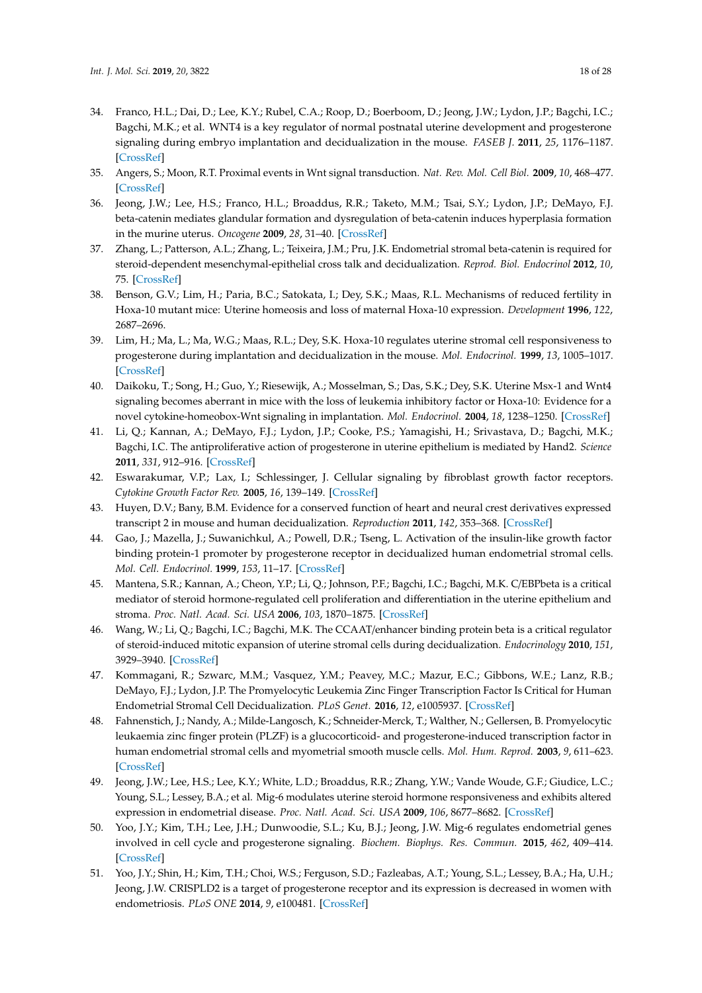- <span id="page-17-0"></span>34. Franco, H.L.; Dai, D.; Lee, K.Y.; Rubel, C.A.; Roop, D.; Boerboom, D.; Jeong, J.W.; Lydon, J.P.; Bagchi, I.C.; Bagchi, M.K.; et al. WNT4 is a key regulator of normal postnatal uterine development and progesterone signaling during embryo implantation and decidualization in the mouse. *FASEB J.* **2011**, *25*, 1176–1187. [\[CrossRef\]](http://dx.doi.org/10.1096/fj.10-175349)
- <span id="page-17-1"></span>35. Angers, S.; Moon, R.T. Proximal events in Wnt signal transduction. *Nat. Rev. Mol. Cell Biol.* **2009**, *10*, 468–477. [\[CrossRef\]](http://dx.doi.org/10.1038/nrm2717)
- <span id="page-17-2"></span>36. Jeong, J.W.; Lee, H.S.; Franco, H.L.; Broaddus, R.R.; Taketo, M.M.; Tsai, S.Y.; Lydon, J.P.; DeMayo, F.J. beta-catenin mediates glandular formation and dysregulation of beta-catenin induces hyperplasia formation in the murine uterus. *Oncogene* **2009**, *28*, 31–40. [\[CrossRef\]](http://dx.doi.org/10.1038/onc.2008.363)
- <span id="page-17-3"></span>37. Zhang, L.; Patterson, A.L.; Zhang, L.; Teixeira, J.M.; Pru, J.K. Endometrial stromal beta-catenin is required for steroid-dependent mesenchymal-epithelial cross talk and decidualization. *Reprod. Biol. Endocrinol* **2012**, *10*, 75. [\[CrossRef\]](http://dx.doi.org/10.1186/1477-7827-10-75)
- <span id="page-17-4"></span>38. Benson, G.V.; Lim, H.; Paria, B.C.; Satokata, I.; Dey, S.K.; Maas, R.L. Mechanisms of reduced fertility in Hoxa-10 mutant mice: Uterine homeosis and loss of maternal Hoxa-10 expression. *Development* **1996**, *122*, 2687–2696.
- <span id="page-17-5"></span>39. Lim, H.; Ma, L.; Ma, W.G.; Maas, R.L.; Dey, S.K. Hoxa-10 regulates uterine stromal cell responsiveness to progesterone during implantation and decidualization in the mouse. *Mol. Endocrinol.* **1999**, *13*, 1005–1017. [\[CrossRef\]](http://dx.doi.org/10.1210/mend.13.6.0284)
- <span id="page-17-6"></span>40. Daikoku, T.; Song, H.; Guo, Y.; Riesewijk, A.; Mosselman, S.; Das, S.K.; Dey, S.K. Uterine Msx-1 and Wnt4 signaling becomes aberrant in mice with the loss of leukemia inhibitory factor or Hoxa-10: Evidence for a novel cytokine-homeobox-Wnt signaling in implantation. *Mol. Endocrinol.* **2004**, *18*, 1238–1250. [\[CrossRef\]](http://dx.doi.org/10.1210/me.2003-0403)
- <span id="page-17-7"></span>41. Li, Q.; Kannan, A.; DeMayo, F.J.; Lydon, J.P.; Cooke, P.S.; Yamagishi, H.; Srivastava, D.; Bagchi, M.K.; Bagchi, I.C. The antiproliferative action of progesterone in uterine epithelium is mediated by Hand2. *Science* **2011**, *331*, 912–916. [\[CrossRef\]](http://dx.doi.org/10.1126/science.1197454)
- <span id="page-17-8"></span>42. Eswarakumar, V.P.; Lax, I.; Schlessinger, J. Cellular signaling by fibroblast growth factor receptors. *Cytokine Growth Factor Rev.* **2005**, *16*, 139–149. [\[CrossRef\]](http://dx.doi.org/10.1016/j.cytogfr.2005.01.001)
- <span id="page-17-9"></span>43. Huyen, D.V.; Bany, B.M. Evidence for a conserved function of heart and neural crest derivatives expressed transcript 2 in mouse and human decidualization. *Reproduction* **2011**, *142*, 353–368. [\[CrossRef\]](http://dx.doi.org/10.1530/REP-11-0060)
- <span id="page-17-10"></span>44. Gao, J.; Mazella, J.; Suwanichkul, A.; Powell, D.R.; Tseng, L. Activation of the insulin-like growth factor binding protein-1 promoter by progesterone receptor in decidualized human endometrial stromal cells. *Mol. Cell. Endocrinol.* **1999**, *153*, 11–17. [\[CrossRef\]](http://dx.doi.org/10.1016/S0303-7207(99)00096-9)
- <span id="page-17-11"></span>45. Mantena, S.R.; Kannan, A.; Cheon, Y.P.; Li, Q.; Johnson, P.F.; Bagchi, I.C.; Bagchi, M.K. C/EBPbeta is a critical mediator of steroid hormone-regulated cell proliferation and differentiation in the uterine epithelium and stroma. *Proc. Natl. Acad. Sci. USA* **2006**, *103*, 1870–1875. [\[CrossRef\]](http://dx.doi.org/10.1073/pnas.0507261103)
- <span id="page-17-12"></span>46. Wang, W.; Li, Q.; Bagchi, I.C.; Bagchi, M.K. The CCAAT/enhancer binding protein beta is a critical regulator of steroid-induced mitotic expansion of uterine stromal cells during decidualization. *Endocrinology* **2010**, *151*, 3929–3940. [\[CrossRef\]](http://dx.doi.org/10.1210/en.2009-1437)
- <span id="page-17-13"></span>47. Kommagani, R.; Szwarc, M.M.; Vasquez, Y.M.; Peavey, M.C.; Mazur, E.C.; Gibbons, W.E.; Lanz, R.B.; DeMayo, F.J.; Lydon, J.P. The Promyelocytic Leukemia Zinc Finger Transcription Factor Is Critical for Human Endometrial Stromal Cell Decidualization. *PLoS Genet.* **2016**, *12*, e1005937. [\[CrossRef\]](http://dx.doi.org/10.1371/journal.pgen.1005937)
- <span id="page-17-14"></span>48. Fahnenstich, J.; Nandy, A.; Milde-Langosch, K.; Schneider-Merck, T.; Walther, N.; Gellersen, B. Promyelocytic leukaemia zinc finger protein (PLZF) is a glucocorticoid- and progesterone-induced transcription factor in human endometrial stromal cells and myometrial smooth muscle cells. *Mol. Hum. Reprod.* **2003**, *9*, 611–623. [\[CrossRef\]](http://dx.doi.org/10.1093/molehr/gag080)
- <span id="page-17-15"></span>49. Jeong, J.W.; Lee, H.S.; Lee, K.Y.; White, L.D.; Broaddus, R.R.; Zhang, Y.W.; Vande Woude, G.F.; Giudice, L.C.; Young, S.L.; Lessey, B.A.; et al. Mig-6 modulates uterine steroid hormone responsiveness and exhibits altered expression in endometrial disease. *Proc. Natl. Acad. Sci. USA* **2009**, *106*, 8677–8682. [\[CrossRef\]](http://dx.doi.org/10.1073/pnas.0903632106)
- <span id="page-17-16"></span>50. Yoo, J.Y.; Kim, T.H.; Lee, J.H.; Dunwoodie, S.L.; Ku, B.J.; Jeong, J.W. Mig-6 regulates endometrial genes involved in cell cycle and progesterone signaling. *Biochem. Biophys. Res. Commun.* **2015**, *462*, 409–414. [\[CrossRef\]](http://dx.doi.org/10.1016/j.bbrc.2015.04.146)
- <span id="page-17-17"></span>51. Yoo, J.Y.; Shin, H.; Kim, T.H.; Choi, W.S.; Ferguson, S.D.; Fazleabas, A.T.; Young, S.L.; Lessey, B.A.; Ha, U.H.; Jeong, J.W. CRISPLD2 is a target of progesterone receptor and its expression is decreased in women with endometriosis. *PLoS ONE* **2014**, *9*, e100481. [\[CrossRef\]](http://dx.doi.org/10.1371/journal.pone.0100481)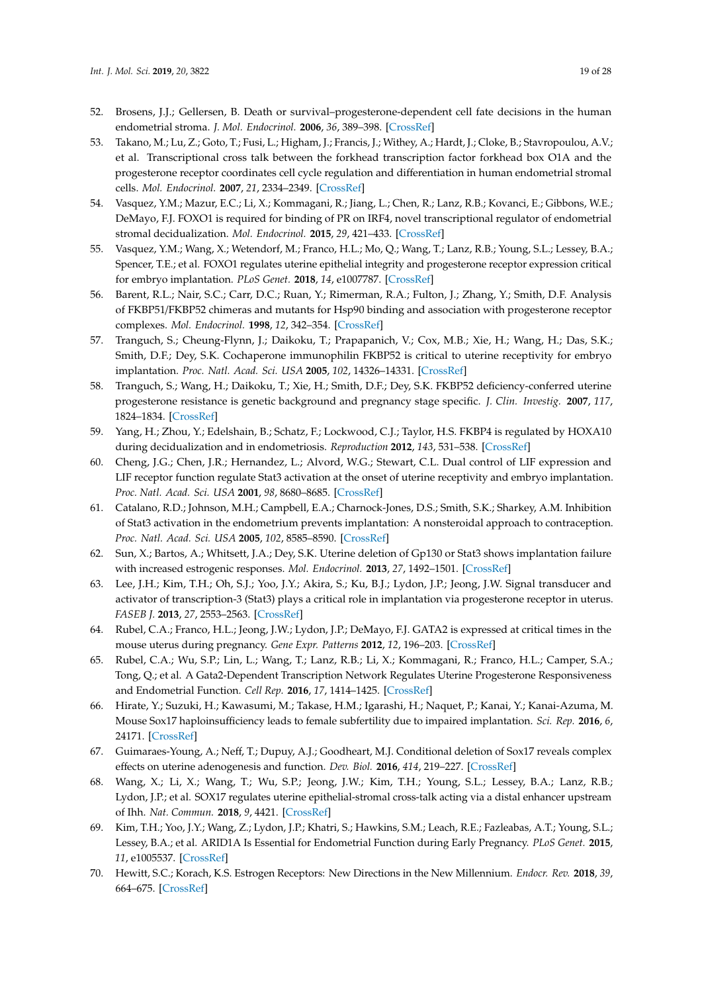- <span id="page-18-0"></span>52. Brosens, J.J.; Gellersen, B. Death or survival–progesterone-dependent cell fate decisions in the human endometrial stroma. *J. Mol. Endocrinol.* **2006**, *36*, 389–398. [\[CrossRef\]](http://dx.doi.org/10.1677/jme.1.02060)
- <span id="page-18-1"></span>53. Takano, M.; Lu, Z.; Goto, T.; Fusi, L.; Higham, J.; Francis, J.; Withey, A.; Hardt, J.; Cloke, B.; Stavropoulou, A.V.; et al. Transcriptional cross talk between the forkhead transcription factor forkhead box O1A and the progesterone receptor coordinates cell cycle regulation and differentiation in human endometrial stromal cells. *Mol. Endocrinol.* **2007**, *21*, 2334–2349. [\[CrossRef\]](http://dx.doi.org/10.1210/me.2007-0058)
- <span id="page-18-2"></span>54. Vasquez, Y.M.; Mazur, E.C.; Li, X.; Kommagani, R.; Jiang, L.; Chen, R.; Lanz, R.B.; Kovanci, E.; Gibbons, W.E.; DeMayo, F.J. FOXO1 is required for binding of PR on IRF4, novel transcriptional regulator of endometrial stromal decidualization. *Mol. Endocrinol.* **2015**, *29*, 421–433. [\[CrossRef\]](http://dx.doi.org/10.1210/me.2014-1292)
- <span id="page-18-3"></span>55. Vasquez, Y.M.; Wang, X.; Wetendorf, M.; Franco, H.L.; Mo, Q.; Wang, T.; Lanz, R.B.; Young, S.L.; Lessey, B.A.; Spencer, T.E.; et al. FOXO1 regulates uterine epithelial integrity and progesterone receptor expression critical for embryo implantation. *PLoS Genet.* **2018**, *14*, e1007787. [\[CrossRef\]](http://dx.doi.org/10.1371/journal.pgen.1007787)
- <span id="page-18-4"></span>56. Barent, R.L.; Nair, S.C.; Carr, D.C.; Ruan, Y.; Rimerman, R.A.; Fulton, J.; Zhang, Y.; Smith, D.F. Analysis of FKBP51/FKBP52 chimeras and mutants for Hsp90 binding and association with progesterone receptor complexes. *Mol. Endocrinol.* **1998**, *12*, 342–354. [\[CrossRef\]](http://dx.doi.org/10.1210/mend.12.3.0075)
- <span id="page-18-5"></span>57. Tranguch, S.; Cheung-Flynn, J.; Daikoku, T.; Prapapanich, V.; Cox, M.B.; Xie, H.; Wang, H.; Das, S.K.; Smith, D.F.; Dey, S.K. Cochaperone immunophilin FKBP52 is critical to uterine receptivity for embryo implantation. *Proc. Natl. Acad. Sci. USA* **2005**, *102*, 14326–14331. [\[CrossRef\]](http://dx.doi.org/10.1073/pnas.0505775102)
- <span id="page-18-6"></span>58. Tranguch, S.; Wang, H.; Daikoku, T.; Xie, H.; Smith, D.F.; Dey, S.K. FKBP52 deficiency-conferred uterine progesterone resistance is genetic background and pregnancy stage specific. *J. Clin. Investig.* **2007**, *117*, 1824–1834. [\[CrossRef\]](http://dx.doi.org/10.1172/JCI31622)
- <span id="page-18-7"></span>59. Yang, H.; Zhou, Y.; Edelshain, B.; Schatz, F.; Lockwood, C.J.; Taylor, H.S. FKBP4 is regulated by HOXA10 during decidualization and in endometriosis. *Reproduction* **2012**, *143*, 531–538. [\[CrossRef\]](http://dx.doi.org/10.1530/REP-11-0438)
- <span id="page-18-8"></span>60. Cheng, J.G.; Chen, J.R.; Hernandez, L.; Alvord, W.G.; Stewart, C.L. Dual control of LIF expression and LIF receptor function regulate Stat3 activation at the onset of uterine receptivity and embryo implantation. *Proc. Natl. Acad. Sci. USA* **2001**, *98*, 8680–8685. [\[CrossRef\]](http://dx.doi.org/10.1073/pnas.151180898)
- <span id="page-18-9"></span>61. Catalano, R.D.; Johnson, M.H.; Campbell, E.A.; Charnock-Jones, D.S.; Smith, S.K.; Sharkey, A.M. Inhibition of Stat3 activation in the endometrium prevents implantation: A nonsteroidal approach to contraception. *Proc. Natl. Acad. Sci. USA* **2005**, *102*, 8585–8590. [\[CrossRef\]](http://dx.doi.org/10.1073/pnas.0502343102)
- <span id="page-18-10"></span>62. Sun, X.; Bartos, A.; Whitsett, J.A.; Dey, S.K. Uterine deletion of Gp130 or Stat3 shows implantation failure with increased estrogenic responses. *Mol. Endocrinol.* **2013**, *27*, 1492–1501. [\[CrossRef\]](http://dx.doi.org/10.1210/me.2013-1086)
- <span id="page-18-11"></span>63. Lee, J.H.; Kim, T.H.; Oh, S.J.; Yoo, J.Y.; Akira, S.; Ku, B.J.; Lydon, J.P.; Jeong, J.W. Signal transducer and activator of transcription-3 (Stat3) plays a critical role in implantation via progesterone receptor in uterus. *FASEB J.* **2013**, *27*, 2553–2563. [\[CrossRef\]](http://dx.doi.org/10.1096/fj.12-225664)
- <span id="page-18-12"></span>64. Rubel, C.A.; Franco, H.L.; Jeong, J.W.; Lydon, J.P.; DeMayo, F.J. GATA2 is expressed at critical times in the mouse uterus during pregnancy. *Gene Expr. Patterns* **2012**, *12*, 196–203. [\[CrossRef\]](http://dx.doi.org/10.1016/j.gep.2012.03.004)
- <span id="page-18-13"></span>65. Rubel, C.A.; Wu, S.P.; Lin, L.; Wang, T.; Lanz, R.B.; Li, X.; Kommagani, R.; Franco, H.L.; Camper, S.A.; Tong, Q.; et al. A Gata2-Dependent Transcription Network Regulates Uterine Progesterone Responsiveness and Endometrial Function. *Cell Rep.* **2016**, *17*, 1414–1425. [\[CrossRef\]](http://dx.doi.org/10.1016/j.celrep.2016.09.093)
- <span id="page-18-14"></span>66. Hirate, Y.; Suzuki, H.; Kawasumi, M.; Takase, H.M.; Igarashi, H.; Naquet, P.; Kanai, Y.; Kanai-Azuma, M. Mouse Sox17 haploinsufficiency leads to female subfertility due to impaired implantation. *Sci. Rep.* **2016**, *6*, 24171. [\[CrossRef\]](http://dx.doi.org/10.1038/srep24171)
- <span id="page-18-15"></span>67. Guimaraes-Young, A.; Neff, T.; Dupuy, A.J.; Goodheart, M.J. Conditional deletion of Sox17 reveals complex effects on uterine adenogenesis and function. *Dev. Biol.* **2016**, *414*, 219–227. [\[CrossRef\]](http://dx.doi.org/10.1016/j.ydbio.2016.04.010)
- <span id="page-18-16"></span>68. Wang, X.; Li, X.; Wang, T.; Wu, S.P.; Jeong, J.W.; Kim, T.H.; Young, S.L.; Lessey, B.A.; Lanz, R.B.; Lydon, J.P.; et al. SOX17 regulates uterine epithelial-stromal cross-talk acting via a distal enhancer upstream of Ihh. *Nat. Commun.* **2018**, *9*, 4421. [\[CrossRef\]](http://dx.doi.org/10.1038/s41467-018-06652-w)
- <span id="page-18-17"></span>69. Kim, T.H.; Yoo, J.Y.; Wang, Z.; Lydon, J.P.; Khatri, S.; Hawkins, S.M.; Leach, R.E.; Fazleabas, A.T.; Young, S.L.; Lessey, B.A.; et al. ARID1A Is Essential for Endometrial Function during Early Pregnancy. *PLoS Genet.* **2015**, *11*, e1005537. [\[CrossRef\]](http://dx.doi.org/10.1371/journal.pgen.1005537)
- <span id="page-18-18"></span>70. Hewitt, S.C.; Korach, K.S. Estrogen Receptors: New Directions in the New Millennium. *Endocr. Rev.* **2018**, *39*, 664–675. [\[CrossRef\]](http://dx.doi.org/10.1210/er.2018-00087)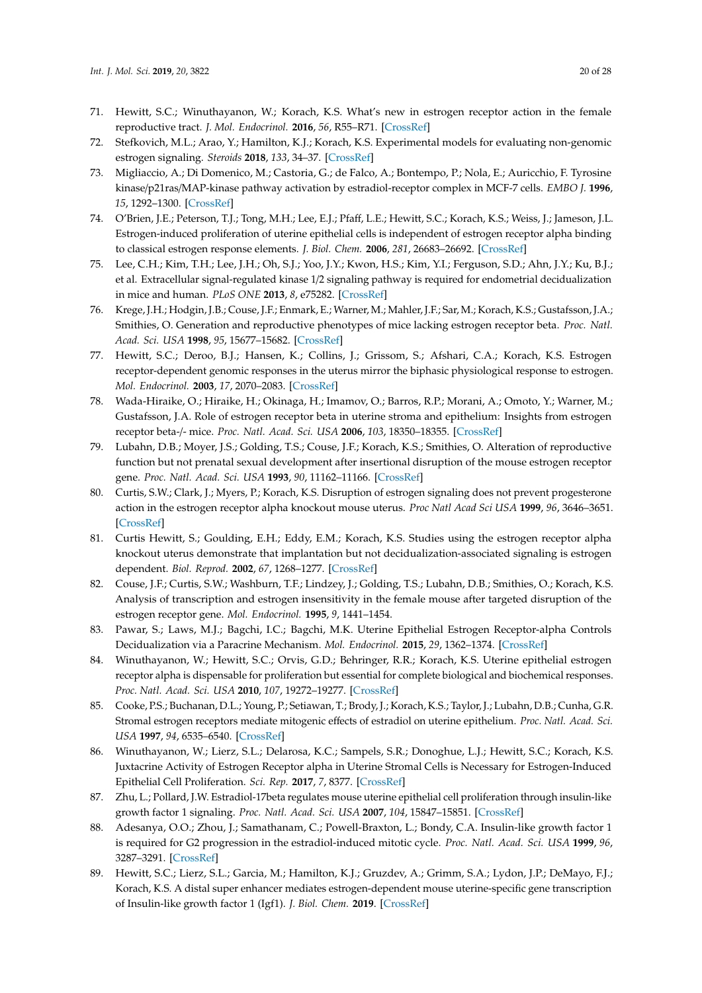- <span id="page-19-0"></span>71. Hewitt, S.C.; Winuthayanon, W.; Korach, K.S. What's new in estrogen receptor action in the female reproductive tract. *J. Mol. Endocrinol.* **2016**, *56*, R55–R71. [\[CrossRef\]](http://dx.doi.org/10.1530/JME-15-0254)
- <span id="page-19-1"></span>72. Stefkovich, M.L.; Arao, Y.; Hamilton, K.J.; Korach, K.S. Experimental models for evaluating non-genomic estrogen signaling. *Steroids* **2018**, *133*, 34–37. [\[CrossRef\]](http://dx.doi.org/10.1016/j.steroids.2017.11.001)
- <span id="page-19-2"></span>73. Migliaccio, A.; Di Domenico, M.; Castoria, G.; de Falco, A.; Bontempo, P.; Nola, E.; Auricchio, F. Tyrosine kinase/p21ras/MAP-kinase pathway activation by estradiol-receptor complex in MCF-7 cells. *EMBO J.* **1996**, *15*, 1292–1300. [\[CrossRef\]](http://dx.doi.org/10.1002/j.1460-2075.1996.tb00471.x)
- <span id="page-19-3"></span>74. O'Brien, J.E.; Peterson, T.J.; Tong, M.H.; Lee, E.J.; Pfaff, L.E.; Hewitt, S.C.; Korach, K.S.; Weiss, J.; Jameson, J.L. Estrogen-induced proliferation of uterine epithelial cells is independent of estrogen receptor alpha binding to classical estrogen response elements. *J. Biol. Chem.* **2006**, *281*, 26683–26692. [\[CrossRef\]](http://dx.doi.org/10.1074/jbc.M601522200)
- <span id="page-19-4"></span>75. Lee, C.H.; Kim, T.H.; Lee, J.H.; Oh, S.J.; Yoo, J.Y.; Kwon, H.S.; Kim, Y.I.; Ferguson, S.D.; Ahn, J.Y.; Ku, B.J.; et al. Extracellular signal-regulated kinase 1/2 signaling pathway is required for endometrial decidualization in mice and human. *PLoS ONE* **2013**, *8*, e75282. [\[CrossRef\]](http://dx.doi.org/10.1371/journal.pone.0075282)
- <span id="page-19-5"></span>76. Krege, J.H.; Hodgin, J.B.; Couse, J.F.; Enmark, E.; Warner, M.; Mahler, J.F.; Sar, M.; Korach, K.S.; Gustafsson, J.A.; Smithies, O. Generation and reproductive phenotypes of mice lacking estrogen receptor beta. *Proc. Natl. Acad. Sci. USA* **1998**, *95*, 15677–15682. [\[CrossRef\]](http://dx.doi.org/10.1073/pnas.95.26.15677)
- <span id="page-19-6"></span>77. Hewitt, S.C.; Deroo, B.J.; Hansen, K.; Collins, J.; Grissom, S.; Afshari, C.A.; Korach, K.S. Estrogen receptor-dependent genomic responses in the uterus mirror the biphasic physiological response to estrogen. *Mol. Endocrinol.* **2003**, *17*, 2070–2083. [\[CrossRef\]](http://dx.doi.org/10.1210/me.2003-0146)
- <span id="page-19-7"></span>78. Wada-Hiraike, O.; Hiraike, H.; Okinaga, H.; Imamov, O.; Barros, R.P.; Morani, A.; Omoto, Y.; Warner, M.; Gustafsson, J.A. Role of estrogen receptor beta in uterine stroma and epithelium: Insights from estrogen receptor beta-/- mice. *Proc. Natl. Acad. Sci. USA* **2006**, *103*, 18350–18355. [\[CrossRef\]](http://dx.doi.org/10.1073/pnas.0608861103)
- <span id="page-19-8"></span>79. Lubahn, D.B.; Moyer, J.S.; Golding, T.S.; Couse, J.F.; Korach, K.S.; Smithies, O. Alteration of reproductive function but not prenatal sexual development after insertional disruption of the mouse estrogen receptor gene. *Proc. Natl. Acad. Sci. USA* **1993**, *90*, 11162–11166. [\[CrossRef\]](http://dx.doi.org/10.1073/pnas.90.23.11162)
- <span id="page-19-9"></span>80. Curtis, S.W.; Clark, J.; Myers, P.; Korach, K.S. Disruption of estrogen signaling does not prevent progesterone action in the estrogen receptor alpha knockout mouse uterus. *Proc Natl Acad Sci USA* **1999**, *96*, 3646–3651. [\[CrossRef\]](http://dx.doi.org/10.1073/pnas.96.7.3646)
- <span id="page-19-10"></span>81. Curtis Hewitt, S.; Goulding, E.H.; Eddy, E.M.; Korach, K.S. Studies using the estrogen receptor alpha knockout uterus demonstrate that implantation but not decidualization-associated signaling is estrogen dependent. *Biol. Reprod.* **2002**, *67*, 1268–1277. [\[CrossRef\]](http://dx.doi.org/10.1095/biolreprod67.4.1268)
- <span id="page-19-11"></span>82. Couse, J.F.; Curtis, S.W.; Washburn, T.F.; Lindzey, J.; Golding, T.S.; Lubahn, D.B.; Smithies, O.; Korach, K.S. Analysis of transcription and estrogen insensitivity in the female mouse after targeted disruption of the estrogen receptor gene. *Mol. Endocrinol.* **1995**, *9*, 1441–1454.
- <span id="page-19-12"></span>83. Pawar, S.; Laws, M.J.; Bagchi, I.C.; Bagchi, M.K. Uterine Epithelial Estrogen Receptor-alpha Controls Decidualization via a Paracrine Mechanism. *Mol. Endocrinol.* **2015**, *29*, 1362–1374. [\[CrossRef\]](http://dx.doi.org/10.1210/me.2015-1142)
- <span id="page-19-13"></span>84. Winuthayanon, W.; Hewitt, S.C.; Orvis, G.D.; Behringer, R.R.; Korach, K.S. Uterine epithelial estrogen receptor alpha is dispensable for proliferation but essential for complete biological and biochemical responses. *Proc. Natl. Acad. Sci. USA* **2010**, *107*, 19272–19277. [\[CrossRef\]](http://dx.doi.org/10.1073/pnas.1013226107)
- <span id="page-19-14"></span>85. Cooke, P.S.; Buchanan, D.L.; Young, P.; Setiawan, T.; Brody, J.; Korach, K.S.; Taylor, J.; Lubahn, D.B.; Cunha, G.R. Stromal estrogen receptors mediate mitogenic effects of estradiol on uterine epithelium. *Proc. Natl. Acad. Sci. USA* **1997**, *94*, 6535–6540. [\[CrossRef\]](http://dx.doi.org/10.1073/pnas.94.12.6535)
- <span id="page-19-15"></span>86. Winuthayanon, W.; Lierz, S.L.; Delarosa, K.C.; Sampels, S.R.; Donoghue, L.J.; Hewitt, S.C.; Korach, K.S. Juxtacrine Activity of Estrogen Receptor alpha in Uterine Stromal Cells is Necessary for Estrogen-Induced Epithelial Cell Proliferation. *Sci. Rep.* **2017**, *7*, 8377. [\[CrossRef\]](http://dx.doi.org/10.1038/s41598-017-07728-1)
- <span id="page-19-16"></span>87. Zhu, L.; Pollard, J.W. Estradiol-17beta regulates mouse uterine epithelial cell proliferation through insulin-like growth factor 1 signaling. *Proc. Natl. Acad. Sci. USA* **2007**, *104*, 15847–15851. [\[CrossRef\]](http://dx.doi.org/10.1073/pnas.0705749104)
- <span id="page-19-17"></span>88. Adesanya, O.O.; Zhou, J.; Samathanam, C.; Powell-Braxton, L.; Bondy, C.A. Insulin-like growth factor 1 is required for G2 progression in the estradiol-induced mitotic cycle. *Proc. Natl. Acad. Sci. USA* **1999**, *96*, 3287–3291. [\[CrossRef\]](http://dx.doi.org/10.1073/pnas.96.6.3287)
- <span id="page-19-18"></span>89. Hewitt, S.C.; Lierz, S.L.; Garcia, M.; Hamilton, K.J.; Gruzdev, A.; Grimm, S.A.; Lydon, J.P.; DeMayo, F.J.; Korach, K.S. A distal super enhancer mediates estrogen-dependent mouse uterine-specific gene transcription of Insulin-like growth factor 1 (Igf1). *J. Biol. Chem.* **2019**. [\[CrossRef\]](http://dx.doi.org/10.1074/jbc.RA119.008759)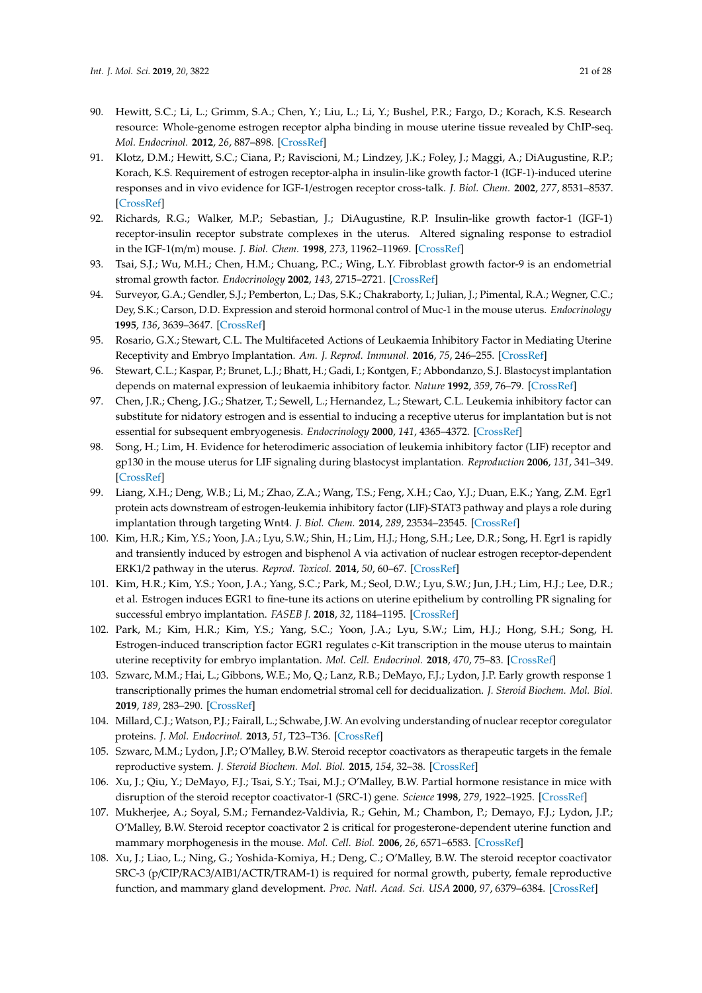- <span id="page-20-0"></span>90. Hewitt, S.C.; Li, L.; Grimm, S.A.; Chen, Y.; Liu, L.; Li, Y.; Bushel, P.R.; Fargo, D.; Korach, K.S. Research resource: Whole-genome estrogen receptor alpha binding in mouse uterine tissue revealed by ChIP-seq. *Mol. Endocrinol.* **2012**, *26*, 887–898. [\[CrossRef\]](http://dx.doi.org/10.1210/me.2011-1311)
- <span id="page-20-1"></span>91. Klotz, D.M.; Hewitt, S.C.; Ciana, P.; Raviscioni, M.; Lindzey, J.K.; Foley, J.; Maggi, A.; DiAugustine, R.P.; Korach, K.S. Requirement of estrogen receptor-alpha in insulin-like growth factor-1 (IGF-1)-induced uterine responses and in vivo evidence for IGF-1/estrogen receptor cross-talk. *J. Biol. Chem.* **2002**, *277*, 8531–8537. [\[CrossRef\]](http://dx.doi.org/10.1074/jbc.M109592200)
- <span id="page-20-2"></span>92. Richards, R.G.; Walker, M.P.; Sebastian, J.; DiAugustine, R.P. Insulin-like growth factor-1 (IGF-1) receptor-insulin receptor substrate complexes in the uterus. Altered signaling response to estradiol in the IGF-1(m/m) mouse. *J. Biol. Chem.* **1998**, *273*, 11962–11969. [\[CrossRef\]](http://dx.doi.org/10.1074/jbc.273.19.11962)
- <span id="page-20-3"></span>93. Tsai, S.J.; Wu, M.H.; Chen, H.M.; Chuang, P.C.; Wing, L.Y. Fibroblast growth factor-9 is an endometrial stromal growth factor. *Endocrinology* **2002**, *143*, 2715–2721. [\[CrossRef\]](http://dx.doi.org/10.1210/endo.143.7.8900)
- <span id="page-20-4"></span>94. Surveyor, G.A.; Gendler, S.J.; Pemberton, L.; Das, S.K.; Chakraborty, I.; Julian, J.; Pimental, R.A.; Wegner, C.C.; Dey, S.K.; Carson, D.D. Expression and steroid hormonal control of Muc-1 in the mouse uterus. *Endocrinology* **1995**, *136*, 3639–3647. [\[CrossRef\]](http://dx.doi.org/10.1210/endo.136.8.7628404)
- <span id="page-20-5"></span>95. Rosario, G.X.; Stewart, C.L. The Multifaceted Actions of Leukaemia Inhibitory Factor in Mediating Uterine Receptivity and Embryo Implantation. *Am. J. Reprod. Immunol.* **2016**, *75*, 246–255. [\[CrossRef\]](http://dx.doi.org/10.1111/aji.12474)
- <span id="page-20-6"></span>96. Stewart, C.L.; Kaspar, P.; Brunet, L.J.; Bhatt, H.; Gadi, I.; Kontgen, F.; Abbondanzo, S.J. Blastocyst implantation depends on maternal expression of leukaemia inhibitory factor. *Nature* **1992**, *359*, 76–79. [\[CrossRef\]](http://dx.doi.org/10.1038/359076a0)
- <span id="page-20-7"></span>97. Chen, J.R.; Cheng, J.G.; Shatzer, T.; Sewell, L.; Hernandez, L.; Stewart, C.L. Leukemia inhibitory factor can substitute for nidatory estrogen and is essential to inducing a receptive uterus for implantation but is not essential for subsequent embryogenesis. *Endocrinology* **2000**, *141*, 4365–4372. [\[CrossRef\]](http://dx.doi.org/10.1210/endo.141.12.7855)
- <span id="page-20-8"></span>98. Song, H.; Lim, H. Evidence for heterodimeric association of leukemia inhibitory factor (LIF) receptor and gp130 in the mouse uterus for LIF signaling during blastocyst implantation. *Reproduction* **2006**, *131*, 341–349. [\[CrossRef\]](http://dx.doi.org/10.1530/rep.1.00956)
- <span id="page-20-9"></span>99. Liang, X.H.; Deng, W.B.; Li, M.; Zhao, Z.A.; Wang, T.S.; Feng, X.H.; Cao, Y.J.; Duan, E.K.; Yang, Z.M. Egr1 protein acts downstream of estrogen-leukemia inhibitory factor (LIF)-STAT3 pathway and plays a role during implantation through targeting Wnt4. *J. Biol. Chem.* **2014**, *289*, 23534–23545. [\[CrossRef\]](http://dx.doi.org/10.1074/jbc.M114.588897)
- <span id="page-20-10"></span>100. Kim, H.R.; Kim, Y.S.; Yoon, J.A.; Lyu, S.W.; Shin, H.; Lim, H.J.; Hong, S.H.; Lee, D.R.; Song, H. Egr1 is rapidly and transiently induced by estrogen and bisphenol A via activation of nuclear estrogen receptor-dependent ERK1/2 pathway in the uterus. *Reprod. Toxicol.* **2014**, *50*, 60–67. [\[CrossRef\]](http://dx.doi.org/10.1016/j.reprotox.2014.10.010)
- <span id="page-20-11"></span>101. Kim, H.R.; Kim, Y.S.; Yoon, J.A.; Yang, S.C.; Park, M.; Seol, D.W.; Lyu, S.W.; Jun, J.H.; Lim, H.J.; Lee, D.R.; et al. Estrogen induces EGR1 to fine-tune its actions on uterine epithelium by controlling PR signaling for successful embryo implantation. *FASEB J.* **2018**, *32*, 1184–1195. [\[CrossRef\]](http://dx.doi.org/10.1096/fj.201700854RR)
- <span id="page-20-12"></span>102. Park, M.; Kim, H.R.; Kim, Y.S.; Yang, S.C.; Yoon, J.A.; Lyu, S.W.; Lim, H.J.; Hong, S.H.; Song, H. Estrogen-induced transcription factor EGR1 regulates c-Kit transcription in the mouse uterus to maintain uterine receptivity for embryo implantation. *Mol. Cell. Endocrinol.* **2018**, *470*, 75–83. [\[CrossRef\]](http://dx.doi.org/10.1016/j.mce.2017.09.033)
- <span id="page-20-13"></span>103. Szwarc, M.M.; Hai, L.; Gibbons, W.E.; Mo, Q.; Lanz, R.B.; DeMayo, F.J.; Lydon, J.P. Early growth response 1 transcriptionally primes the human endometrial stromal cell for decidualization. *J. Steroid Biochem. Mol. Biol.* **2019**, *189*, 283–290. [\[CrossRef\]](http://dx.doi.org/10.1016/j.jsbmb.2019.01.021)
- <span id="page-20-14"></span>104. Millard, C.J.; Watson, P.J.; Fairall, L.; Schwabe, J.W. An evolving understanding of nuclear receptor coregulator proteins. *J. Mol. Endocrinol.* **2013**, *51*, T23–T36. [\[CrossRef\]](http://dx.doi.org/10.1530/JME-13-0227)
- <span id="page-20-15"></span>105. Szwarc, M.M.; Lydon, J.P.; O'Malley, B.W. Steroid receptor coactivators as therapeutic targets in the female reproductive system. *J. Steroid Biochem. Mol. Biol.* **2015**, *154*, 32–38. [\[CrossRef\]](http://dx.doi.org/10.1016/j.jsbmb.2015.06.010)
- <span id="page-20-16"></span>106. Xu, J.; Qiu, Y.; DeMayo, F.J.; Tsai, S.Y.; Tsai, M.J.; O'Malley, B.W. Partial hormone resistance in mice with disruption of the steroid receptor coactivator-1 (SRC-1) gene. *Science* **1998**, *279*, 1922–1925. [\[CrossRef\]](http://dx.doi.org/10.1126/science.279.5358.1922)
- <span id="page-20-17"></span>107. Mukherjee, A.; Soyal, S.M.; Fernandez-Valdivia, R.; Gehin, M.; Chambon, P.; Demayo, F.J.; Lydon, J.P.; O'Malley, B.W. Steroid receptor coactivator 2 is critical for progesterone-dependent uterine function and mammary morphogenesis in the mouse. *Mol. Cell. Biol.* **2006**, *26*, 6571–6583. [\[CrossRef\]](http://dx.doi.org/10.1128/MCB.00654-06)
- 108. Xu, J.; Liao, L.; Ning, G.; Yoshida-Komiya, H.; Deng, C.; O'Malley, B.W. The steroid receptor coactivator SRC-3 (p/CIP/RAC3/AIB1/ACTR/TRAM-1) is required for normal growth, puberty, female reproductive function, and mammary gland development. *Proc. Natl. Acad. Sci. USA* **2000**, *97*, 6379–6384. [\[CrossRef\]](http://dx.doi.org/10.1073/pnas.120166297)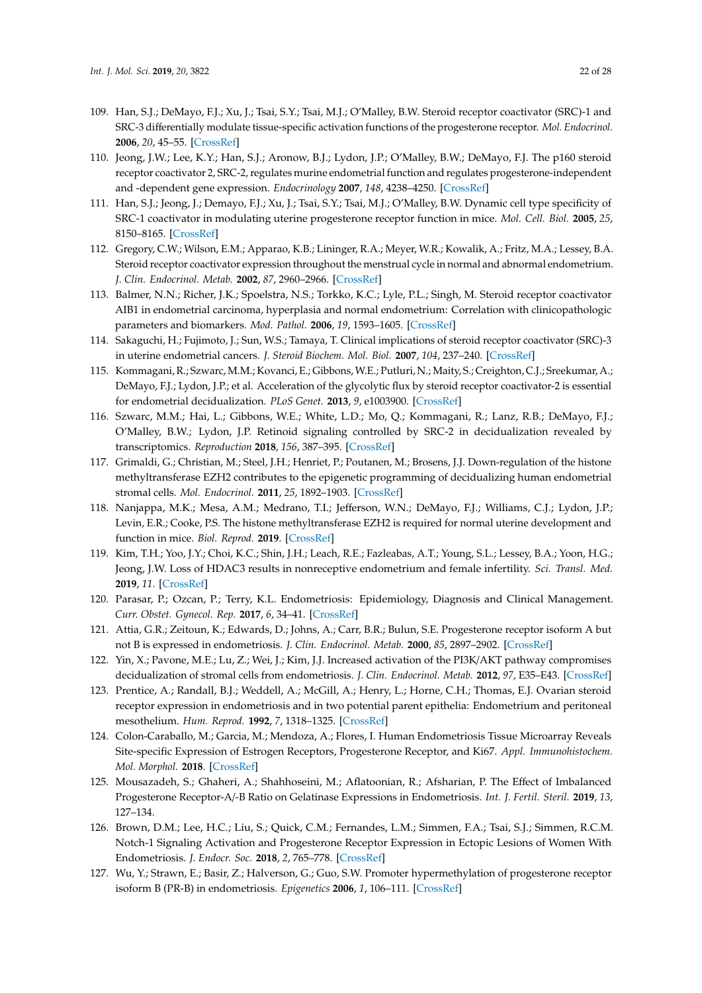- <span id="page-21-4"></span>109. Han, S.J.; DeMayo, F.J.; Xu, J.; Tsai, S.Y.; Tsai, M.J.; O'Malley, B.W. Steroid receptor coactivator (SRC)-1 and SRC-3 differentially modulate tissue-specific activation functions of the progesterone receptor. *Mol. Endocrinol.* **2006**, *20*, 45–55. [\[CrossRef\]](http://dx.doi.org/10.1210/me.2005-0310)
- <span id="page-21-5"></span>110. Jeong, J.W.; Lee, K.Y.; Han, S.J.; Aronow, B.J.; Lydon, J.P.; O'Malley, B.W.; DeMayo, F.J. The p160 steroid receptor coactivator 2, SRC-2, regulates murine endometrial function and regulates progesterone-independent and -dependent gene expression. *Endocrinology* **2007**, *148*, 4238–4250. [\[CrossRef\]](http://dx.doi.org/10.1210/en.2007-0122)
- <span id="page-21-0"></span>111. Han, S.J.; Jeong, J.; Demayo, F.J.; Xu, J.; Tsai, S.Y.; Tsai, M.J.; O'Malley, B.W. Dynamic cell type specificity of SRC-1 coactivator in modulating uterine progesterone receptor function in mice. *Mol. Cell. Biol.* **2005**, *25*, 8150–8165. [\[CrossRef\]](http://dx.doi.org/10.1128/MCB.25.18.8150-8165.2005)
- <span id="page-21-1"></span>112. Gregory, C.W.; Wilson, E.M.; Apparao, K.B.; Lininger, R.A.; Meyer, W.R.; Kowalik, A.; Fritz, M.A.; Lessey, B.A. Steroid receptor coactivator expression throughout the menstrual cycle in normal and abnormal endometrium. *J. Clin. Endocrinol. Metab.* **2002**, *87*, 2960–2966. [\[CrossRef\]](http://dx.doi.org/10.1210/jcem.87.6.8572)
- <span id="page-21-2"></span>113. Balmer, N.N.; Richer, J.K.; Spoelstra, N.S.; Torkko, K.C.; Lyle, P.L.; Singh, M. Steroid receptor coactivator AIB1 in endometrial carcinoma, hyperplasia and normal endometrium: Correlation with clinicopathologic parameters and biomarkers. *Mod. Pathol.* **2006**, *19*, 1593–1605. [\[CrossRef\]](http://dx.doi.org/10.1038/modpathol.3800696)
- <span id="page-21-3"></span>114. Sakaguchi, H.; Fujimoto, J.; Sun, W.S.; Tamaya, T. Clinical implications of steroid receptor coactivator (SRC)-3 in uterine endometrial cancers. *J. Steroid Biochem. Mol. Biol.* **2007**, *104*, 237–240. [\[CrossRef\]](http://dx.doi.org/10.1016/j.jsbmb.2007.03.007)
- <span id="page-21-6"></span>115. Kommagani, R.; Szwarc, M.M.; Kovanci, E.; Gibbons,W.E.; Putluri, N.; Maity, S.; Creighton, C.J.; Sreekumar, A.; DeMayo, F.J.; Lydon, J.P.; et al. Acceleration of the glycolytic flux by steroid receptor coactivator-2 is essential for endometrial decidualization. *PLoS Genet.* **2013**, *9*, e1003900. [\[CrossRef\]](http://dx.doi.org/10.1371/journal.pgen.1003900)
- <span id="page-21-7"></span>116. Szwarc, M.M.; Hai, L.; Gibbons, W.E.; White, L.D.; Mo, Q.; Kommagani, R.; Lanz, R.B.; DeMayo, F.J.; O'Malley, B.W.; Lydon, J.P. Retinoid signaling controlled by SRC-2 in decidualization revealed by transcriptomics. *Reproduction* **2018**, *156*, 387–395. [\[CrossRef\]](http://dx.doi.org/10.1530/REP-18-0282)
- <span id="page-21-8"></span>117. Grimaldi, G.; Christian, M.; Steel, J.H.; Henriet, P.; Poutanen, M.; Brosens, J.J. Down-regulation of the histone methyltransferase EZH2 contributes to the epigenetic programming of decidualizing human endometrial stromal cells. *Mol. Endocrinol.* **2011**, *25*, 1892–1903. [\[CrossRef\]](http://dx.doi.org/10.1210/me.2011-1139)
- <span id="page-21-9"></span>118. Nanjappa, M.K.; Mesa, A.M.; Medrano, T.I.; Jefferson, W.N.; DeMayo, F.J.; Williams, C.J.; Lydon, J.P.; Levin, E.R.; Cooke, P.S. The histone methyltransferase EZH2 is required for normal uterine development and function in mice. *Biol. Reprod.* **2019**. [\[CrossRef\]](http://dx.doi.org/10.1093/biolre/ioz097)
- <span id="page-21-10"></span>119. Kim, T.H.; Yoo, J.Y.; Choi, K.C.; Shin, J.H.; Leach, R.E.; Fazleabas, A.T.; Young, S.L.; Lessey, B.A.; Yoon, H.G.; Jeong, J.W. Loss of HDAC3 results in nonreceptive endometrium and female infertility. *Sci. Transl. Med.* **2019**, *11*. [\[CrossRef\]](http://dx.doi.org/10.1126/scitranslmed.aaf7533)
- <span id="page-21-11"></span>120. Parasar, P.; Ozcan, P.; Terry, K.L. Endometriosis: Epidemiology, Diagnosis and Clinical Management. *Curr. Obstet. Gynecol. Rep.* **2017**, *6*, 34–41. [\[CrossRef\]](http://dx.doi.org/10.1007/s13669-017-0187-1)
- <span id="page-21-12"></span>121. Attia, G.R.; Zeitoun, K.; Edwards, D.; Johns, A.; Carr, B.R.; Bulun, S.E. Progesterone receptor isoform A but not B is expressed in endometriosis. *J. Clin. Endocrinol. Metab.* **2000**, *85*, 2897–2902. [\[CrossRef\]](http://dx.doi.org/10.1210/jc.85.8.2897)
- <span id="page-21-13"></span>122. Yin, X.; Pavone, M.E.; Lu, Z.; Wei, J.; Kim, J.J. Increased activation of the PI3K/AKT pathway compromises decidualization of stromal cells from endometriosis. *J. Clin. Endocrinol. Metab.* **2012**, *97*, E35–E43. [\[CrossRef\]](http://dx.doi.org/10.1210/jc.2011-1527)
- <span id="page-21-15"></span>123. Prentice, A.; Randall, B.J.; Weddell, A.; McGill, A.; Henry, L.; Horne, C.H.; Thomas, E.J. Ovarian steroid receptor expression in endometriosis and in two potential parent epithelia: Endometrium and peritoneal mesothelium. *Hum. Reprod.* **1992**, *7*, 1318–1325. [\[CrossRef\]](http://dx.doi.org/10.1093/oxfordjournals.humrep.a137848)
- <span id="page-21-14"></span>124. Colon-Caraballo, M.; Garcia, M.; Mendoza, A.; Flores, I. Human Endometriosis Tissue Microarray Reveals Site-specific Expression of Estrogen Receptors, Progesterone Receptor, and Ki67. *Appl. Immunohistochem. Mol. Morphol.* **2018**. [\[CrossRef\]](http://dx.doi.org/10.1097/PAI.0000000000000663)
- <span id="page-21-16"></span>125. Mousazadeh, S.; Ghaheri, A.; Shahhoseini, M.; Aflatoonian, R.; Afsharian, P. The Effect of Imbalanced Progesterone Receptor-A/-B Ratio on Gelatinase Expressions in Endometriosis. *Int. J. Fertil. Steril.* **2019**, *13*, 127–134.
- <span id="page-21-18"></span>126. Brown, D.M.; Lee, H.C.; Liu, S.; Quick, C.M.; Fernandes, L.M.; Simmen, F.A.; Tsai, S.J.; Simmen, R.C.M. Notch-1 Signaling Activation and Progesterone Receptor Expression in Ectopic Lesions of Women With Endometriosis. *J. Endocr. Soc.* **2018**, *2*, 765–778. [\[CrossRef\]](http://dx.doi.org/10.1210/js.2018-00007)
- <span id="page-21-17"></span>127. Wu, Y.; Strawn, E.; Basir, Z.; Halverson, G.; Guo, S.W. Promoter hypermethylation of progesterone receptor isoform B (PR-B) in endometriosis. *Epigenetics* **2006**, *1*, 106–111. [\[CrossRef\]](http://dx.doi.org/10.4161/epi.1.2.2766)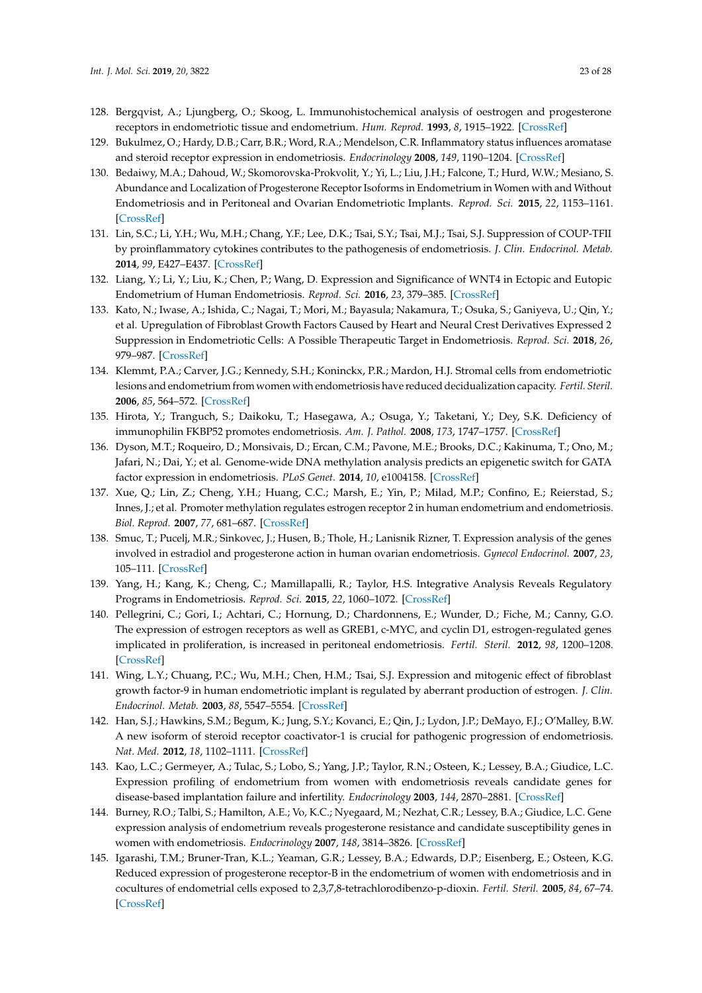- 128. Bergqvist, A.; Ljungberg, O.; Skoog, L. Immunohistochemical analysis of oestrogen and progesterone receptors in endometriotic tissue and endometrium. *Hum. Reprod.* **1993**, *8*, 1915–1922. [\[CrossRef\]](http://dx.doi.org/10.1093/oxfordjournals.humrep.a137960)
- <span id="page-22-14"></span>129. Bukulmez, O.; Hardy, D.B.; Carr, B.R.; Word, R.A.; Mendelson, C.R. Inflammatory status influences aromatase and steroid receptor expression in endometriosis. *Endocrinology* **2008**, *149*, 1190–1204. [\[CrossRef\]](http://dx.doi.org/10.1210/en.2007-0665)
- <span id="page-22-0"></span>130. Bedaiwy, M.A.; Dahoud, W.; Skomorovska-Prokvolit, Y.; Yi, L.; Liu, J.H.; Falcone, T.; Hurd, W.W.; Mesiano, S. Abundance and Localization of Progesterone Receptor Isoforms in Endometrium in Women with and Without Endometriosis and in Peritoneal and Ovarian Endometriotic Implants. *Reprod. Sci.* **2015**, *22*, 1153–1161. [\[CrossRef\]](http://dx.doi.org/10.1177/1933719115585145)
- <span id="page-22-1"></span>131. Lin, S.C.; Li, Y.H.; Wu, M.H.; Chang, Y.F.; Lee, D.K.; Tsai, S.Y.; Tsai, M.J.; Tsai, S.J. Suppression of COUP-TFII by proinflammatory cytokines contributes to the pathogenesis of endometriosis. *J. Clin. Endocrinol. Metab.* **2014**, *99*, E427–E437. [\[CrossRef\]](http://dx.doi.org/10.1210/jc.2013-3717)
- <span id="page-22-2"></span>132. Liang, Y.; Li, Y.; Liu, K.; Chen, P.; Wang, D. Expression and Significance of WNT4 in Ectopic and Eutopic Endometrium of Human Endometriosis. *Reprod. Sci.* **2016**, *23*, 379–385. [\[CrossRef\]](http://dx.doi.org/10.1177/1933719115602763)
- <span id="page-22-3"></span>133. Kato, N.; Iwase, A.; Ishida, C.; Nagai, T.; Mori, M.; Bayasula; Nakamura, T.; Osuka, S.; Ganiyeva, U.; Qin, Y.; et al. Upregulation of Fibroblast Growth Factors Caused by Heart and Neural Crest Derivatives Expressed 2 Suppression in Endometriotic Cells: A Possible Therapeutic Target in Endometriosis. *Reprod. Sci.* **2018**, *26*, 979–987. [\[CrossRef\]](http://dx.doi.org/10.1177/1933719118802053)
- <span id="page-22-4"></span>134. Klemmt, P.A.; Carver, J.G.; Kennedy, S.H.; Koninckx, P.R.; Mardon, H.J. Stromal cells from endometriotic lesions and endometrium from women with endometriosis have reduced decidualization capacity. *Fertil. Steril.* **2006**, *85*, 564–572. [\[CrossRef\]](http://dx.doi.org/10.1016/j.fertnstert.2005.08.046)
- <span id="page-22-5"></span>135. Hirota, Y.; Tranguch, S.; Daikoku, T.; Hasegawa, A.; Osuga, Y.; Taketani, Y.; Dey, S.K. Deficiency of immunophilin FKBP52 promotes endometriosis. *Am. J. Pathol.* **2008**, *173*, 1747–1757. [\[CrossRef\]](http://dx.doi.org/10.2353/ajpath.2008.080527)
- <span id="page-22-6"></span>136. Dyson, M.T.; Roqueiro, D.; Monsivais, D.; Ercan, C.M.; Pavone, M.E.; Brooks, D.C.; Kakinuma, T.; Ono, M.; Jafari, N.; Dai, Y.; et al. Genome-wide DNA methylation analysis predicts an epigenetic switch for GATA factor expression in endometriosis. *PLoS Genet.* **2014**, *10*, e1004158. [\[CrossRef\]](http://dx.doi.org/10.1371/journal.pgen.1004158)
- <span id="page-22-15"></span>137. Xue, Q.; Lin, Z.; Cheng, Y.H.; Huang, C.C.; Marsh, E.; Yin, P.; Milad, M.P.; Confino, E.; Reierstad, S.; Innes, J.; et al. Promoter methylation regulates estrogen receptor 2 in human endometrium and endometriosis. *Biol. Reprod.* **2007**, *77*, 681–687. [\[CrossRef\]](http://dx.doi.org/10.1095/biolreprod.107.061804)
- 138. Smuc, T.; Pucelj, M.R.; Sinkovec, J.; Husen, B.; Thole, H.; Lanisnik Rizner, T. Expression analysis of the genes involved in estradiol and progesterone action in human ovarian endometriosis. *Gynecol Endocrinol.* **2007**, *23*, 105–111. [\[CrossRef\]](http://dx.doi.org/10.1080/09513590601152219)
- <span id="page-22-7"></span>139. Yang, H.; Kang, K.; Cheng, C.; Mamillapalli, R.; Taylor, H.S. Integrative Analysis Reveals Regulatory Programs in Endometriosis. *Reprod. Sci.* **2015**, *22*, 1060–1072. [\[CrossRef\]](http://dx.doi.org/10.1177/1933719115592709)
- <span id="page-22-8"></span>140. Pellegrini, C.; Gori, I.; Achtari, C.; Hornung, D.; Chardonnens, E.; Wunder, D.; Fiche, M.; Canny, G.O. The expression of estrogen receptors as well as GREB1, c-MYC, and cyclin D1, estrogen-regulated genes implicated in proliferation, is increased in peritoneal endometriosis. *Fertil. Steril.* **2012**, *98*, 1200–1208. [\[CrossRef\]](http://dx.doi.org/10.1016/j.fertnstert.2012.06.056)
- <span id="page-22-9"></span>141. Wing, L.Y.; Chuang, P.C.; Wu, M.H.; Chen, H.M.; Tsai, S.J. Expression and mitogenic effect of fibroblast growth factor-9 in human endometriotic implant is regulated by aberrant production of estrogen. *J. Clin. Endocrinol. Metab.* **2003**, *88*, 5547–5554. [\[CrossRef\]](http://dx.doi.org/10.1210/jc.2003-030597)
- <span id="page-22-10"></span>142. Han, S.J.; Hawkins, S.M.; Begum, K.; Jung, S.Y.; Kovanci, E.; Qin, J.; Lydon, J.P.; DeMayo, F.J.; O'Malley, B.W. A new isoform of steroid receptor coactivator-1 is crucial for pathogenic progression of endometriosis. *Nat. Med.* **2012**, *18*, 1102–1111. [\[CrossRef\]](http://dx.doi.org/10.1038/nm.2826)
- <span id="page-22-11"></span>143. Kao, L.C.; Germeyer, A.; Tulac, S.; Lobo, S.; Yang, J.P.; Taylor, R.N.; Osteen, K.; Lessey, B.A.; Giudice, L.C. Expression profiling of endometrium from women with endometriosis reveals candidate genes for disease-based implantation failure and infertility. *Endocrinology* **2003**, *144*, 2870–2881. [\[CrossRef\]](http://dx.doi.org/10.1210/en.2003-0043)
- <span id="page-22-12"></span>144. Burney, R.O.; Talbi, S.; Hamilton, A.E.; Vo, K.C.; Nyegaard, M.; Nezhat, C.R.; Lessey, B.A.; Giudice, L.C. Gene expression analysis of endometrium reveals progesterone resistance and candidate susceptibility genes in women with endometriosis. *Endocrinology* **2007**, *148*, 3814–3826. [\[CrossRef\]](http://dx.doi.org/10.1210/en.2006-1692)
- <span id="page-22-13"></span>145. Igarashi, T.M.; Bruner-Tran, K.L.; Yeaman, G.R.; Lessey, B.A.; Edwards, D.P.; Eisenberg, E.; Osteen, K.G. Reduced expression of progesterone receptor-B in the endometrium of women with endometriosis and in cocultures of endometrial cells exposed to 2,3,7,8-tetrachlorodibenzo-p-dioxin. *Fertil. Steril.* **2005**, *84*, 67–74. [\[CrossRef\]](http://dx.doi.org/10.1016/j.fertnstert.2005.01.113)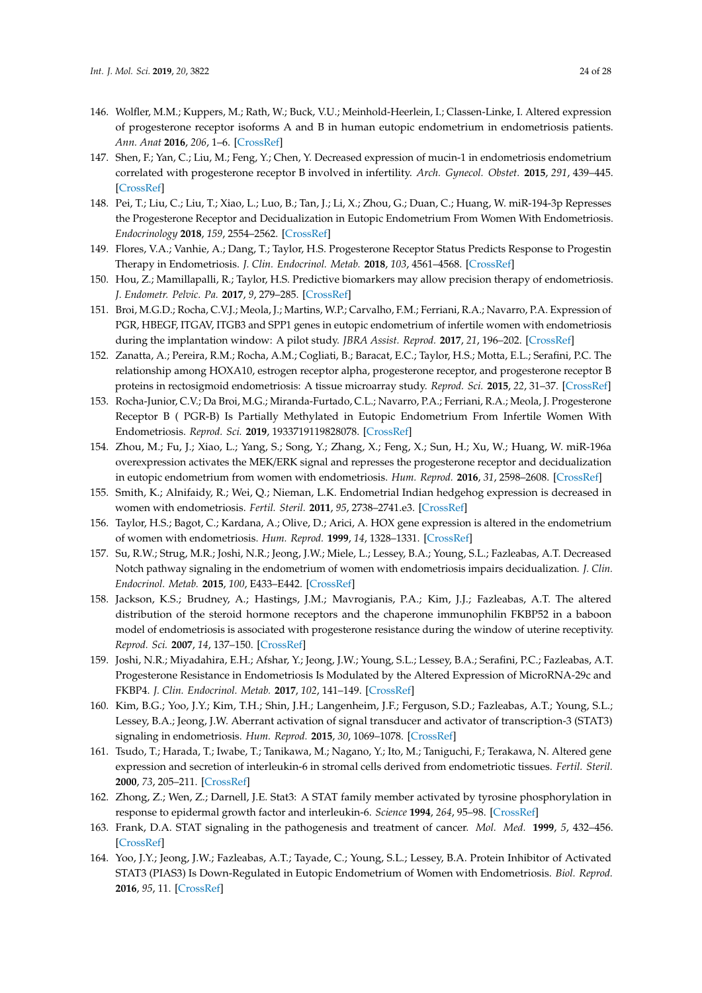- 146. Wolfler, M.M.; Kuppers, M.; Rath, W.; Buck, V.U.; Meinhold-Heerlein, I.; Classen-Linke, I. Altered expression of progesterone receptor isoforms A and B in human eutopic endometrium in endometriosis patients. *Ann. Anat* **2016**, *206*, 1–6. [\[CrossRef\]](http://dx.doi.org/10.1016/j.aanat.2016.03.004)
- <span id="page-23-5"></span>147. Shen, F.; Yan, C.; Liu, M.; Feng, Y.; Chen, Y. Decreased expression of mucin-1 in endometriosis endometrium correlated with progesterone receptor B involved in infertility. *Arch. Gynecol. Obstet.* **2015**, *291*, 439–445. [\[CrossRef\]](http://dx.doi.org/10.1007/s00404-014-3419-x)
- <span id="page-23-0"></span>148. Pei, T.; Liu, C.; Liu, T.; Xiao, L.; Luo, B.; Tan, J.; Li, X.; Zhou, G.; Duan, C.; Huang, W. miR-194-3p Represses the Progesterone Receptor and Decidualization in Eutopic Endometrium From Women With Endometriosis. *Endocrinology* **2018**, *159*, 2554–2562. [\[CrossRef\]](http://dx.doi.org/10.1210/en.2018-00374)
- <span id="page-23-1"></span>149. Flores, V.A.; Vanhie, A.; Dang, T.; Taylor, H.S. Progesterone Receptor Status Predicts Response to Progestin Therapy in Endometriosis. *J. Clin. Endocrinol. Metab.* **2018**, *103*, 4561–4568. [\[CrossRef\]](http://dx.doi.org/10.1210/jc.2018-01227)
- <span id="page-23-2"></span>150. Hou, Z.; Mamillapalli, R.; Taylor, H.S. Predictive biomarkers may allow precision therapy of endometriosis. *J. Endometr. Pelvic. Pa.* **2017**, *9*, 279–285. [\[CrossRef\]](http://dx.doi.org/10.5301/jeppd.5000311)
- <span id="page-23-3"></span>151. Broi, M.G.D.; Rocha, C.V.J.; Meola, J.; Martins, W.P.; Carvalho, F.M.; Ferriani, R.A.; Navarro, P.A. Expression of PGR, HBEGF, ITGAV, ITGB3 and SPP1 genes in eutopic endometrium of infertile women with endometriosis during the implantation window: A pilot study. *JBRA Assist. Reprod.* **2017**, *21*, 196–202. [\[CrossRef\]](http://dx.doi.org/10.5935/1518-0557.20170038)
- <span id="page-23-4"></span>152. Zanatta, A.; Pereira, R.M.; Rocha, A.M.; Cogliati, B.; Baracat, E.C.; Taylor, H.S.; Motta, E.L.; Serafini, P.C. The relationship among HOXA10, estrogen receptor alpha, progesterone receptor, and progesterone receptor B proteins in rectosigmoid endometriosis: A tissue microarray study. *Reprod. Sci.* **2015**, *22*, 31–37. [\[CrossRef\]](http://dx.doi.org/10.1177/1933719114549846)
- <span id="page-23-6"></span>153. Rocha-Junior, C.V.; Da Broi, M.G.; Miranda-Furtado, C.L.; Navarro, P.A.; Ferriani, R.A.; Meola, J. Progesterone Receptor B ( PGR-B) Is Partially Methylated in Eutopic Endometrium From Infertile Women With Endometriosis. *Reprod. Sci.* **2019**, 1933719119828078. [\[CrossRef\]](http://dx.doi.org/10.1177/1933719119828078)
- <span id="page-23-7"></span>154. Zhou, M.; Fu, J.; Xiao, L.; Yang, S.; Song, Y.; Zhang, X.; Feng, X.; Sun, H.; Xu, W.; Huang, W. miR-196a overexpression activates the MEK/ERK signal and represses the progesterone receptor and decidualization in eutopic endometrium from women with endometriosis. *Hum. Reprod.* **2016**, *31*, 2598–2608. [\[CrossRef\]](http://dx.doi.org/10.1093/humrep/dew223)
- <span id="page-23-8"></span>155. Smith, K.; Alnifaidy, R.; Wei, Q.; Nieman, L.K. Endometrial Indian hedgehog expression is decreased in women with endometriosis. *Fertil. Steril.* **2011**, *95*, 2738–2741.e3. [\[CrossRef\]](http://dx.doi.org/10.1016/j.fertnstert.2011.05.018)
- <span id="page-23-9"></span>156. Taylor, H.S.; Bagot, C.; Kardana, A.; Olive, D.; Arici, A. HOX gene expression is altered in the endometrium of women with endometriosis. *Hum. Reprod.* **1999**, *14*, 1328–1331. [\[CrossRef\]](http://dx.doi.org/10.1093/humrep/14.5.1328)
- <span id="page-23-10"></span>157. Su, R.W.; Strug, M.R.; Joshi, N.R.; Jeong, J.W.; Miele, L.; Lessey, B.A.; Young, S.L.; Fazleabas, A.T. Decreased Notch pathway signaling in the endometrium of women with endometriosis impairs decidualization. *J. Clin. Endocrinol. Metab.* **2015**, *100*, E433–E442. [\[CrossRef\]](http://dx.doi.org/10.1210/jc.2014-3720)
- <span id="page-23-11"></span>158. Jackson, K.S.; Brudney, A.; Hastings, J.M.; Mavrogianis, P.A.; Kim, J.J.; Fazleabas, A.T. The altered distribution of the steroid hormone receptors and the chaperone immunophilin FKBP52 in a baboon model of endometriosis is associated with progesterone resistance during the window of uterine receptivity. *Reprod. Sci.* **2007**, *14*, 137–150. [\[CrossRef\]](http://dx.doi.org/10.1177/1933719106298409)
- <span id="page-23-12"></span>159. Joshi, N.R.; Miyadahira, E.H.; Afshar, Y.; Jeong, J.W.; Young, S.L.; Lessey, B.A.; Serafini, P.C.; Fazleabas, A.T. Progesterone Resistance in Endometriosis Is Modulated by the Altered Expression of MicroRNA-29c and FKBP4. *J. Clin. Endocrinol. Metab.* **2017**, *102*, 141–149. [\[CrossRef\]](http://dx.doi.org/10.1210/jc.2016-2076)
- <span id="page-23-13"></span>160. Kim, B.G.; Yoo, J.Y.; Kim, T.H.; Shin, J.H.; Langenheim, J.F.; Ferguson, S.D.; Fazleabas, A.T.; Young, S.L.; Lessey, B.A.; Jeong, J.W. Aberrant activation of signal transducer and activator of transcription-3 (STAT3) signaling in endometriosis. *Hum. Reprod.* **2015**, *30*, 1069–1078. [\[CrossRef\]](http://dx.doi.org/10.1093/humrep/dev050)
- <span id="page-23-14"></span>161. Tsudo, T.; Harada, T.; Iwabe, T.; Tanikawa, M.; Nagano, Y.; Ito, M.; Taniguchi, F.; Terakawa, N. Altered gene expression and secretion of interleukin-6 in stromal cells derived from endometriotic tissues. *Fertil. Steril.* **2000**, *73*, 205–211. [\[CrossRef\]](http://dx.doi.org/10.1016/S0015-0282(99)00496-3)
- <span id="page-23-15"></span>162. Zhong, Z.; Wen, Z.; Darnell, J.E. Stat3: A STAT family member activated by tyrosine phosphorylation in response to epidermal growth factor and interleukin-6. *Science* **1994**, *264*, 95–98. [\[CrossRef\]](http://dx.doi.org/10.1126/science.8140422)
- <span id="page-23-16"></span>163. Frank, D.A. STAT signaling in the pathogenesis and treatment of cancer. *Mol. Med.* **1999**, *5*, 432–456. [\[CrossRef\]](http://dx.doi.org/10.1007/BF03403538)
- <span id="page-23-17"></span>164. Yoo, J.Y.; Jeong, J.W.; Fazleabas, A.T.; Tayade, C.; Young, S.L.; Lessey, B.A. Protein Inhibitor of Activated STAT3 (PIAS3) Is Down-Regulated in Eutopic Endometrium of Women with Endometriosis. *Biol. Reprod.* **2016**, *95*, 11. [\[CrossRef\]](http://dx.doi.org/10.1095/biolreprod.115.137158)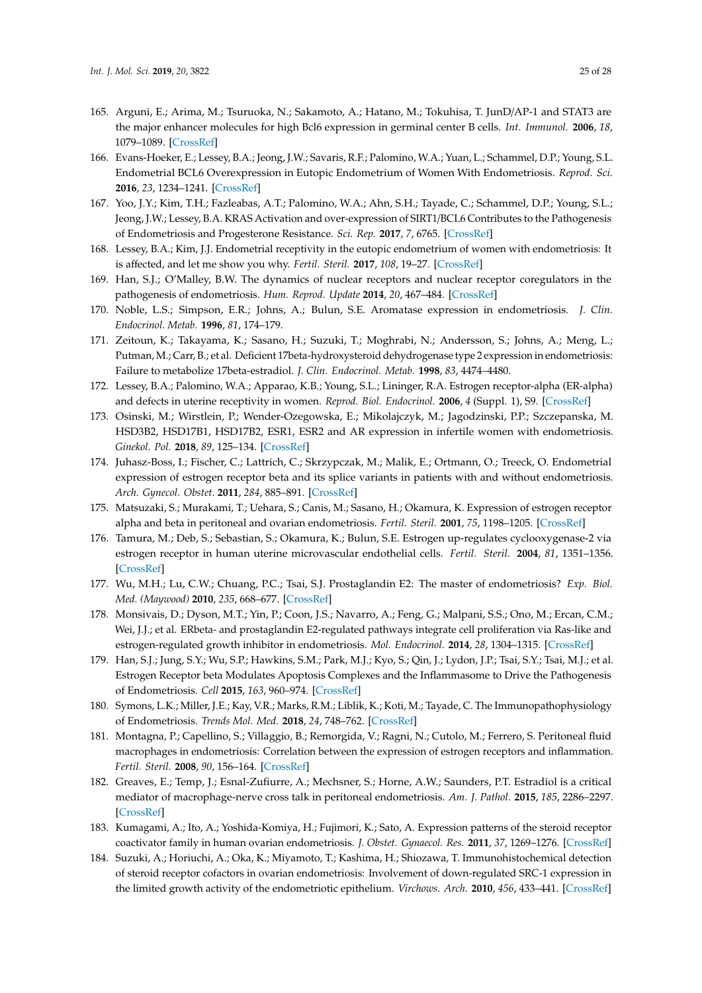- <span id="page-24-0"></span>165. Arguni, E.; Arima, M.; Tsuruoka, N.; Sakamoto, A.; Hatano, M.; Tokuhisa, T. JunD/AP-1 and STAT3 are the major enhancer molecules for high Bcl6 expression in germinal center B cells. *Int. Immunol.* **2006**, *18*, 1079–1089. [\[CrossRef\]](http://dx.doi.org/10.1093/intimm/dxl041)
- <span id="page-24-1"></span>166. Evans-Hoeker, E.; Lessey, B.A.; Jeong, J.W.; Savaris, R.F.; Palomino, W.A.; Yuan, L.; Schammel, D.P.; Young, S.L. Endometrial BCL6 Overexpression in Eutopic Endometrium of Women With Endometriosis. *Reprod. Sci.* **2016**, *23*, 1234–1241. [\[CrossRef\]](http://dx.doi.org/10.1177/1933719116649711)
- <span id="page-24-2"></span>167. Yoo, J.Y.; Kim, T.H.; Fazleabas, A.T.; Palomino, W.A.; Ahn, S.H.; Tayade, C.; Schammel, D.P.; Young, S.L.; Jeong, J.W.; Lessey, B.A. KRAS Activation and over-expression of SIRT1/BCL6 Contributes to the Pathogenesis of Endometriosis and Progesterone Resistance. *Sci. Rep.* **2017**, *7*, 6765. [\[CrossRef\]](http://dx.doi.org/10.1038/s41598-017-04577-w)
- <span id="page-24-3"></span>168. Lessey, B.A.; Kim, J.J. Endometrial receptivity in the eutopic endometrium of women with endometriosis: It is affected, and let me show you why. *Fertil. Steril.* **2017**, *108*, 19–27. [\[CrossRef\]](http://dx.doi.org/10.1016/j.fertnstert.2017.05.031)
- <span id="page-24-4"></span>169. Han, S.J.; O'Malley, B.W. The dynamics of nuclear receptors and nuclear receptor coregulators in the pathogenesis of endometriosis. *Hum. Reprod. Update* **2014**, *20*, 467–484. [\[CrossRef\]](http://dx.doi.org/10.1093/humupd/dmu002)
- <span id="page-24-5"></span>170. Noble, L.S.; Simpson, E.R.; Johns, A.; Bulun, S.E. Aromatase expression in endometriosis. *J. Clin. Endocrinol. Metab.* **1996**, *81*, 174–179.
- <span id="page-24-6"></span>171. Zeitoun, K.; Takayama, K.; Sasano, H.; Suzuki, T.; Moghrabi, N.; Andersson, S.; Johns, A.; Meng, L.; Putman, M.; Carr, B.; et al. Deficient 17beta-hydroxysteroid dehydrogenase type 2 expression in endometriosis: Failure to metabolize 17beta-estradiol. *J. Clin. Endocrinol. Metab.* **1998**, *83*, 4474–4480.
- <span id="page-24-7"></span>172. Lessey, B.A.; Palomino, W.A.; Apparao, K.B.; Young, S.L.; Lininger, R.A. Estrogen receptor-alpha (ER-alpha) and defects in uterine receptivity in women. *Reprod. Biol. Endocrinol.* **2006**, *4* (Suppl. 1), S9. [\[CrossRef\]](http://dx.doi.org/10.1186/1477-7827-4-S1-S9)
- <span id="page-24-8"></span>173. Osinski, M.; Wirstlein, P.; Wender-Ozegowska, E.; Mikolajczyk, M.; Jagodzinski, P.P.; Szczepanska, M. HSD3B2, HSD17B1, HSD17B2, ESR1, ESR2 and AR expression in infertile women with endometriosis. *Ginekol. Pol.* **2018**, *89*, 125–134. [\[CrossRef\]](http://dx.doi.org/10.5603/GP.a2018.0022)
- <span id="page-24-9"></span>174. Juhasz-Boss, I.; Fischer, C.; Lattrich, C.; Skrzypczak, M.; Malik, E.; Ortmann, O.; Treeck, O. Endometrial expression of estrogen receptor beta and its splice variants in patients with and without endometriosis. *Arch. Gynecol. Obstet.* **2011**, *284*, 885–891. [\[CrossRef\]](http://dx.doi.org/10.1007/s00404-010-1768-7)
- <span id="page-24-10"></span>175. Matsuzaki, S.; Murakami, T.; Uehara, S.; Canis, M.; Sasano, H.; Okamura, K. Expression of estrogen receptor alpha and beta in peritoneal and ovarian endometriosis. *Fertil. Steril.* **2001**, *75*, 1198–1205. [\[CrossRef\]](http://dx.doi.org/10.1016/S0015-0282(01)01783-6)
- <span id="page-24-11"></span>176. Tamura, M.; Deb, S.; Sebastian, S.; Okamura, K.; Bulun, S.E. Estrogen up-regulates cyclooxygenase-2 via estrogen receptor in human uterine microvascular endothelial cells. *Fertil. Steril.* **2004**, *81*, 1351–1356. [\[CrossRef\]](http://dx.doi.org/10.1016/j.fertnstert.2003.09.076)
- <span id="page-24-12"></span>177. Wu, M.H.; Lu, C.W.; Chuang, P.C.; Tsai, S.J. Prostaglandin E2: The master of endometriosis? *Exp. Biol. Med. (Maywood)* **2010**, *235*, 668–677. [\[CrossRef\]](http://dx.doi.org/10.1258/ebm.2010.009321)
- <span id="page-24-13"></span>178. Monsivais, D.; Dyson, M.T.; Yin, P.; Coon, J.S.; Navarro, A.; Feng, G.; Malpani, S.S.; Ono, M.; Ercan, C.M.; Wei, J.J.; et al. ERbeta- and prostaglandin E2-regulated pathways integrate cell proliferation via Ras-like and estrogen-regulated growth inhibitor in endometriosis. *Mol. Endocrinol.* **2014**, *28*, 1304–1315. [\[CrossRef\]](http://dx.doi.org/10.1210/me.2013-1421)
- <span id="page-24-14"></span>179. Han, S.J.; Jung, S.Y.; Wu, S.P.; Hawkins, S.M.; Park, M.J.; Kyo, S.; Qin, J.; Lydon, J.P.; Tsai, S.Y.; Tsai, M.J.; et al. Estrogen Receptor beta Modulates Apoptosis Complexes and the Inflammasome to Drive the Pathogenesis of Endometriosis. *Cell* **2015**, *163*, 960–974. [\[CrossRef\]](http://dx.doi.org/10.1016/j.cell.2015.10.034)
- <span id="page-24-15"></span>180. Symons, L.K.; Miller, J.E.; Kay, V.R.; Marks, R.M.; Liblik, K.; Koti, M.; Tayade, C. The Immunopathophysiology of Endometriosis. *Trends Mol. Med.* **2018**, *24*, 748–762. [\[CrossRef\]](http://dx.doi.org/10.1016/j.molmed.2018.07.004)
- <span id="page-24-16"></span>181. Montagna, P.; Capellino, S.; Villaggio, B.; Remorgida, V.; Ragni, N.; Cutolo, M.; Ferrero, S. Peritoneal fluid macrophages in endometriosis: Correlation between the expression of estrogen receptors and inflammation. *Fertil. Steril.* **2008**, *90*, 156–164. [\[CrossRef\]](http://dx.doi.org/10.1016/j.fertnstert.2006.11.200)
- <span id="page-24-17"></span>182. Greaves, E.; Temp, J.; Esnal-Zufiurre, A.; Mechsner, S.; Horne, A.W.; Saunders, P.T. Estradiol is a critical mediator of macrophage-nerve cross talk in peritoneal endometriosis. *Am. J. Pathol.* **2015**, *185*, 2286–2297. [\[CrossRef\]](http://dx.doi.org/10.1016/j.ajpath.2015.04.012)
- <span id="page-24-18"></span>183. Kumagami, A.; Ito, A.; Yoshida-Komiya, H.; Fujimori, K.; Sato, A. Expression patterns of the steroid receptor coactivator family in human ovarian endometriosis. *J. Obstet. Gynaecol. Res.* **2011**, *37*, 1269–1276. [\[CrossRef\]](http://dx.doi.org/10.1111/j.1447-0756.2010.01509.x)
- <span id="page-24-19"></span>184. Suzuki, A.; Horiuchi, A.; Oka, K.; Miyamoto, T.; Kashima, H.; Shiozawa, T. Immunohistochemical detection of steroid receptor cofactors in ovarian endometriosis: Involvement of down-regulated SRC-1 expression in the limited growth activity of the endometriotic epithelium. *Virchows. Arch.* **2010**, *456*, 433–441. [\[CrossRef\]](http://dx.doi.org/10.1007/s00428-010-0884-x)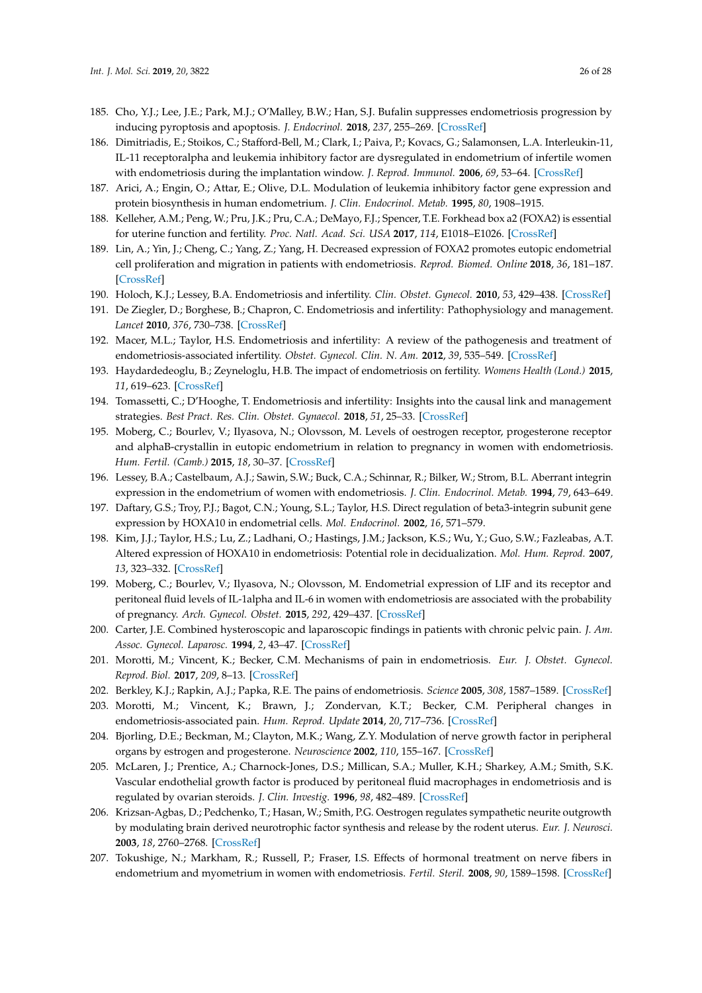- <span id="page-25-0"></span>185. Cho, Y.J.; Lee, J.E.; Park, M.J.; O'Malley, B.W.; Han, S.J. Bufalin suppresses endometriosis progression by inducing pyroptosis and apoptosis. *J. Endocrinol.* **2018**, *237*, 255–269. [\[CrossRef\]](http://dx.doi.org/10.1530/JOE-17-0700)
- <span id="page-25-1"></span>186. Dimitriadis, E.; Stoikos, C.; Stafford-Bell, M.; Clark, I.; Paiva, P.; Kovacs, G.; Salamonsen, L.A. Interleukin-11, IL-11 receptoralpha and leukemia inhibitory factor are dysregulated in endometrium of infertile women with endometriosis during the implantation window. *J. Reprod. Immunol.* **2006**, *69*, 53–64. [\[CrossRef\]](http://dx.doi.org/10.1016/j.jri.2005.07.004)
- <span id="page-25-2"></span>187. Arici, A.; Engin, O.; Attar, E.; Olive, D.L. Modulation of leukemia inhibitory factor gene expression and protein biosynthesis in human endometrium. *J. Clin. Endocrinol. Metab.* **1995**, *80*, 1908–1915.
- <span id="page-25-3"></span>188. Kelleher, A.M.; Peng, W.; Pru, J.K.; Pru, C.A.; DeMayo, F.J.; Spencer, T.E. Forkhead box a2 (FOXA2) is essential for uterine function and fertility. *Proc. Natl. Acad. Sci. USA* **2017**, *114*, E1018–E1026. [\[CrossRef\]](http://dx.doi.org/10.1073/pnas.1618433114)
- <span id="page-25-4"></span>189. Lin, A.; Yin, J.; Cheng, C.; Yang, Z.; Yang, H. Decreased expression of FOXA2 promotes eutopic endometrial cell proliferation and migration in patients with endometriosis. *Reprod. Biomed. Online* **2018**, *36*, 181–187. [\[CrossRef\]](http://dx.doi.org/10.1016/j.rbmo.2017.11.001)
- <span id="page-25-5"></span>190. Holoch, K.J.; Lessey, B.A. Endometriosis and infertility. *Clin. Obstet. Gynecol.* **2010**, *53*, 429–438. [\[CrossRef\]](http://dx.doi.org/10.1097/GRF.0b013e3181db7d71)
- <span id="page-25-7"></span>191. De Ziegler, D.; Borghese, B.; Chapron, C. Endometriosis and infertility: Pathophysiology and management. *Lancet* **2010**, *376*, 730–738. [\[CrossRef\]](http://dx.doi.org/10.1016/S0140-6736(10)60490-4)
- 192. Macer, M.L.; Taylor, H.S. Endometriosis and infertility: A review of the pathogenesis and treatment of endometriosis-associated infertility. *Obstet. Gynecol. Clin. N. Am.* **2012**, *39*, 535–549. [\[CrossRef\]](http://dx.doi.org/10.1016/j.ogc.2012.10.002)
- <span id="page-25-8"></span>193. Haydardedeoglu, B.; Zeyneloglu, H.B. The impact of endometriosis on fertility. *Womens Health (Lond.)* **2015**, *11*, 619–623. [\[CrossRef\]](http://dx.doi.org/10.2217/whe.15.48)
- <span id="page-25-6"></span>194. Tomassetti, C.; D'Hooghe, T. Endometriosis and infertility: Insights into the causal link and management strategies. *Best Pract. Res. Clin. Obstet. Gynaecol.* **2018**, *51*, 25–33. [\[CrossRef\]](http://dx.doi.org/10.1016/j.bpobgyn.2018.06.002)
- <span id="page-25-9"></span>195. Moberg, C.; Bourlev, V.; Ilyasova, N.; Olovsson, M. Levels of oestrogen receptor, progesterone receptor and alphaB-crystallin in eutopic endometrium in relation to pregnancy in women with endometriosis. *Hum. Fertil. (Camb.)* **2015**, *18*, 30–37. [\[CrossRef\]](http://dx.doi.org/10.3109/14647273.2014.922705)
- <span id="page-25-10"></span>196. Lessey, B.A.; Castelbaum, A.J.; Sawin, S.W.; Buck, C.A.; Schinnar, R.; Bilker, W.; Strom, B.L. Aberrant integrin expression in the endometrium of women with endometriosis. *J. Clin. Endocrinol. Metab.* **1994**, *79*, 643–649.
- <span id="page-25-11"></span>197. Daftary, G.S.; Troy, P.J.; Bagot, C.N.; Young, S.L.; Taylor, H.S. Direct regulation of beta3-integrin subunit gene expression by HOXA10 in endometrial cells. *Mol. Endocrinol.* **2002**, *16*, 571–579.
- <span id="page-25-12"></span>198. Kim, J.J.; Taylor, H.S.; Lu, Z.; Ladhani, O.; Hastings, J.M.; Jackson, K.S.; Wu, Y.; Guo, S.W.; Fazleabas, A.T. Altered expression of HOXA10 in endometriosis: Potential role in decidualization. *Mol. Hum. Reprod.* **2007**, *13*, 323–332. [\[CrossRef\]](http://dx.doi.org/10.1093/molehr/gam005)
- <span id="page-25-13"></span>199. Moberg, C.; Bourlev, V.; Ilyasova, N.; Olovsson, M. Endometrial expression of LIF and its receptor and peritoneal fluid levels of IL-1alpha and IL-6 in women with endometriosis are associated with the probability of pregnancy. *Arch. Gynecol. Obstet.* **2015**, *292*, 429–437. [\[CrossRef\]](http://dx.doi.org/10.1007/s00404-015-3626-0)
- <span id="page-25-14"></span>200. Carter, J.E. Combined hysteroscopic and laparoscopic findings in patients with chronic pelvic pain. *J. Am. Assoc. Gynecol. Laparosc.* **1994**, *2*, 43–47. [\[CrossRef\]](http://dx.doi.org/10.1016/S1074-3804(05)80830-8)
- <span id="page-25-15"></span>201. Morotti, M.; Vincent, K.; Becker, C.M. Mechanisms of pain in endometriosis. *Eur. J. Obstet. Gynecol. Reprod. Biol.* **2017**, *209*, 8–13. [\[CrossRef\]](http://dx.doi.org/10.1016/j.ejogrb.2016.07.497)
- 202. Berkley, K.J.; Rapkin, A.J.; Papka, R.E. The pains of endometriosis. *Science* **2005**, *308*, 1587–1589. [\[CrossRef\]](http://dx.doi.org/10.1126/science.1111445)
- <span id="page-25-16"></span>203. Morotti, M.; Vincent, K.; Brawn, J.; Zondervan, K.T.; Becker, C.M. Peripheral changes in endometriosis-associated pain. *Hum. Reprod. Update* **2014**, *20*, 717–736. [\[CrossRef\]](http://dx.doi.org/10.1093/humupd/dmu021)
- <span id="page-25-17"></span>204. Bjorling, D.E.; Beckman, M.; Clayton, M.K.; Wang, Z.Y. Modulation of nerve growth factor in peripheral organs by estrogen and progesterone. *Neuroscience* **2002**, *110*, 155–167. [\[CrossRef\]](http://dx.doi.org/10.1016/S0306-4522(01)00568-1)
- <span id="page-25-18"></span>205. McLaren, J.; Prentice, A.; Charnock-Jones, D.S.; Millican, S.A.; Muller, K.H.; Sharkey, A.M.; Smith, S.K. Vascular endothelial growth factor is produced by peritoneal fluid macrophages in endometriosis and is regulated by ovarian steroids. *J. Clin. Investig.* **1996**, *98*, 482–489. [\[CrossRef\]](http://dx.doi.org/10.1172/JCI118815)
- <span id="page-25-19"></span>206. Krizsan-Agbas, D.; Pedchenko, T.; Hasan, W.; Smith, P.G. Oestrogen regulates sympathetic neurite outgrowth by modulating brain derived neurotrophic factor synthesis and release by the rodent uterus. *Eur. J. Neurosci.* **2003**, *18*, 2760–2768. [\[CrossRef\]](http://dx.doi.org/10.1111/j.1460-9568.2003.03029.x)
- <span id="page-25-20"></span>207. Tokushige, N.; Markham, R.; Russell, P.; Fraser, I.S. Effects of hormonal treatment on nerve fibers in endometrium and myometrium in women with endometriosis. *Fertil. Steril.* **2008**, *90*, 1589–1598. [\[CrossRef\]](http://dx.doi.org/10.1016/j.fertnstert.2007.08.074)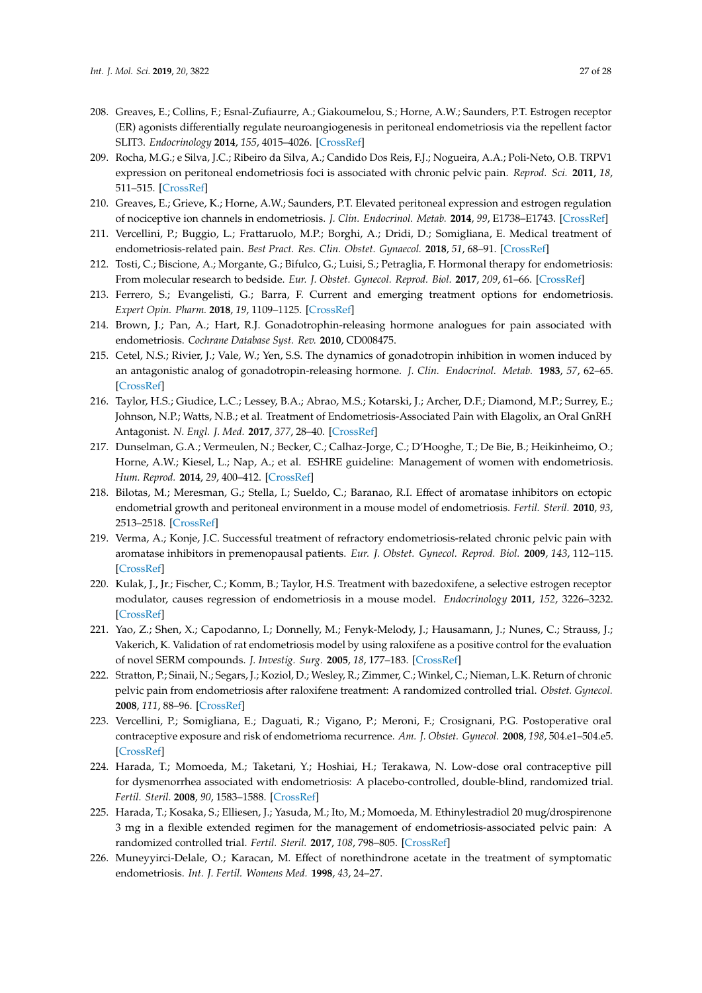- <span id="page-26-0"></span>208. Greaves, E.; Collins, F.; Esnal-Zufiaurre, A.; Giakoumelou, S.; Horne, A.W.; Saunders, P.T. Estrogen receptor (ER) agonists differentially regulate neuroangiogenesis in peritoneal endometriosis via the repellent factor SLIT3. *Endocrinology* **2014**, *155*, 4015–4026. [\[CrossRef\]](http://dx.doi.org/10.1210/en.2014-1086)
- <span id="page-26-1"></span>209. Rocha, M.G.; e Silva, J.C.; Ribeiro da Silva, A.; Candido Dos Reis, F.J.; Nogueira, A.A.; Poli-Neto, O.B. TRPV1 expression on peritoneal endometriosis foci is associated with chronic pelvic pain. *Reprod. Sci.* **2011**, *18*, 511–515. [\[CrossRef\]](http://dx.doi.org/10.1177/1933719110391279)
- <span id="page-26-2"></span>210. Greaves, E.; Grieve, K.; Horne, A.W.; Saunders, P.T. Elevated peritoneal expression and estrogen regulation of nociceptive ion channels in endometriosis. *J. Clin. Endocrinol. Metab.* **2014**, *99*, E1738–E1743. [\[CrossRef\]](http://dx.doi.org/10.1210/jc.2014-2282)
- <span id="page-26-3"></span>211. Vercellini, P.; Buggio, L.; Frattaruolo, M.P.; Borghi, A.; Dridi, D.; Somigliana, E. Medical treatment of endometriosis-related pain. *Best Pract. Res. Clin. Obstet. Gynaecol.* **2018**, *51*, 68–91. [\[CrossRef\]](http://dx.doi.org/10.1016/j.bpobgyn.2018.01.015)
- <span id="page-26-14"></span>212. Tosti, C.; Biscione, A.; Morgante, G.; Bifulco, G.; Luisi, S.; Petraglia, F. Hormonal therapy for endometriosis: From molecular research to bedside. *Eur. J. Obstet. Gynecol. Reprod. Biol.* **2017**, *209*, 61–66. [\[CrossRef\]](http://dx.doi.org/10.1016/j.ejogrb.2016.05.032)
- <span id="page-26-4"></span>213. Ferrero, S.; Evangelisti, G.; Barra, F. Current and emerging treatment options for endometriosis. *Expert Opin. Pharm.* **2018**, *19*, 1109–1125. [\[CrossRef\]](http://dx.doi.org/10.1080/14656566.2018.1494154)
- <span id="page-26-5"></span>214. Brown, J.; Pan, A.; Hart, R.J. Gonadotrophin-releasing hormone analogues for pain associated with endometriosis. *Cochrane Database Syst. Rev.* **2010**, CD008475.
- <span id="page-26-6"></span>215. Cetel, N.S.; Rivier, J.; Vale, W.; Yen, S.S. The dynamics of gonadotropin inhibition in women induced by an antagonistic analog of gonadotropin-releasing hormone. *J. Clin. Endocrinol. Metab.* **1983**, *57*, 62–65. [\[CrossRef\]](http://dx.doi.org/10.1210/jcem-57-1-62)
- <span id="page-26-7"></span>216. Taylor, H.S.; Giudice, L.C.; Lessey, B.A.; Abrao, M.S.; Kotarski, J.; Archer, D.F.; Diamond, M.P.; Surrey, E.; Johnson, N.P.; Watts, N.B.; et al. Treatment of Endometriosis-Associated Pain with Elagolix, an Oral GnRH Antagonist. *N. Engl. J. Med.* **2017**, *377*, 28–40. [\[CrossRef\]](http://dx.doi.org/10.1056/NEJMoa1700089)
- <span id="page-26-8"></span>217. Dunselman, G.A.; Vermeulen, N.; Becker, C.; Calhaz-Jorge, C.; D'Hooghe, T.; De Bie, B.; Heikinheimo, O.; Horne, A.W.; Kiesel, L.; Nap, A.; et al. ESHRE guideline: Management of women with endometriosis. *Hum. Reprod.* **2014**, *29*, 400–412. [\[CrossRef\]](http://dx.doi.org/10.1093/humrep/det457)
- <span id="page-26-16"></span>218. Bilotas, M.; Meresman, G.; Stella, I.; Sueldo, C.; Baranao, R.I. Effect of aromatase inhibitors on ectopic endometrial growth and peritoneal environment in a mouse model of endometriosis. *Fertil. Steril.* **2010**, *93*, 2513–2518. [\[CrossRef\]](http://dx.doi.org/10.1016/j.fertnstert.2009.08.058)
- <span id="page-26-9"></span>219. Verma, A.; Konje, J.C. Successful treatment of refractory endometriosis-related chronic pelvic pain with aromatase inhibitors in premenopausal patients. *Eur. J. Obstet. Gynecol. Reprod. Biol.* **2009**, *143*, 112–115. [\[CrossRef\]](http://dx.doi.org/10.1016/j.ejogrb.2008.12.002)
- <span id="page-26-10"></span>220. Kulak, J., Jr.; Fischer, C.; Komm, B.; Taylor, H.S. Treatment with bazedoxifene, a selective estrogen receptor modulator, causes regression of endometriosis in a mouse model. *Endocrinology* **2011**, *152*, 3226–3232. [\[CrossRef\]](http://dx.doi.org/10.1210/en.2010-1010)
- <span id="page-26-17"></span>221. Yao, Z.; Shen, X.; Capodanno, I.; Donnelly, M.; Fenyk-Melody, J.; Hausamann, J.; Nunes, C.; Strauss, J.; Vakerich, K. Validation of rat endometriosis model by using raloxifene as a positive control for the evaluation of novel SERM compounds. *J. Investig. Surg.* **2005**, *18*, 177–183. [\[CrossRef\]](http://dx.doi.org/10.1080/08941930591004412)
- <span id="page-26-11"></span>222. Stratton, P.; Sinaii, N.; Segars, J.; Koziol, D.; Wesley, R.; Zimmer, C.; Winkel, C.; Nieman, L.K. Return of chronic pelvic pain from endometriosis after raloxifene treatment: A randomized controlled trial. *Obstet. Gynecol.* **2008**, *111*, 88–96. [\[CrossRef\]](http://dx.doi.org/10.1097/01.AOG.0000297307.35024.b5)
- <span id="page-26-12"></span>223. Vercellini, P.; Somigliana, E.; Daguati, R.; Vigano, P.; Meroni, F.; Crosignani, P.G. Postoperative oral contraceptive exposure and risk of endometrioma recurrence. *Am. J. Obstet. Gynecol.* **2008**, *198*, 504.e1–504.e5. [\[CrossRef\]](http://dx.doi.org/10.1016/j.ajog.2007.11.010)
- <span id="page-26-18"></span>224. Harada, T.; Momoeda, M.; Taketani, Y.; Hoshiai, H.; Terakawa, N. Low-dose oral contraceptive pill for dysmenorrhea associated with endometriosis: A placebo-controlled, double-blind, randomized trial. *Fertil. Steril.* **2008**, *90*, 1583–1588. [\[CrossRef\]](http://dx.doi.org/10.1016/j.fertnstert.2007.08.051)
- <span id="page-26-13"></span>225. Harada, T.; Kosaka, S.; Elliesen, J.; Yasuda, M.; Ito, M.; Momoeda, M. Ethinylestradiol 20 mug/drospirenone 3 mg in a flexible extended regimen for the management of endometriosis-associated pelvic pain: A randomized controlled trial. *Fertil. Steril.* **2017**, *108*, 798–805. [\[CrossRef\]](http://dx.doi.org/10.1016/j.fertnstert.2017.07.1165)
- <span id="page-26-15"></span>226. Muneyyirci-Delale, O.; Karacan, M. Effect of norethindrone acetate in the treatment of symptomatic endometriosis. *Int. J. Fertil. Womens Med.* **1998**, *43*, 24–27.